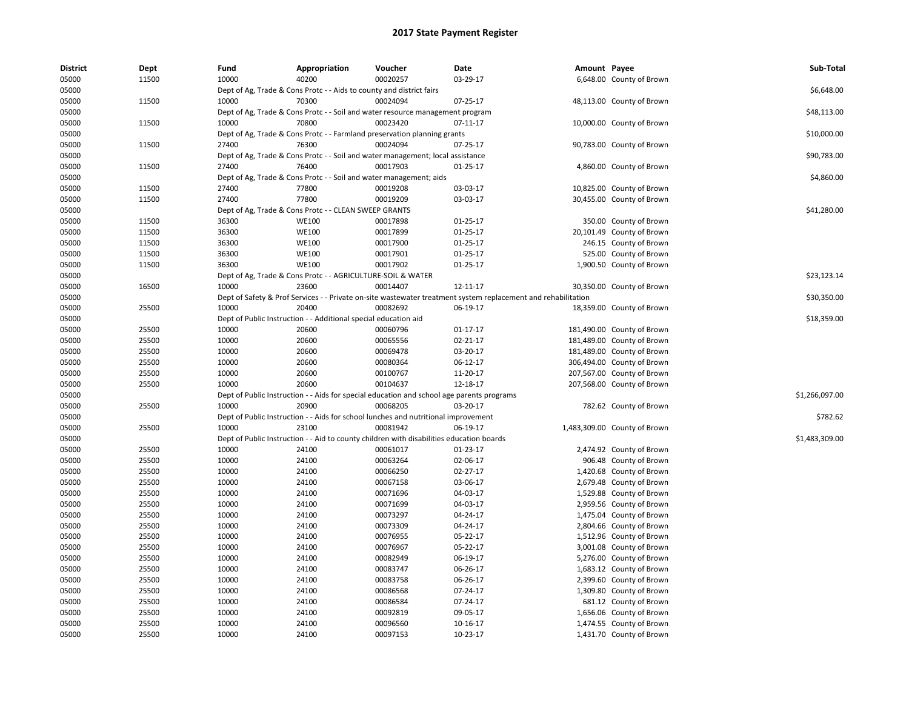| <b>District</b> | Dept  | Fund  | Appropriation                                                                             | Voucher  | Date                                                                                                          | Amount Payee |                                                      | Sub-Total      |
|-----------------|-------|-------|-------------------------------------------------------------------------------------------|----------|---------------------------------------------------------------------------------------------------------------|--------------|------------------------------------------------------|----------------|
| 05000           | 11500 | 10000 | 40200                                                                                     | 00020257 | 03-29-17                                                                                                      |              | 6,648.00 County of Brown                             |                |
| 05000           |       |       | Dept of Ag, Trade & Cons Protc - - Aids to county and district fairs                      |          |                                                                                                               |              |                                                      | \$6,648.00     |
| 05000           | 11500 | 10000 | 70300                                                                                     | 00024094 | $07 - 25 - 17$                                                                                                |              | 48,113.00 County of Brown                            |                |
| 05000           |       |       | Dept of Ag, Trade & Cons Protc - - Soil and water resource management program             |          |                                                                                                               |              |                                                      | \$48,113.00    |
| 05000           | 11500 | 10000 | 70800                                                                                     | 00023420 | 07-11-17                                                                                                      |              | 10,000.00 County of Brown                            |                |
| 05000           |       |       | Dept of Ag, Trade & Cons Protc - - Farmland preservation planning grants                  |          |                                                                                                               |              |                                                      | \$10,000.00    |
| 05000           | 11500 | 27400 | 76300                                                                                     | 00024094 | 07-25-17                                                                                                      |              | 90,783.00 County of Brown                            |                |
| 05000           |       |       | Dept of Ag, Trade & Cons Protc - - Soil and water management; local assistance            |          |                                                                                                               |              |                                                      | \$90,783.00    |
| 05000           | 11500 | 27400 | 76400                                                                                     | 00017903 | $01 - 25 - 17$                                                                                                |              | 4,860.00 County of Brown                             |                |
| 05000           |       |       | Dept of Ag, Trade & Cons Protc - - Soil and water management; aids                        |          |                                                                                                               |              |                                                      | \$4,860.00     |
| 05000           | 11500 | 27400 | 77800                                                                                     | 00019208 | 03-03-17                                                                                                      |              | 10,825.00 County of Brown                            |                |
| 05000           | 11500 | 27400 | 77800                                                                                     | 00019209 | 03-03-17                                                                                                      |              | 30,455.00 County of Brown                            |                |
| 05000           |       |       | Dept of Ag, Trade & Cons Protc - - CLEAN SWEEP GRANTS                                     |          |                                                                                                               |              |                                                      | \$41,280.00    |
| 05000           | 11500 | 36300 | <b>WE100</b>                                                                              | 00017898 | 01-25-17                                                                                                      |              | 350.00 County of Brown                               |                |
| 05000           | 11500 | 36300 | <b>WE100</b>                                                                              | 00017899 | $01 - 25 - 17$                                                                                                |              | 20,101.49 County of Brown                            |                |
| 05000           | 11500 | 36300 | <b>WE100</b>                                                                              | 00017900 | 01-25-17                                                                                                      |              | 246.15 County of Brown                               |                |
| 05000           | 11500 | 36300 | <b>WE100</b>                                                                              | 00017901 | 01-25-17                                                                                                      |              | 525.00 County of Brown                               |                |
| 05000           | 11500 | 36300 | <b>WE100</b>                                                                              | 00017902 | $01 - 25 - 17$                                                                                                |              | 1,900.50 County of Brown                             |                |
| 05000           |       |       | Dept of Ag, Trade & Cons Protc - - AGRICULTURE-SOIL & WATER                               |          |                                                                                                               |              |                                                      | \$23,123.14    |
| 05000           | 16500 | 10000 | 23600                                                                                     | 00014407 | 12-11-17                                                                                                      |              | 30,350.00 County of Brown                            |                |
| 05000           |       |       |                                                                                           |          | Dept of Safety & Prof Services - - Private on-site wastewater treatment system replacement and rehabilitation |              |                                                      | \$30,350.00    |
| 05000           | 25500 | 10000 | 20400                                                                                     | 00082692 | 06-19-17                                                                                                      |              | 18,359.00 County of Brown                            |                |
| 05000           |       |       | Dept of Public Instruction - - Additional special education aid                           |          |                                                                                                               |              |                                                      | \$18,359.00    |
| 05000           | 25500 | 10000 | 20600                                                                                     | 00060796 | 01-17-17                                                                                                      |              | 181,490.00 County of Brown                           |                |
| 05000           | 25500 | 10000 | 20600                                                                                     | 00065556 | 02-21-17                                                                                                      |              | 181,489.00 County of Brown                           |                |
| 05000           | 25500 | 10000 | 20600                                                                                     | 00069478 | 03-20-17                                                                                                      |              | 181,489.00 County of Brown                           |                |
| 05000           | 25500 | 10000 | 20600                                                                                     | 00080364 | 06-12-17                                                                                                      |              | 306,494.00 County of Brown                           |                |
| 05000           | 25500 | 10000 | 20600                                                                                     | 00100767 | 11-20-17                                                                                                      |              | 207,567.00 County of Brown                           |                |
| 05000           | 25500 | 10000 | 20600                                                                                     | 00104637 | 12-18-17                                                                                                      |              | 207,568.00 County of Brown                           |                |
| 05000           |       |       | Dept of Public Instruction - - Aids for special education and school age parents programs |          |                                                                                                               |              |                                                      | \$1,266,097.00 |
| 05000           | 25500 | 10000 | 20900                                                                                     | 00068205 | 03-20-17                                                                                                      |              | 782.62 County of Brown                               |                |
| 05000           |       |       | Dept of Public Instruction - - Aids for school lunches and nutritional improvement        |          |                                                                                                               |              |                                                      | \$782.62       |
| 05000           | 25500 | 10000 | 23100                                                                                     | 00081942 | 06-19-17                                                                                                      |              | 1,483,309.00 County of Brown                         |                |
| 05000           |       |       | Dept of Public Instruction - - Aid to county children with disabilities education boards  |          |                                                                                                               |              |                                                      | \$1,483,309.00 |
| 05000           | 25500 | 10000 | 24100                                                                                     | 00061017 | 01-23-17                                                                                                      |              | 2,474.92 County of Brown                             |                |
| 05000           | 25500 | 10000 | 24100                                                                                     | 00063264 | 02-06-17                                                                                                      |              | 906.48 County of Brown                               |                |
| 05000           | 25500 | 10000 | 24100                                                                                     | 00066250 | 02-27-17                                                                                                      |              | 1,420.68 County of Brown                             |                |
| 05000           | 25500 | 10000 | 24100                                                                                     | 00067158 | 03-06-17                                                                                                      |              | 2,679.48 County of Brown                             |                |
| 05000           | 25500 | 10000 | 24100                                                                                     | 00071696 | 04-03-17                                                                                                      |              | 1,529.88 County of Brown                             |                |
| 05000           | 25500 | 10000 | 24100                                                                                     | 00071699 | 04-03-17                                                                                                      |              | 2,959.56 County of Brown                             |                |
| 05000           | 25500 | 10000 | 24100                                                                                     | 00073297 | 04-24-17                                                                                                      |              | 1,475.04 County of Brown                             |                |
| 05000           | 25500 | 10000 | 24100                                                                                     | 00073309 | 04-24-17                                                                                                      |              | 2,804.66 County of Brown                             |                |
| 05000           | 25500 | 10000 | 24100                                                                                     | 00076955 | 05-22-17                                                                                                      |              | 1,512.96 County of Brown                             |                |
| 05000           | 25500 | 10000 | 24100                                                                                     | 00076967 | 05-22-17                                                                                                      |              | 3,001.08 County of Brown                             |                |
| 05000           | 25500 | 10000 | 24100                                                                                     | 00082949 | 06-19-17                                                                                                      |              | 5,276.00 County of Brown                             |                |
| 05000           | 25500 | 10000 | 24100                                                                                     | 00083747 | 06-26-17                                                                                                      |              | 1,683.12 County of Brown                             |                |
| 05000           | 25500 | 10000 | 24100                                                                                     | 00083758 | 06-26-17                                                                                                      |              | 2,399.60 County of Brown                             |                |
| 05000           | 25500 | 10000 | 24100                                                                                     | 00086568 | 07-24-17                                                                                                      |              | 1,309.80 County of Brown                             |                |
| 05000           | 25500 | 10000 | 24100                                                                                     | 00086584 | 07-24-17                                                                                                      |              | 681.12 County of Brown                               |                |
|                 | 25500 | 10000 |                                                                                           | 00092819 | 09-05-17                                                                                                      |              |                                                      |                |
| 05000<br>05000  | 25500 | 10000 | 24100<br>24100                                                                            | 00096560 | 10-16-17                                                                                                      |              | 1,656.06 County of Brown<br>1,474.55 County of Brown |                |
| 05000           | 25500 | 10000 | 24100                                                                                     | 00097153 | 10-23-17                                                                                                      |              |                                                      |                |
|                 |       |       |                                                                                           |          |                                                                                                               |              | 1,431.70 County of Brown                             |                |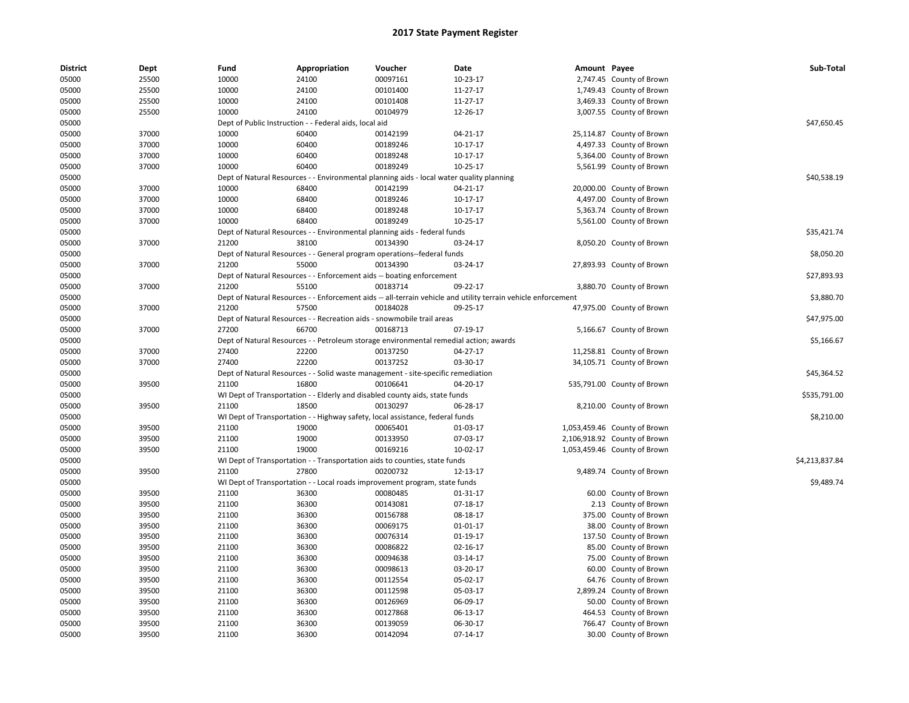| <b>District</b> | Dept  | Fund  | Appropriation                                          | Voucher                                                                                  | Date                                                                                                          | Amount Payee |                              | Sub-Total      |
|-----------------|-------|-------|--------------------------------------------------------|------------------------------------------------------------------------------------------|---------------------------------------------------------------------------------------------------------------|--------------|------------------------------|----------------|
| 05000           | 25500 | 10000 | 24100                                                  | 00097161                                                                                 | 10-23-17                                                                                                      |              | 2,747.45 County of Brown     |                |
| 05000           | 25500 | 10000 | 24100                                                  | 00101400                                                                                 | 11-27-17                                                                                                      |              | 1,749.43 County of Brown     |                |
| 05000           | 25500 | 10000 | 24100                                                  | 00101408                                                                                 | 11-27-17                                                                                                      |              | 3,469.33 County of Brown     |                |
| 05000           | 25500 | 10000 | 24100                                                  | 00104979                                                                                 | 12-26-17                                                                                                      |              | 3,007.55 County of Brown     |                |
| 05000           |       |       | Dept of Public Instruction - - Federal aids, local aid |                                                                                          |                                                                                                               |              |                              | \$47,650.45    |
| 05000           | 37000 | 10000 | 60400                                                  | 00142199                                                                                 | 04-21-17                                                                                                      |              | 25,114.87 County of Brown    |                |
| 05000           | 37000 | 10000 | 60400                                                  | 00189246                                                                                 | 10-17-17                                                                                                      |              | 4,497.33 County of Brown     |                |
| 05000           | 37000 | 10000 | 60400                                                  | 00189248                                                                                 | 10-17-17                                                                                                      |              | 5,364.00 County of Brown     |                |
| 05000           | 37000 | 10000 | 60400                                                  | 00189249                                                                                 | 10-25-17                                                                                                      |              | 5,561.99 County of Brown     |                |
| 05000           |       |       |                                                        | Dept of Natural Resources - - Environmental planning aids - local water quality planning |                                                                                                               |              |                              | \$40,538.19    |
| 05000           | 37000 | 10000 | 68400                                                  | 00142199                                                                                 | 04-21-17                                                                                                      |              | 20,000.00 County of Brown    |                |
| 05000           | 37000 | 10000 | 68400                                                  | 00189246                                                                                 | 10-17-17                                                                                                      |              | 4,497.00 County of Brown     |                |
| 05000           | 37000 | 10000 | 68400                                                  | 00189248                                                                                 | 10-17-17                                                                                                      |              | 5,363.74 County of Brown     |                |
| 05000           | 37000 | 10000 | 68400                                                  | 00189249                                                                                 | 10-25-17                                                                                                      |              | 5,561.00 County of Brown     |                |
| 05000           |       |       |                                                        | Dept of Natural Resources - - Environmental planning aids - federal funds                |                                                                                                               |              |                              | \$35,421.74    |
| 05000           | 37000 | 21200 | 38100                                                  | 00134390                                                                                 | 03-24-17                                                                                                      |              | 8,050.20 County of Brown     |                |
| 05000           |       |       |                                                        | Dept of Natural Resources - - General program operations--federal funds                  |                                                                                                               |              |                              | \$8,050.20     |
| 05000           | 37000 | 21200 | 55000                                                  | 00134390                                                                                 | 03-24-17                                                                                                      |              | 27,893.93 County of Brown    |                |
| 05000           |       |       |                                                        | Dept of Natural Resources - - Enforcement aids -- boating enforcement                    |                                                                                                               |              |                              | \$27,893.93    |
| 05000           | 37000 | 21200 | 55100                                                  | 00183714                                                                                 | 09-22-17                                                                                                      |              | 3,880.70 County of Brown     |                |
| 05000           |       |       |                                                        |                                                                                          | Dept of Natural Resources - - Enforcement aids -- all-terrain vehicle and utility terrain vehicle enforcement |              |                              | \$3,880.70     |
| 05000           | 37000 | 21200 | 57500                                                  | 00184028                                                                                 | 09-25-17                                                                                                      |              | 47,975.00 County of Brown    |                |
| 05000           |       |       |                                                        | Dept of Natural Resources - - Recreation aids - snowmobile trail areas                   |                                                                                                               |              |                              | \$47,975.00    |
| 05000           | 37000 | 27200 | 66700                                                  | 00168713                                                                                 | 07-19-17                                                                                                      |              | 5,166.67 County of Brown     |                |
| 05000           |       |       |                                                        | Dept of Natural Resources - - Petroleum storage environmental remedial action; awards    |                                                                                                               |              |                              | \$5,166.67     |
| 05000           | 37000 | 27400 | 22200                                                  | 00137250                                                                                 | 04-27-17                                                                                                      |              | 11,258.81 County of Brown    |                |
| 05000           | 37000 | 27400 | 22200                                                  | 00137252                                                                                 | 03-30-17                                                                                                      |              | 34,105.71 County of Brown    |                |
| 05000           |       |       |                                                        | Dept of Natural Resources - - Solid waste management - site-specific remediation         |                                                                                                               |              |                              | \$45,364.52    |
| 05000           | 39500 | 21100 | 16800                                                  | 00106641                                                                                 | 04-20-17                                                                                                      |              | 535,791.00 County of Brown   |                |
| 05000           |       |       |                                                        | WI Dept of Transportation - - Elderly and disabled county aids, state funds              |                                                                                                               |              |                              | \$535,791.00   |
| 05000           | 39500 | 21100 | 18500                                                  | 00130297                                                                                 | 06-28-17                                                                                                      |              | 8,210.00 County of Brown     |                |
| 05000           |       |       |                                                        | WI Dept of Transportation - - Highway safety, local assistance, federal funds            |                                                                                                               |              |                              | \$8,210.00     |
| 05000           | 39500 | 21100 | 19000                                                  | 00065401                                                                                 | 01-03-17                                                                                                      |              | 1,053,459.46 County of Brown |                |
| 05000           | 39500 | 21100 | 19000                                                  | 00133950                                                                                 | 07-03-17                                                                                                      |              | 2,106,918.92 County of Brown |                |
| 05000           | 39500 | 21100 | 19000                                                  | 00169216                                                                                 | 10-02-17                                                                                                      |              | 1,053,459.46 County of Brown |                |
| 05000           |       |       |                                                        | WI Dept of Transportation - - Transportation aids to counties, state funds               |                                                                                                               |              |                              | \$4,213,837.84 |
| 05000           | 39500 | 21100 | 27800                                                  | 00200732                                                                                 | 12-13-17                                                                                                      |              | 9,489.74 County of Brown     |                |
| 05000           |       |       |                                                        | WI Dept of Transportation - - Local roads improvement program, state funds               |                                                                                                               |              |                              | \$9,489.74     |
| 05000           | 39500 | 21100 | 36300                                                  | 00080485                                                                                 | 01-31-17                                                                                                      |              | 60.00 County of Brown        |                |
| 05000           | 39500 | 21100 | 36300                                                  | 00143081                                                                                 | 07-18-17                                                                                                      |              | 2.13 County of Brown         |                |
|                 |       |       |                                                        |                                                                                          |                                                                                                               |              |                              |                |
| 05000           | 39500 | 21100 | 36300                                                  | 00156788                                                                                 | 08-18-17                                                                                                      |              | 375.00 County of Brown       |                |
| 05000           | 39500 | 21100 | 36300                                                  | 00069175                                                                                 | 01-01-17                                                                                                      |              | 38.00 County of Brown        |                |
| 05000           | 39500 | 21100 | 36300                                                  | 00076314                                                                                 | 01-19-17                                                                                                      |              | 137.50 County of Brown       |                |
| 05000           | 39500 | 21100 | 36300                                                  | 00086822                                                                                 | 02-16-17                                                                                                      |              | 85.00 County of Brown        |                |
| 05000           | 39500 | 21100 | 36300                                                  | 00094638                                                                                 | 03-14-17                                                                                                      |              | 75.00 County of Brown        |                |
| 05000           | 39500 | 21100 | 36300                                                  | 00098613                                                                                 | 03-20-17                                                                                                      |              | 60.00 County of Brown        |                |
| 05000           | 39500 | 21100 | 36300                                                  | 00112554                                                                                 | 05-02-17                                                                                                      |              | 64.76 County of Brown        |                |
| 05000           | 39500 | 21100 | 36300                                                  | 00112598                                                                                 | 05-03-17                                                                                                      |              | 2,899.24 County of Brown     |                |
| 05000           | 39500 | 21100 | 36300                                                  | 00126969                                                                                 | 06-09-17                                                                                                      |              | 50.00 County of Brown        |                |
| 05000           | 39500 | 21100 | 36300                                                  | 00127868                                                                                 | 06-13-17                                                                                                      |              | 464.53 County of Brown       |                |
| 05000           | 39500 | 21100 | 36300                                                  | 00139059                                                                                 | 06-30-17                                                                                                      |              | 766.47 County of Brown       |                |
| 05000           | 39500 | 21100 | 36300                                                  | 00142094                                                                                 | $07-14-17$                                                                                                    |              | 30.00 County of Brown        |                |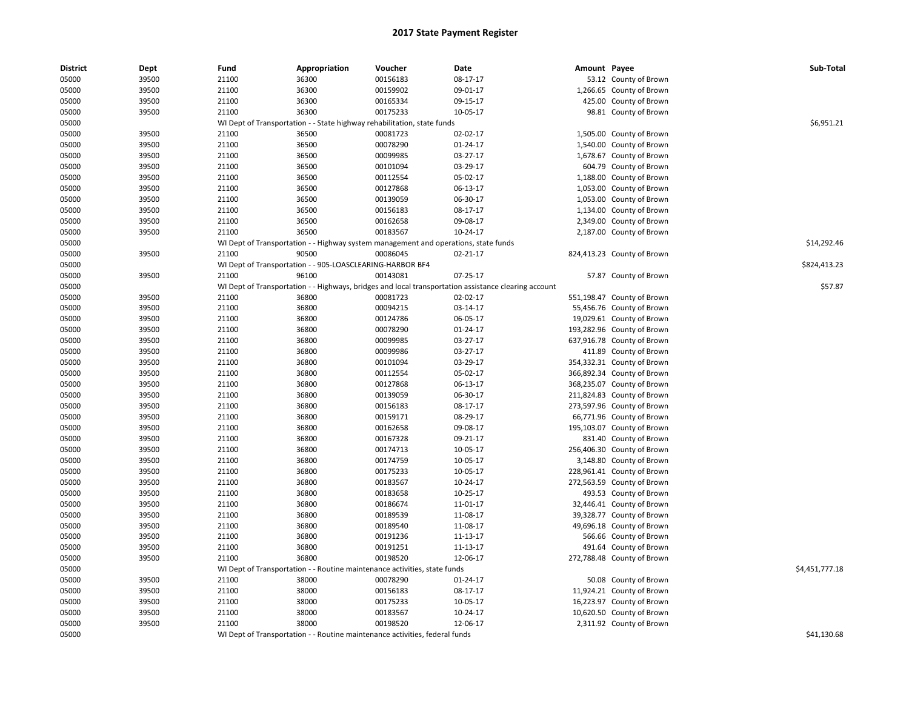| <b>District</b> | Dept           | Fund  | Appropriation                                                                       | Voucher              | Date                                                                                                 | Amount Payee |                            | Sub-Total      |
|-----------------|----------------|-------|-------------------------------------------------------------------------------------|----------------------|------------------------------------------------------------------------------------------------------|--------------|----------------------------|----------------|
| 05000           | 39500          | 21100 | 36300                                                                               | 00156183             | 08-17-17                                                                                             |              | 53.12 County of Brown      |                |
| 05000           | 39500          | 21100 | 36300                                                                               | 00159902             | 09-01-17                                                                                             |              | 1,266.65 County of Brown   |                |
| 05000           | 39500          | 21100 | 36300                                                                               | 00165334             | 09-15-17                                                                                             |              | 425.00 County of Brown     |                |
| 05000           | 39500          | 21100 | 36300                                                                               | 00175233             | 10-05-17                                                                                             |              | 98.81 County of Brown      |                |
| 05000           |                |       | WI Dept of Transportation - - State highway rehabilitation, state funds             |                      |                                                                                                      |              |                            | \$6,951.21     |
| 05000           | 39500          | 21100 | 36500                                                                               | 00081723             | 02-02-17                                                                                             |              | 1,505.00 County of Brown   |                |
| 05000           | 39500          | 21100 | 36500                                                                               | 00078290             | 01-24-17                                                                                             |              | 1,540.00 County of Brown   |                |
| 05000           | 39500          | 21100 | 36500                                                                               | 00099985             | 03-27-17                                                                                             |              | 1,678.67 County of Brown   |                |
| 05000           | 39500          | 21100 | 36500                                                                               | 00101094             | 03-29-17                                                                                             |              | 604.79 County of Brown     |                |
| 05000           | 39500          | 21100 | 36500                                                                               | 00112554             | 05-02-17                                                                                             |              | 1,188.00 County of Brown   |                |
| 05000           | 39500          | 21100 | 36500                                                                               | 00127868             | 06-13-17                                                                                             | 1,053.00     | County of Brown            |                |
| 05000           | 39500          | 21100 | 36500                                                                               | 00139059             | 06-30-17                                                                                             |              | 1,053.00 County of Brown   |                |
| 05000           | 39500          | 21100 | 36500                                                                               | 00156183             | 08-17-17                                                                                             |              | 1,134.00 County of Brown   |                |
| 05000           | 39500          | 21100 | 36500                                                                               | 00162658             | 09-08-17                                                                                             |              | 2,349.00 County of Brown   |                |
| 05000           | 39500          | 21100 | 36500                                                                               | 00183567             | 10-24-17                                                                                             |              | 2,187.00 County of Brown   |                |
| 05000           |                |       | WI Dept of Transportation - - Highway system management and operations, state funds |                      |                                                                                                      |              |                            | \$14,292.46    |
| 05000           | 39500          | 21100 | 90500                                                                               | 00086045             | 02-21-17                                                                                             |              | 824,413.23 County of Brown |                |
| 05000           |                |       | WI Dept of Transportation - - 905-LOASCLEARING-HARBOR BF4                           |                      |                                                                                                      |              |                            | \$824,413.23   |
| 05000           | 39500          | 21100 | 96100                                                                               | 00143081             | 07-25-17                                                                                             |              | 57.87 County of Brown      |                |
| 05000           |                |       |                                                                                     |                      | WI Dept of Transportation - - Highways, bridges and local transportation assistance clearing account |              |                            | \$57.87        |
| 05000           | 39500          | 21100 | 36800                                                                               | 00081723             | 02-02-17                                                                                             |              | 551,198.47 County of Brown |                |
| 05000           | 39500          | 21100 | 36800                                                                               | 00094215             | 03-14-17                                                                                             |              | 55,456.76 County of Brown  |                |
| 05000           | 39500          | 21100 | 36800                                                                               | 00124786             | 06-05-17                                                                                             |              | 19,029.61 County of Brown  |                |
| 05000           | 39500          | 21100 | 36800                                                                               | 00078290             | 01-24-17                                                                                             |              | 193,282.96 County of Brown |                |
| 05000           | 39500          | 21100 | 36800                                                                               | 00099985             | 03-27-17                                                                                             |              | 637,916.78 County of Brown |                |
| 05000           | 39500          | 21100 | 36800                                                                               | 00099986             | 03-27-17                                                                                             |              | 411.89 County of Brown     |                |
| 05000           | 39500          | 21100 | 36800                                                                               | 00101094             | 03-29-17                                                                                             |              | 354,332.31 County of Brown |                |
| 05000           | 39500          | 21100 | 36800                                                                               | 00112554             | 05-02-17                                                                                             |              | 366,892.34 County of Brown |                |
| 05000           | 39500          | 21100 | 36800                                                                               | 00127868             | 06-13-17                                                                                             |              | 368,235.07 County of Brown |                |
| 05000           | 39500          | 21100 | 36800                                                                               | 00139059             | 06-30-17                                                                                             |              | 211,824.83 County of Brown |                |
| 05000           | 39500          | 21100 | 36800                                                                               | 00156183             | 08-17-17                                                                                             |              | 273,597.96 County of Brown |                |
| 05000           | 39500          | 21100 | 36800                                                                               | 00159171             | 08-29-17                                                                                             |              | 66,771.96 County of Brown  |                |
| 05000           | 39500          | 21100 | 36800                                                                               | 00162658             | 09-08-17                                                                                             |              | 195,103.07 County of Brown |                |
| 05000           | 39500          | 21100 | 36800                                                                               | 00167328             | 09-21-17                                                                                             |              | 831.40 County of Brown     |                |
| 05000           | 39500          | 21100 | 36800                                                                               | 00174713             | 10-05-17                                                                                             |              | 256,406.30 County of Brown |                |
| 05000           | 39500          | 21100 | 36800                                                                               | 00174759             | 10-05-17                                                                                             |              | 3,148.80 County of Brown   |                |
| 05000           | 39500          | 21100 | 36800                                                                               | 00175233             | 10-05-17                                                                                             |              | 228,961.41 County of Brown |                |
| 05000           | 39500          | 21100 | 36800                                                                               | 00183567             | 10-24-17                                                                                             |              | 272,563.59 County of Brown |                |
| 05000           | 39500          | 21100 | 36800                                                                               | 00183658             | 10-25-17                                                                                             |              | 493.53 County of Brown     |                |
| 05000           | 39500          | 21100 | 36800                                                                               | 00186674             | 11-01-17                                                                                             |              | 32,446.41 County of Brown  |                |
| 05000           | 39500          | 21100 | 36800                                                                               | 00189539             | 11-08-17                                                                                             |              | 39,328.77 County of Brown  |                |
| 05000           | 39500          | 21100 | 36800                                                                               | 00189540             | 11-08-17                                                                                             |              | 49,696.18 County of Brown  |                |
| 05000           | 39500          | 21100 | 36800                                                                               | 00191236             | 11-13-17                                                                                             |              | 566.66 County of Brown     |                |
| 05000           | 39500          | 21100 | 36800                                                                               | 00191251             | 11-13-17                                                                                             |              | 491.64 County of Brown     |                |
| 05000           | 39500          | 21100 | 36800                                                                               | 00198520             | 12-06-17                                                                                             |              | 272,788.48 County of Brown |                |
| 05000           |                |       | WI Dept of Transportation - - Routine maintenance activities, state funds           |                      |                                                                                                      |              |                            | \$4,451,777.18 |
| 05000           | 39500          | 21100 | 38000                                                                               | 00078290             | 01-24-17                                                                                             |              | 50.08 County of Brown      |                |
| 05000           | 39500          | 21100 | 38000                                                                               | 00156183             | 08-17-17                                                                                             |              | 11,924.21 County of Brown  |                |
| 05000           | 39500          | 21100 | 38000                                                                               | 00175233             | 10-05-17                                                                                             | 16,223.97    | County of Brown            |                |
|                 |                | 21100 | 38000                                                                               |                      | 10-24-17                                                                                             |              |                            |                |
| 05000           | 39500<br>39500 | 21100 | 38000                                                                               | 00183567<br>00198520 | 12-06-17                                                                                             |              | 10,620.50 County of Brown  |                |
| 05000           |                |       |                                                                                     |                      |                                                                                                      |              | 2,311.92 County of Brown   |                |
| 05000           |                |       | WI Dept of Transportation - - Routine maintenance activities, federal funds         |                      |                                                                                                      |              |                            | \$41,130.68    |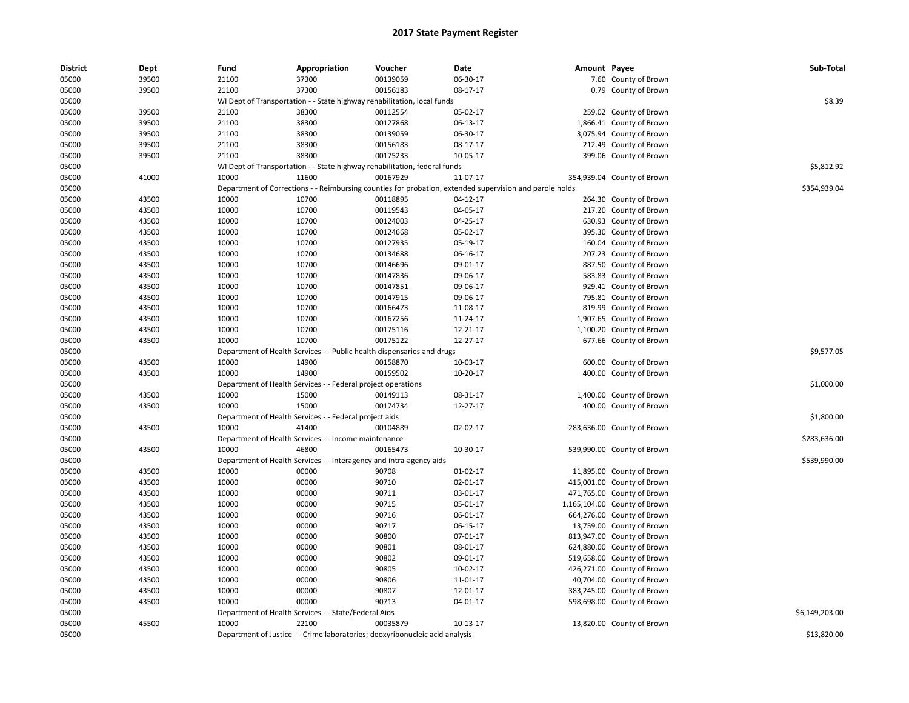| <b>District</b> | Dept  | Fund  | Appropriation                                                       | Voucher                                                                      | Date                                                                                                    | Amount Payee |                              | Sub-Total      |
|-----------------|-------|-------|---------------------------------------------------------------------|------------------------------------------------------------------------------|---------------------------------------------------------------------------------------------------------|--------------|------------------------------|----------------|
| 05000           | 39500 | 21100 | 37300                                                               | 00139059                                                                     | 06-30-17                                                                                                |              | 7.60 County of Brown         |                |
| 05000           | 39500 | 21100 | 37300                                                               | 00156183                                                                     | 08-17-17                                                                                                |              | 0.79 County of Brown         |                |
| 05000           |       |       |                                                                     | WI Dept of Transportation - - State highway rehabilitation, local funds      |                                                                                                         |              |                              | \$8.39         |
| 05000           | 39500 | 21100 | 38300                                                               | 00112554                                                                     | 05-02-17                                                                                                |              | 259.02 County of Brown       |                |
| 05000           | 39500 | 21100 | 38300                                                               | 00127868                                                                     | 06-13-17                                                                                                |              | 1,866.41 County of Brown     |                |
| 05000           | 39500 | 21100 | 38300                                                               | 00139059                                                                     | 06-30-17                                                                                                |              | 3,075.94 County of Brown     |                |
| 05000           | 39500 | 21100 | 38300                                                               | 00156183                                                                     | 08-17-17                                                                                                |              | 212.49 County of Brown       |                |
| 05000           | 39500 | 21100 | 38300                                                               | 00175233                                                                     | 10-05-17                                                                                                |              | 399.06 County of Brown       |                |
| 05000           |       |       |                                                                     | WI Dept of Transportation - - State highway rehabilitation, federal funds    |                                                                                                         |              |                              | \$5,812.92     |
| 05000           | 41000 | 10000 | 11600                                                               | 00167929                                                                     | 11-07-17                                                                                                |              | 354,939.04 County of Brown   |                |
| 05000           |       |       |                                                                     |                                                                              | Department of Corrections - - Reimbursing counties for probation, extended supervision and parole holds |              |                              | \$354,939.04   |
| 05000           | 43500 | 10000 | 10700                                                               | 00118895                                                                     | 04-12-17                                                                                                |              | 264.30 County of Brown       |                |
| 05000           | 43500 | 10000 | 10700                                                               | 00119543                                                                     | 04-05-17                                                                                                |              | 217.20 County of Brown       |                |
| 05000           | 43500 | 10000 | 10700                                                               | 00124003                                                                     | 04-25-17                                                                                                |              | 630.93 County of Brown       |                |
| 05000           | 43500 | 10000 | 10700                                                               | 00124668                                                                     | 05-02-17                                                                                                |              | 395.30 County of Brown       |                |
| 05000           | 43500 | 10000 | 10700                                                               | 00127935                                                                     | 05-19-17                                                                                                |              | 160.04 County of Brown       |                |
| 05000           | 43500 | 10000 | 10700                                                               | 00134688                                                                     | 06-16-17                                                                                                |              | 207.23 County of Brown       |                |
| 05000           | 43500 | 10000 | 10700                                                               | 00146696                                                                     | 09-01-17                                                                                                |              | 887.50 County of Brown       |                |
| 05000           | 43500 | 10000 | 10700                                                               | 00147836                                                                     | 09-06-17                                                                                                |              | 583.83 County of Brown       |                |
| 05000           | 43500 | 10000 | 10700                                                               | 00147851                                                                     | 09-06-17                                                                                                |              | 929.41 County of Brown       |                |
| 05000           | 43500 | 10000 | 10700                                                               | 00147915                                                                     | 09-06-17                                                                                                |              | 795.81 County of Brown       |                |
| 05000           | 43500 | 10000 | 10700                                                               | 00166473                                                                     | 11-08-17                                                                                                |              | 819.99 County of Brown       |                |
| 05000           | 43500 | 10000 | 10700                                                               | 00167256                                                                     | 11-24-17                                                                                                |              | 1,907.65 County of Brown     |                |
| 05000           | 43500 | 10000 | 10700                                                               | 00175116                                                                     | 12-21-17                                                                                                |              | 1,100.20 County of Brown     |                |
| 05000           | 43500 | 10000 | 10700                                                               | 00175122                                                                     | 12-27-17                                                                                                |              | 677.66 County of Brown       |                |
| 05000           |       |       |                                                                     | Department of Health Services - - Public health dispensaries and drugs       |                                                                                                         |              |                              | \$9,577.05     |
| 05000           | 43500 | 10000 | 14900                                                               | 00158870                                                                     | 10-03-17                                                                                                |              | 600.00 County of Brown       |                |
| 05000           | 43500 | 10000 | 14900                                                               | 00159502                                                                     | 10-20-17                                                                                                |              | 400.00 County of Brown       |                |
| 05000           |       |       | Department of Health Services - - Federal project operations        |                                                                              |                                                                                                         |              |                              | \$1,000.00     |
| 05000           | 43500 | 10000 | 15000                                                               | 00149113                                                                     | 08-31-17                                                                                                |              | 1,400.00 County of Brown     |                |
| 05000           | 43500 | 10000 | 15000                                                               | 00174734                                                                     | 12-27-17                                                                                                |              | 400.00 County of Brown       |                |
| 05000           |       |       | Department of Health Services - - Federal project aids              |                                                                              |                                                                                                         |              |                              | \$1,800.00     |
| 05000           | 43500 | 10000 | 41400                                                               | 00104889                                                                     | 02-02-17                                                                                                |              | 283,636.00 County of Brown   |                |
| 05000           |       |       | Department of Health Services - - Income maintenance                |                                                                              |                                                                                                         |              |                              | \$283,636.00   |
| 05000           | 43500 | 10000 | 46800                                                               | 00165473                                                                     | 10-30-17                                                                                                |              | 539,990.00 County of Brown   |                |
| 05000           |       |       | Department of Health Services - - Interagency and intra-agency aids |                                                                              |                                                                                                         |              |                              | \$539,990.00   |
| 05000           | 43500 | 10000 | 00000                                                               | 90708                                                                        | 01-02-17                                                                                                |              | 11,895.00 County of Brown    |                |
| 05000           | 43500 | 10000 | 00000                                                               | 90710                                                                        | 02-01-17                                                                                                |              | 415,001.00 County of Brown   |                |
| 05000           | 43500 | 10000 | 00000                                                               | 90711                                                                        | 03-01-17                                                                                                |              | 471,765.00 County of Brown   |                |
| 05000           | 43500 | 10000 | 00000                                                               | 90715                                                                        | 05-01-17                                                                                                |              | 1,165,104.00 County of Brown |                |
| 05000           | 43500 | 10000 | 00000                                                               | 90716                                                                        | 06-01-17                                                                                                |              | 664,276.00 County of Brown   |                |
| 05000           | 43500 | 10000 | 00000                                                               | 90717                                                                        | 06-15-17                                                                                                |              | 13,759.00 County of Brown    |                |
| 05000           | 43500 | 10000 | 00000                                                               | 90800                                                                        | 07-01-17                                                                                                |              | 813,947.00 County of Brown   |                |
| 05000           | 43500 | 10000 | 00000                                                               | 90801                                                                        | 08-01-17                                                                                                |              | 624,880.00 County of Brown   |                |
| 05000           | 43500 | 10000 | 00000                                                               | 90802                                                                        | 09-01-17                                                                                                |              | 519,658.00 County of Brown   |                |
| 05000           | 43500 | 10000 | 00000                                                               | 90805                                                                        | 10-02-17                                                                                                |              | 426,271.00 County of Brown   |                |
| 05000           | 43500 | 10000 | 00000                                                               | 90806                                                                        | 11-01-17                                                                                                |              | 40,704.00 County of Brown    |                |
| 05000           | 43500 | 10000 | 00000                                                               | 90807                                                                        | 12-01-17                                                                                                |              | 383,245.00 County of Brown   |                |
| 05000           | 43500 | 10000 | 00000                                                               | 90713                                                                        | 04-01-17                                                                                                |              | 598,698.00 County of Brown   |                |
| 05000           |       |       | Department of Health Services - - State/Federal Aids                |                                                                              |                                                                                                         |              |                              | \$6,149,203.00 |
| 05000           | 45500 | 10000 | 22100                                                               | 00035879                                                                     | 10-13-17                                                                                                |              | 13,820.00 County of Brown    |                |
| 05000           |       |       |                                                                     | Department of Justice - - Crime laboratories; deoxyribonucleic acid analysis |                                                                                                         |              |                              | \$13,820.00    |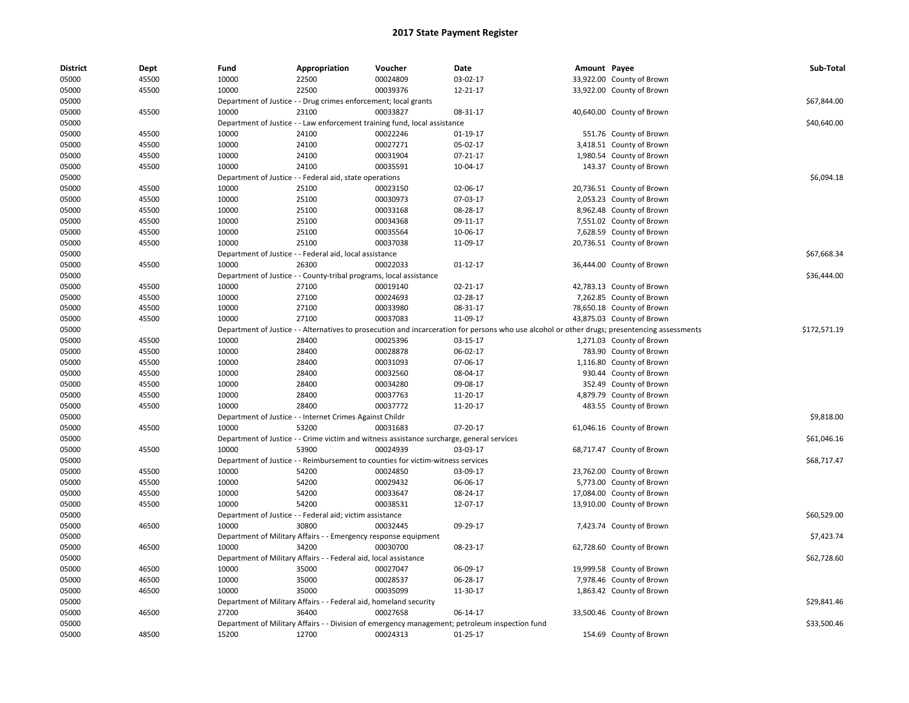| <b>District</b> | Dept  | Fund  | Appropriation                                                                             | Voucher  | Date                                                                                                                                          | Amount Payee |                           | Sub-Total    |
|-----------------|-------|-------|-------------------------------------------------------------------------------------------|----------|-----------------------------------------------------------------------------------------------------------------------------------------------|--------------|---------------------------|--------------|
| 05000           | 45500 | 10000 | 22500                                                                                     | 00024809 | 03-02-17                                                                                                                                      |              | 33,922.00 County of Brown |              |
| 05000           | 45500 | 10000 | 22500                                                                                     | 00039376 | 12-21-17                                                                                                                                      |              | 33,922.00 County of Brown |              |
| 05000           |       |       | Department of Justice - - Drug crimes enforcement; local grants                           |          |                                                                                                                                               |              |                           | \$67,844.00  |
| 05000           | 45500 | 10000 | 23100                                                                                     | 00033827 | 08-31-17                                                                                                                                      |              | 40,640.00 County of Brown |              |
| 05000           |       |       | Department of Justice - - Law enforcement training fund, local assistance                 |          |                                                                                                                                               |              |                           | \$40,640.00  |
| 05000           | 45500 | 10000 | 24100                                                                                     | 00022246 | 01-19-17                                                                                                                                      |              | 551.76 County of Brown    |              |
| 05000           | 45500 | 10000 | 24100                                                                                     | 00027271 | 05-02-17                                                                                                                                      |              | 3,418.51 County of Brown  |              |
| 05000           | 45500 | 10000 | 24100                                                                                     | 00031904 | $07-21-17$                                                                                                                                    |              | 1,980.54 County of Brown  |              |
| 05000           | 45500 | 10000 | 24100                                                                                     | 00035591 | 10-04-17                                                                                                                                      |              | 143.37 County of Brown    |              |
| 05000           |       |       | Department of Justice - - Federal aid, state operations                                   |          |                                                                                                                                               |              |                           | \$6,094.18   |
| 05000           | 45500 | 10000 | 25100                                                                                     | 00023150 | 02-06-17                                                                                                                                      |              | 20,736.51 County of Brown |              |
| 05000           | 45500 | 10000 | 25100                                                                                     | 00030973 | 07-03-17                                                                                                                                      |              | 2,053.23 County of Brown  |              |
| 05000           | 45500 | 10000 | 25100                                                                                     | 00033168 | 08-28-17                                                                                                                                      |              | 8,962.48 County of Brown  |              |
| 05000           | 45500 | 10000 | 25100                                                                                     | 00034368 | 09-11-17                                                                                                                                      |              | 7,551.02 County of Brown  |              |
| 05000           | 45500 | 10000 | 25100                                                                                     | 00035564 | 10-06-17                                                                                                                                      |              | 7,628.59 County of Brown  |              |
| 05000           | 45500 | 10000 | 25100                                                                                     | 00037038 | 11-09-17                                                                                                                                      |              | 20,736.51 County of Brown |              |
| 05000           |       |       | Department of Justice - - Federal aid, local assistance                                   |          |                                                                                                                                               |              |                           | \$67,668.34  |
| 05000           | 45500 | 10000 | 26300                                                                                     | 00022033 | $01 - 12 - 17$                                                                                                                                |              | 36,444.00 County of Brown |              |
| 05000           |       |       | Department of Justice - - County-tribal programs, local assistance                        |          |                                                                                                                                               |              |                           | \$36,444.00  |
| 05000           | 45500 | 10000 | 27100                                                                                     | 00019140 | $02 - 21 - 17$                                                                                                                                |              | 42,783.13 County of Brown |              |
| 05000           | 45500 | 10000 | 27100                                                                                     | 00024693 | 02-28-17                                                                                                                                      |              | 7,262.85 County of Brown  |              |
| 05000           | 45500 | 10000 | 27100                                                                                     | 00033980 | 08-31-17                                                                                                                                      |              | 78,650.18 County of Brown |              |
| 05000           | 45500 | 10000 | 27100                                                                                     | 00037083 | 11-09-17                                                                                                                                      |              | 43,875.03 County of Brown |              |
| 05000           |       |       |                                                                                           |          | Department of Justice - - Alternatives to prosecution and incarceration for persons who use alcohol or other drugs; presentencing assessments |              |                           | \$172,571.19 |
| 05000           | 45500 | 10000 | 28400                                                                                     | 00025396 | 03-15-17                                                                                                                                      |              | 1,271.03 County of Brown  |              |
| 05000           | 45500 | 10000 | 28400                                                                                     | 00028878 | 06-02-17                                                                                                                                      |              | 783.90 County of Brown    |              |
| 05000           | 45500 | 10000 | 28400                                                                                     | 00031093 | 07-06-17                                                                                                                                      |              | 1,116.80 County of Brown  |              |
| 05000           | 45500 | 10000 | 28400                                                                                     | 00032560 | 08-04-17                                                                                                                                      |              | 930.44 County of Brown    |              |
| 05000           | 45500 | 10000 | 28400                                                                                     | 00034280 | 09-08-17                                                                                                                                      |              | 352.49 County of Brown    |              |
| 05000           | 45500 | 10000 | 28400                                                                                     | 00037763 | 11-20-17                                                                                                                                      |              | 4,879.79 County of Brown  |              |
| 05000           | 45500 | 10000 | 28400                                                                                     | 00037772 | 11-20-17                                                                                                                                      |              | 483.55 County of Brown    |              |
| 05000           |       |       | Department of Justice - - Internet Crimes Against Childr                                  |          |                                                                                                                                               |              |                           | \$9,818.00   |
| 05000           | 45500 | 10000 | 53200                                                                                     | 00031683 | 07-20-17                                                                                                                                      |              | 61,046.16 County of Brown |              |
| 05000           |       |       | Department of Justice - - Crime victim and witness assistance surcharge, general services |          |                                                                                                                                               |              |                           | \$61,046.16  |
| 05000           | 45500 | 10000 | 53900                                                                                     | 00024939 | 03-03-17                                                                                                                                      |              | 68,717.47 County of Brown |              |
| 05000           |       |       | Department of Justice - - Reimbursement to counties for victim-witness services           |          |                                                                                                                                               |              |                           | \$68,717.47  |
| 05000           | 45500 | 10000 | 54200                                                                                     | 00024850 | 03-09-17                                                                                                                                      |              | 23,762.00 County of Brown |              |
| 05000           | 45500 | 10000 | 54200                                                                                     | 00029432 | 06-06-17                                                                                                                                      |              | 5,773.00 County of Brown  |              |
| 05000           | 45500 | 10000 | 54200                                                                                     | 00033647 | 08-24-17                                                                                                                                      |              | 17,084.00 County of Brown |              |
| 05000           | 45500 | 10000 | 54200                                                                                     | 00038531 | 12-07-17                                                                                                                                      |              | 13,910.00 County of Brown |              |
| 05000           |       |       | Department of Justice - - Federal aid; victim assistance                                  |          |                                                                                                                                               |              |                           | \$60,529.00  |
| 05000           | 46500 | 10000 | 30800                                                                                     | 00032445 | 09-29-17                                                                                                                                      |              | 7,423.74 County of Brown  |              |
| 05000           |       |       | Department of Military Affairs - - Emergency response equipment                           |          |                                                                                                                                               |              |                           | \$7,423.74   |
| 05000           | 46500 | 10000 | 34200                                                                                     | 00030700 | 08-23-17                                                                                                                                      |              | 62,728.60 County of Brown |              |
| 05000           |       |       | Department of Military Affairs - - Federal aid, local assistance                          |          |                                                                                                                                               |              |                           | \$62,728.60  |
| 05000           | 46500 | 10000 | 35000                                                                                     | 00027047 | 06-09-17                                                                                                                                      |              | 19,999.58 County of Brown |              |
| 05000           | 46500 | 10000 | 35000                                                                                     | 00028537 | 06-28-17                                                                                                                                      |              | 7,978.46 County of Brown  |              |
| 05000           | 46500 | 10000 | 35000                                                                                     | 00035099 | 11-30-17                                                                                                                                      |              | 1,863.42 County of Brown  |              |
| 05000           |       |       | Department of Military Affairs - - Federal aid, homeland security                         |          |                                                                                                                                               |              |                           | \$29.841.46  |
| 05000           | 46500 | 27200 | 36400                                                                                     | 00027658 | 06-14-17                                                                                                                                      |              | 33,500.46 County of Brown |              |
| 05000           |       |       |                                                                                           |          | Department of Military Affairs - - Division of emergency management; petroleum inspection fund                                                |              |                           | \$33,500.46  |
| 05000           | 48500 | 15200 | 12700                                                                                     | 00024313 | $01-25-17$                                                                                                                                    |              | 154.69 County of Brown    |              |
|                 |       |       |                                                                                           |          |                                                                                                                                               |              |                           |              |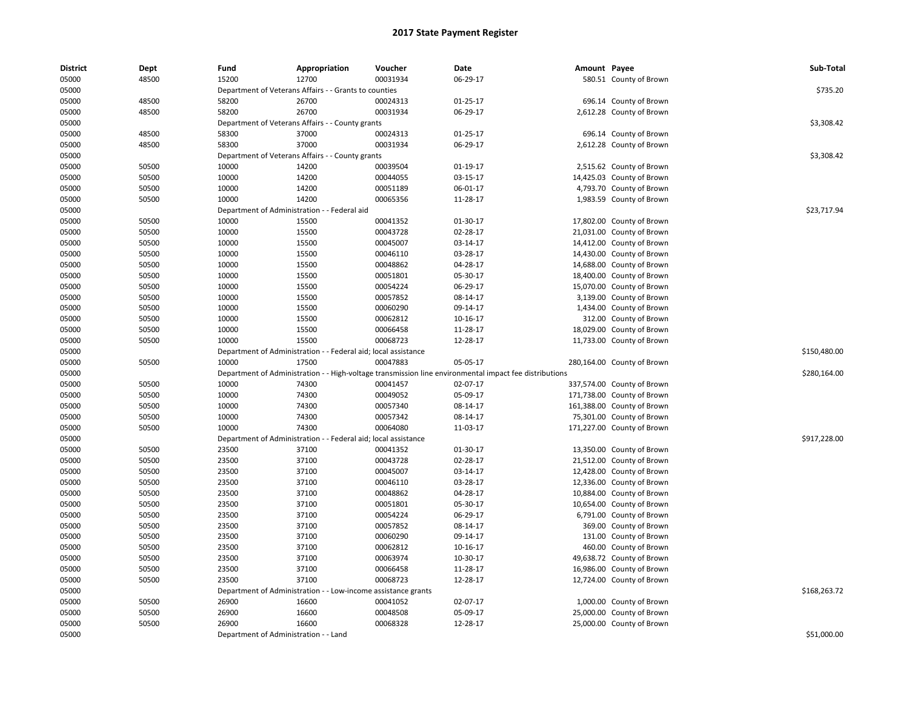| <b>District</b> | Dept  | Fund                         | Appropriation                                                                                          | Voucher                         | Date           | Amount Payee |                            | Sub-Total    |
|-----------------|-------|------------------------------|--------------------------------------------------------------------------------------------------------|---------------------------------|----------------|--------------|----------------------------|--------------|
| 05000           | 48500 | 15200                        | 12700                                                                                                  | 00031934                        | 06-29-17       |              | 580.51 County of Brown     |              |
| 05000           |       |                              | Department of Veterans Affairs - - Grants to counties                                                  |                                 |                |              |                            | \$735.20     |
| 05000           | 48500 | 58200                        | 26700                                                                                                  | 00024313                        | $01 - 25 - 17$ |              | 696.14 County of Brown     |              |
| 05000           | 48500 | 58200                        | 26700                                                                                                  | 00031934                        | 06-29-17       |              | 2,612.28 County of Brown   |              |
| 05000           |       |                              | Department of Veterans Affairs - - County grants                                                       |                                 |                |              |                            | \$3,308.42   |
| 05000           | 48500 | 58300                        | 37000                                                                                                  | 00024313                        | $01 - 25 - 17$ |              | 696.14 County of Brown     |              |
| 05000           | 48500 | 58300                        | 37000                                                                                                  | 00031934                        | 06-29-17       |              | 2,612.28 County of Brown   |              |
| 05000           |       |                              | Department of Veterans Affairs - - County grants                                                       |                                 |                |              |                            | \$3,308.42   |
| 05000           | 50500 | 10000                        | 14200                                                                                                  | 00039504                        | 01-19-17       |              | 2,515.62 County of Brown   |              |
| 05000           | 50500 | 10000                        | 14200                                                                                                  | 00044055                        | 03-15-17       |              | 14,425.03 County of Brown  |              |
| 05000           | 50500 | 10000                        | 14200                                                                                                  | 00051189                        | 06-01-17       |              | 4,793.70 County of Brown   |              |
| 05000           | 50500 | 10000                        | 14200                                                                                                  | 00065356                        | 11-28-17       |              | 1,983.59 County of Brown   |              |
| 05000           |       |                              | Department of Administration - - Federal aid                                                           |                                 |                |              |                            | \$23.717.94  |
| 05000           | 50500 | 10000                        | 15500                                                                                                  | 00041352                        | 01-30-17       |              | 17,802.00 County of Brown  |              |
| 05000           | 50500 | 10000                        | 15500                                                                                                  | 00043728                        | 02-28-17       |              | 21,031.00 County of Brown  |              |
| 05000           | 50500 | 10000                        | 15500                                                                                                  | 00045007                        | 03-14-17       |              | 14,412.00 County of Brown  |              |
| 05000           | 50500 | 10000                        | 15500                                                                                                  | 00046110                        | 03-28-17       |              | 14,430.00 County of Brown  |              |
| 05000           | 50500 | 10000                        | 15500                                                                                                  | 00048862                        | 04-28-17       |              | 14,688.00 County of Brown  |              |
| 05000           | 50500 | 10000                        | 15500                                                                                                  | 00051801                        | 05-30-17       |              | 18,400.00 County of Brown  |              |
| 05000           | 50500 | 10000                        | 15500                                                                                                  | 00054224                        | 06-29-17       |              | 15,070.00 County of Brown  |              |
| 05000           | 50500 | 10000                        | 15500                                                                                                  | 00057852                        | 08-14-17       |              | 3,139.00 County of Brown   |              |
| 05000           | 50500 | 10000                        | 15500                                                                                                  | 00060290                        | 09-14-17       |              | 1,434.00 County of Brown   |              |
| 05000           | 50500 | 10000                        | 15500                                                                                                  | 00062812                        | 10-16-17       |              | 312.00 County of Brown     |              |
| 05000           | 50500 | 10000                        | 15500                                                                                                  | 00066458                        | 11-28-17       |              | 18,029.00 County of Brown  |              |
| 05000           | 50500 | 10000                        | 15500                                                                                                  | 00068723                        | 12-28-17       |              | 11,733.00 County of Brown  |              |
| 05000           |       |                              | Department of Administration - - Federal aid; local assistance                                         |                                 |                |              |                            | \$150,480.00 |
| 05000           | 50500 | 10000                        | 17500                                                                                                  | 00047883                        | 05-05-17       |              | 280,164.00 County of Brown |              |
| 05000           |       |                              | Department of Administration - - High-voltage transmission line environmental impact fee distributions |                                 |                |              |                            | \$280,164.00 |
| 05000           | 50500 | 10000                        | 74300                                                                                                  | 00041457                        | 02-07-17       |              | 337,574.00 County of Brown |              |
| 05000           | 50500 | 10000                        | 74300                                                                                                  | 00049052                        | 05-09-17       |              | 171,738.00 County of Brown |              |
| 05000           | 50500 | 10000                        | 74300                                                                                                  | 00057340                        | 08-14-17       |              | 161,388.00 County of Brown |              |
| 05000           | 50500 | 10000                        | 74300                                                                                                  | 00057342                        | 08-14-17       |              | 75,301.00 County of Brown  |              |
| 05000           | 50500 | 10000                        | 74300                                                                                                  | 00064080                        | 11-03-17       |              | 171,227.00 County of Brown |              |
| 05000           |       | Department of Administration |                                                                                                        | - Federal aid; local assistance |                |              |                            | \$917,228.00 |
| 05000           | 50500 | 23500                        | 37100                                                                                                  | 00041352                        | 01-30-17       |              | 13,350.00 County of Brown  |              |
| 05000           | 50500 | 23500                        | 37100                                                                                                  | 00043728                        | 02-28-17       |              | 21,512.00 County of Brown  |              |
| 05000           | 50500 | 23500                        | 37100                                                                                                  | 00045007                        | 03-14-17       |              | 12,428.00 County of Brown  |              |
| 05000           | 50500 | 23500                        | 37100                                                                                                  | 00046110                        | 03-28-17       |              | 12,336.00 County of Brown  |              |
| 05000           | 50500 | 23500                        | 37100                                                                                                  | 00048862                        | 04-28-17       |              | 10,884.00 County of Brown  |              |
| 05000           | 50500 | 23500                        | 37100                                                                                                  | 00051801                        | 05-30-17       |              | 10,654.00 County of Brown  |              |
| 05000           | 50500 | 23500                        | 37100                                                                                                  | 00054224                        | 06-29-17       |              | 6,791.00 County of Brown   |              |
| 05000           | 50500 | 23500                        | 37100                                                                                                  | 00057852                        | 08-14-17       |              | 369.00 County of Brown     |              |
| 05000           | 50500 | 23500                        | 37100                                                                                                  | 00060290                        | 09-14-17       |              | 131.00 County of Brown     |              |
| 05000           | 50500 | 23500                        | 37100                                                                                                  | 00062812                        | 10-16-17       |              | 460.00 County of Brown     |              |
| 05000           | 50500 | 23500                        | 37100                                                                                                  | 00063974                        | 10-30-17       |              | 49,638.72 County of Brown  |              |
| 05000           | 50500 | 23500                        | 37100                                                                                                  | 00066458                        | 11-28-17       |              | 16,986.00 County of Brown  |              |
| 05000           | 50500 | 23500                        | 37100                                                                                                  | 00068723                        | 12-28-17       |              | 12,724.00 County of Brown  |              |
| 05000           |       |                              | Department of Administration - - Low-income assistance grants                                          |                                 |                |              |                            | \$168,263.72 |
| 05000           | 50500 | 26900                        | 16600                                                                                                  | 00041052                        | 02-07-17       |              | 1,000.00 County of Brown   |              |
| 05000           | 50500 | 26900                        | 16600                                                                                                  | 00048508                        | 05-09-17       |              | 25,000.00 County of Brown  |              |
| 05000           | 50500 | 26900                        | 16600                                                                                                  | 00068328                        | 12-28-17       |              | 25,000.00 County of Brown  |              |
| 05000           |       |                              | Department of Administration - - Land                                                                  |                                 |                |              |                            | \$51,000.00  |
|                 |       |                              |                                                                                                        |                                 |                |              |                            |              |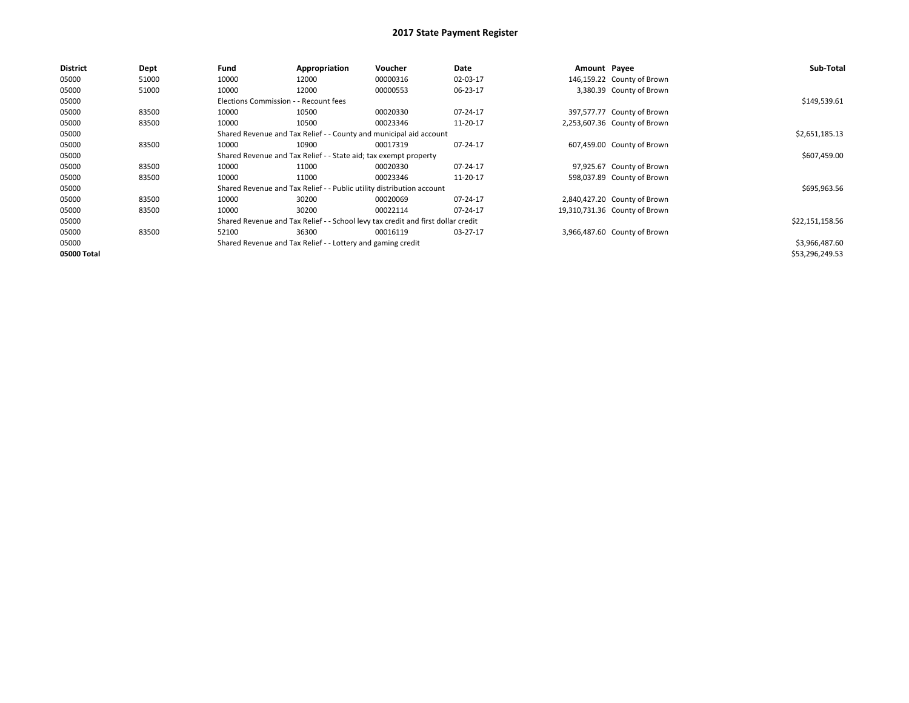| <b>District</b> | Dept  | Fund                                                               | Appropriation                                                         | <b>Voucher</b>                                                                   | Date     | Amount Payee |                               | Sub-Total       |
|-----------------|-------|--------------------------------------------------------------------|-----------------------------------------------------------------------|----------------------------------------------------------------------------------|----------|--------------|-------------------------------|-----------------|
| 05000           | 51000 | 10000                                                              | 12000                                                                 | 00000316                                                                         | 02-03-17 |              | 146,159.22 County of Brown    |                 |
| 05000           | 51000 | 10000                                                              | 12000                                                                 | 00000553                                                                         | 06-23-17 |              | 3,380.39 County of Brown      |                 |
| 05000           |       | Elections Commission - - Recount fees                              |                                                                       |                                                                                  |          |              |                               | \$149,539.61    |
| 05000           | 83500 | 10000                                                              | 10500                                                                 | 00020330                                                                         | 07-24-17 |              | 397,577.77 County of Brown    |                 |
| 05000           | 83500 | 10000                                                              | 10500                                                                 | 00023346                                                                         | 11-20-17 |              | 2,253,607.36 County of Brown  |                 |
| 05000           |       | Shared Revenue and Tax Relief - - County and municipal aid account |                                                                       | \$2,651,185.13                                                                   |          |              |                               |                 |
| 05000           | 83500 | 10000                                                              | 10900                                                                 | 00017319                                                                         | 07-24-17 |              | 607,459.00 County of Brown    |                 |
| 05000           |       |                                                                    | Shared Revenue and Tax Relief - - State aid; tax exempt property      |                                                                                  |          |              |                               | \$607,459.00    |
| 05000           | 83500 | 10000                                                              | 11000                                                                 | 00020330                                                                         | 07-24-17 |              | 97,925.67 County of Brown     |                 |
| 05000           | 83500 | 10000                                                              | 11000                                                                 | 00023346                                                                         | 11-20-17 |              | 598,037.89 County of Brown    |                 |
| 05000           |       |                                                                    | Shared Revenue and Tax Relief - - Public utility distribution account |                                                                                  |          |              |                               | \$695,963.56    |
| 05000           | 83500 | 10000                                                              | 30200                                                                 | 00020069                                                                         | 07-24-17 |              | 2,840,427.20 County of Brown  |                 |
| 05000           | 83500 | 10000                                                              | 30200                                                                 | 00022114                                                                         | 07-24-17 |              | 19,310,731.36 County of Brown |                 |
| 05000           |       |                                                                    |                                                                       | Shared Revenue and Tax Relief - - School levy tax credit and first dollar credit |          |              |                               | \$22,151,158.56 |
| 05000           | 83500 | 52100                                                              | 36300                                                                 | 00016119                                                                         | 03-27-17 |              | 3,966,487.60 County of Brown  |                 |
| 05000           |       |                                                                    | Shared Revenue and Tax Relief - - Lottery and gaming credit           |                                                                                  |          |              |                               | \$3,966,487.60  |
| 05000 Total     |       |                                                                    |                                                                       |                                                                                  |          |              |                               | \$53,296,249.53 |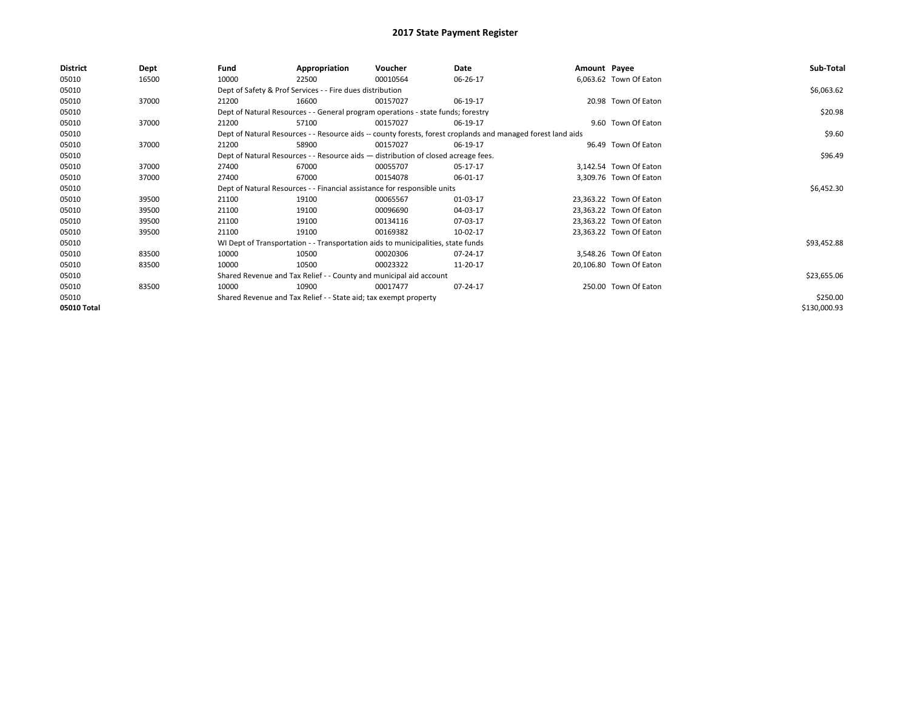| District    | Dept  | Fund  | Appropriation                                                                                                | Voucher  | Date     | Amount Payee |                         | Sub-Total    |
|-------------|-------|-------|--------------------------------------------------------------------------------------------------------------|----------|----------|--------------|-------------------------|--------------|
| 05010       | 16500 | 10000 | 22500                                                                                                        | 00010564 | 06-26-17 |              | 6,063.62 Town Of Eaton  |              |
| 05010       |       |       | Dept of Safety & Prof Services - - Fire dues distribution                                                    |          |          |              |                         | \$6,063.62   |
| 05010       | 37000 | 21200 | 16600                                                                                                        | 00157027 | 06-19-17 |              | 20.98 Town Of Eaton     |              |
| 05010       |       |       | Dept of Natural Resources - - General program operations - state funds; forestry                             |          |          |              |                         | \$20.98      |
| 05010       | 37000 | 21200 | 57100                                                                                                        | 00157027 | 06-19-17 |              | 9.60 Town Of Eaton      |              |
| 05010       |       |       | Dept of Natural Resources - - Resource aids -- county forests, forest croplands and managed forest land aids |          |          |              |                         | \$9.60       |
| 05010       | 37000 | 21200 | 58900                                                                                                        | 00157027 | 06-19-17 |              | 96.49 Town Of Eaton     |              |
| 05010       |       |       | Dept of Natural Resources - - Resource aids - distribution of closed acreage fees.                           |          |          |              |                         | \$96.49      |
| 05010       | 37000 | 27400 | 67000                                                                                                        | 00055707 | 05-17-17 |              | 3,142.54 Town Of Eaton  |              |
| 05010       | 37000 | 27400 | 67000                                                                                                        | 00154078 | 06-01-17 |              | 3,309.76 Town Of Eaton  |              |
| 05010       |       |       | Dept of Natural Resources - - Financial assistance for responsible units                                     |          |          |              |                         | \$6,452.30   |
| 05010       | 39500 | 21100 | 19100                                                                                                        | 00065567 | 01-03-17 |              | 23,363.22 Town Of Eaton |              |
| 05010       | 39500 | 21100 | 19100                                                                                                        | 00096690 | 04-03-17 |              | 23,363.22 Town Of Eaton |              |
| 05010       | 39500 | 21100 | 19100                                                                                                        | 00134116 | 07-03-17 |              | 23,363.22 Town Of Eaton |              |
| 05010       | 39500 | 21100 | 19100                                                                                                        | 00169382 | 10-02-17 |              | 23,363.22 Town Of Eaton |              |
| 05010       |       |       | WI Dept of Transportation - - Transportation aids to municipalities, state funds                             |          |          |              |                         | \$93,452.88  |
| 05010       | 83500 | 10000 | 10500                                                                                                        | 00020306 | 07-24-17 |              | 3,548.26 Town Of Eaton  |              |
| 05010       | 83500 | 10000 | 10500                                                                                                        | 00023322 | 11-20-17 |              | 20,106.80 Town Of Eaton |              |
| 05010       |       |       | Shared Revenue and Tax Relief - - County and municipal aid account                                           |          |          |              |                         | \$23,655.06  |
| 05010       | 83500 | 10000 | 10900                                                                                                        | 00017477 | 07-24-17 |              | 250.00 Town Of Eaton    |              |
| 05010       |       |       | Shared Revenue and Tax Relief - - State aid; tax exempt property                                             |          |          |              |                         | \$250.00     |
| 05010 Total |       |       |                                                                                                              |          |          |              |                         | \$130,000.93 |
|             |       |       |                                                                                                              |          |          |              |                         |              |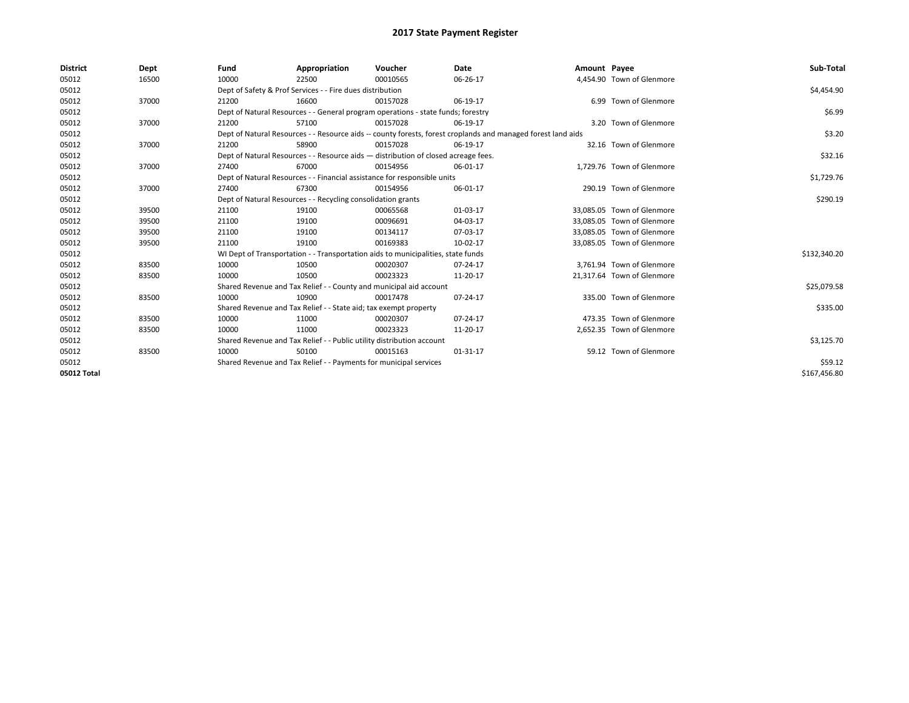| <b>District</b> | Dept  | Fund  | Appropriation                                                                                                | Voucher  | Date     | Amount Payee |                            | Sub-Total    |
|-----------------|-------|-------|--------------------------------------------------------------------------------------------------------------|----------|----------|--------------|----------------------------|--------------|
| 05012           | 16500 | 10000 | 22500                                                                                                        | 00010565 | 06-26-17 |              | 4,454.90 Town of Glenmore  |              |
| 05012           |       |       | Dept of Safety & Prof Services - - Fire dues distribution                                                    |          |          |              |                            | \$4,454.90   |
| 05012           | 37000 | 21200 | 16600                                                                                                        | 00157028 | 06-19-17 |              | 6.99 Town of Glenmore      |              |
| 05012           |       |       | Dept of Natural Resources - - General program operations - state funds; forestry                             |          |          |              |                            | \$6.99       |
| 05012           | 37000 | 21200 | 57100                                                                                                        | 00157028 | 06-19-17 |              | 3.20 Town of Glenmore      |              |
| 05012           |       |       | Dept of Natural Resources - - Resource aids -- county forests, forest croplands and managed forest land aids |          |          |              |                            | \$3.20       |
| 05012           | 37000 | 21200 | 58900                                                                                                        | 00157028 | 06-19-17 |              | 32.16 Town of Glenmore     |              |
| 05012           |       |       | Dept of Natural Resources - - Resource aids - distribution of closed acreage fees.                           |          |          |              |                            | \$32.16      |
| 05012           | 37000 | 27400 | 67000                                                                                                        | 00154956 | 06-01-17 |              | 1,729.76 Town of Glenmore  |              |
| 05012           |       |       | Dept of Natural Resources - - Financial assistance for responsible units                                     |          |          |              |                            | \$1,729.76   |
| 05012           | 37000 | 27400 | 67300                                                                                                        | 00154956 | 06-01-17 |              | 290.19 Town of Glenmore    |              |
| 05012           |       |       | Dept of Natural Resources - - Recycling consolidation grants                                                 |          |          |              |                            | \$290.19     |
| 05012           | 39500 | 21100 | 19100                                                                                                        | 00065568 | 01-03-17 |              | 33,085.05 Town of Glenmore |              |
| 05012           | 39500 | 21100 | 19100                                                                                                        | 00096691 | 04-03-17 |              | 33,085.05 Town of Glenmore |              |
| 05012           | 39500 | 21100 | 19100                                                                                                        | 00134117 | 07-03-17 |              | 33,085.05 Town of Glenmore |              |
| 05012           | 39500 | 21100 | 19100                                                                                                        | 00169383 | 10-02-17 |              | 33,085.05 Town of Glenmore |              |
| 05012           |       |       | WI Dept of Transportation - - Transportation aids to municipalities, state funds                             |          |          |              |                            | \$132,340.20 |
| 05012           | 83500 | 10000 | 10500                                                                                                        | 00020307 | 07-24-17 |              | 3.761.94 Town of Glenmore  |              |
| 05012           | 83500 | 10000 | 10500                                                                                                        | 00023323 | 11-20-17 |              | 21,317.64 Town of Glenmore |              |
| 05012           |       |       | Shared Revenue and Tax Relief - - County and municipal aid account                                           |          |          |              |                            | \$25,079.58  |
| 05012           | 83500 | 10000 | 10900                                                                                                        | 00017478 | 07-24-17 |              | 335.00 Town of Glenmore    |              |
| 05012           |       |       | Shared Revenue and Tax Relief - - State aid; tax exempt property                                             |          |          |              |                            | \$335.00     |
| 05012           | 83500 | 10000 | 11000                                                                                                        | 00020307 | 07-24-17 |              | 473.35 Town of Glenmore    |              |
| 05012           | 83500 | 10000 | 11000                                                                                                        | 00023323 | 11-20-17 |              | 2,652.35 Town of Glenmore  |              |
| 05012           |       |       | Shared Revenue and Tax Relief - - Public utility distribution account                                        |          |          |              |                            | \$3,125.70   |
| 05012           | 83500 | 10000 | 50100                                                                                                        | 00015163 | 01-31-17 |              | 59.12 Town of Glenmore     |              |
| 05012           |       |       | Shared Revenue and Tax Relief - - Payments for municipal services                                            |          |          |              |                            | \$59.12      |
| 05012 Total     |       |       |                                                                                                              |          |          |              |                            | \$167.456.80 |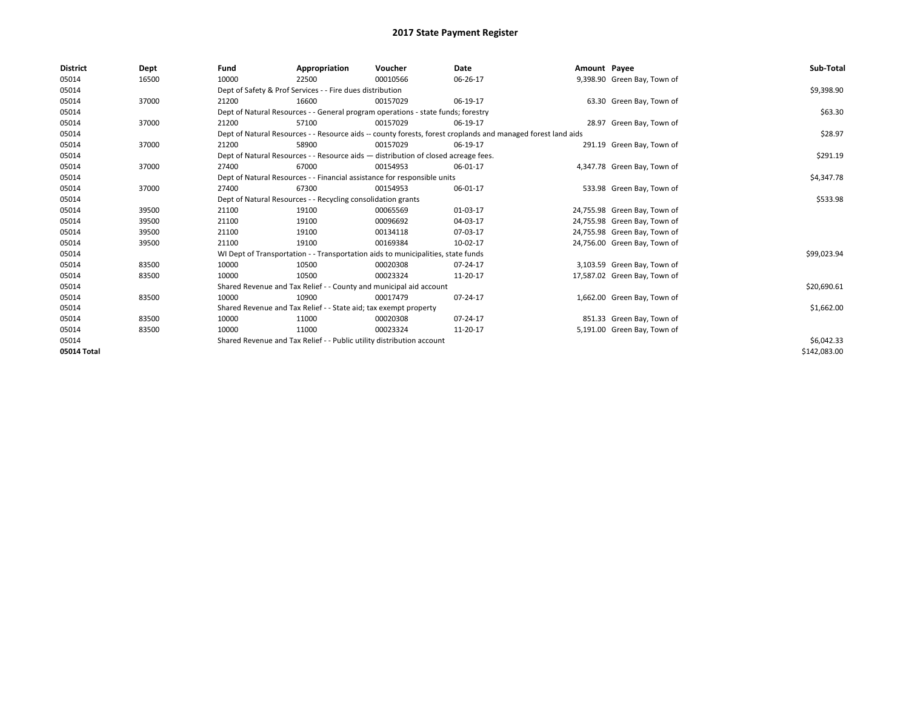| <b>District</b> | Dept  | Fund  | Appropriation                                                                                                | Voucher  | <b>Date</b> | Amount Payee |                              | Sub-Total    |  |  |
|-----------------|-------|-------|--------------------------------------------------------------------------------------------------------------|----------|-------------|--------------|------------------------------|--------------|--|--|
| 05014           | 16500 | 10000 | 22500                                                                                                        | 00010566 | 06-26-17    |              | 9,398.90 Green Bay, Town of  |              |  |  |
| 05014           |       |       | Dept of Safety & Prof Services - - Fire dues distribution                                                    |          |             |              |                              | \$9,398.90   |  |  |
| 05014           | 37000 | 21200 | 16600                                                                                                        | 00157029 | 06-19-17    |              | 63.30 Green Bay, Town of     |              |  |  |
| 05014           |       |       | Dept of Natural Resources - - General program operations - state funds; forestry                             |          |             |              |                              | \$63.30      |  |  |
| 05014           | 37000 | 21200 | 57100                                                                                                        | 00157029 | 06-19-17    |              | 28.97 Green Bay, Town of     |              |  |  |
| 05014           |       |       | Dept of Natural Resources - - Resource aids -- county forests, forest croplands and managed forest land aids |          |             |              |                              |              |  |  |
| 05014           | 37000 | 21200 | 58900                                                                                                        | 00157029 | 06-19-17    |              | 291.19 Green Bay, Town of    |              |  |  |
| 05014           |       |       | Dept of Natural Resources - - Resource aids - distribution of closed acreage fees.                           |          |             |              |                              | \$291.19     |  |  |
| 05014           | 37000 | 27400 | 67000                                                                                                        | 00154953 | 06-01-17    |              | 4,347.78 Green Bay, Town of  |              |  |  |
| 05014           |       |       | Dept of Natural Resources - - Financial assistance for responsible units                                     |          |             |              |                              | \$4,347.78   |  |  |
| 05014           | 37000 | 27400 | 67300                                                                                                        | 00154953 | 06-01-17    |              | 533.98 Green Bay, Town of    |              |  |  |
| 05014           |       |       | Dept of Natural Resources - - Recycling consolidation grants                                                 |          | \$533.98    |              |                              |              |  |  |
| 05014           | 39500 | 21100 | 19100                                                                                                        | 00065569 | 01-03-17    |              | 24,755.98 Green Bay, Town of |              |  |  |
| 05014           | 39500 | 21100 | 19100                                                                                                        | 00096692 | 04-03-17    |              | 24,755.98 Green Bay, Town of |              |  |  |
| 05014           | 39500 | 21100 | 19100                                                                                                        | 00134118 | 07-03-17    |              | 24,755.98 Green Bay, Town of |              |  |  |
| 05014           | 39500 | 21100 | 19100                                                                                                        | 00169384 | 10-02-17    |              | 24,756.00 Green Bay, Town of |              |  |  |
| 05014           |       |       | WI Dept of Transportation - - Transportation aids to municipalities, state funds                             |          |             |              |                              | \$99,023.94  |  |  |
| 05014           | 83500 | 10000 | 10500                                                                                                        | 00020308 | 07-24-17    |              | 3,103.59 Green Bay, Town of  |              |  |  |
| 05014           | 83500 | 10000 | 10500                                                                                                        | 00023324 | 11-20-17    |              | 17,587.02 Green Bay, Town of |              |  |  |
| 05014           |       |       | Shared Revenue and Tax Relief - - County and municipal aid account                                           |          |             |              |                              | \$20,690.61  |  |  |
| 05014           | 83500 | 10000 | 10900                                                                                                        | 00017479 | 07-24-17    |              | 1,662.00 Green Bay, Town of  |              |  |  |
| 05014           |       |       | Shared Revenue and Tax Relief - - State aid; tax exempt property                                             |          |             |              |                              | \$1,662.00   |  |  |
| 05014           | 83500 | 10000 | 11000                                                                                                        | 00020308 | 07-24-17    |              | 851.33 Green Bay, Town of    |              |  |  |
| 05014           | 83500 | 10000 | 11000                                                                                                        | 00023324 | 11-20-17    |              | 5,191.00 Green Bay, Town of  |              |  |  |
| 05014           |       |       | Shared Revenue and Tax Relief - - Public utility distribution account                                        |          |             |              |                              |              |  |  |
| 05014 Total     |       |       |                                                                                                              |          |             |              |                              | \$142,083.00 |  |  |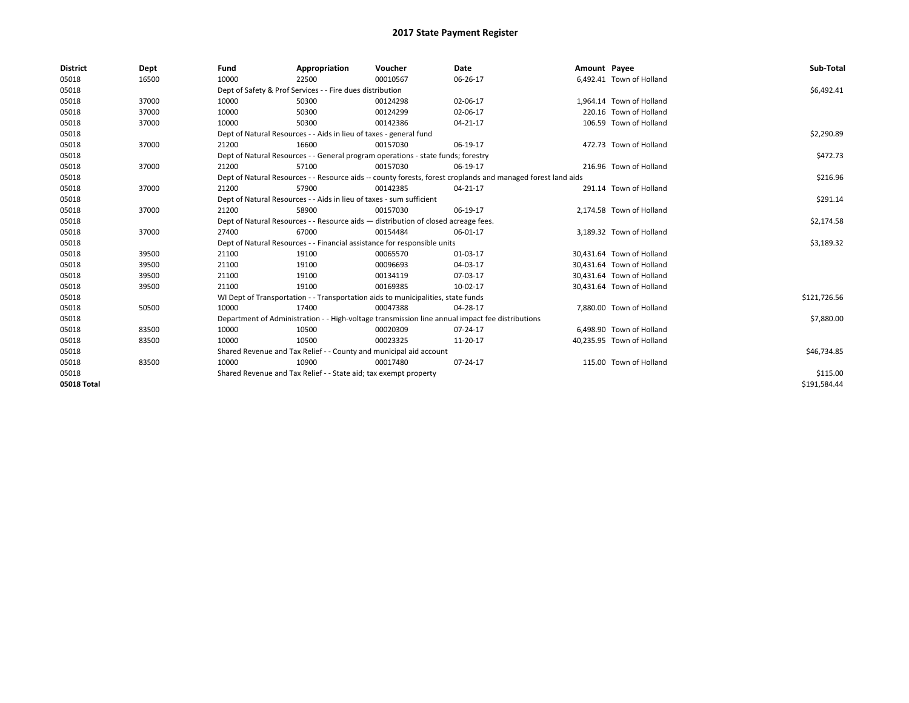| <b>District</b> | Dept  | Fund                                                                               | Appropriation                                                                    | Voucher    | Date                                                                                                         | Amount Payee |                           | Sub-Total    |
|-----------------|-------|------------------------------------------------------------------------------------|----------------------------------------------------------------------------------|------------|--------------------------------------------------------------------------------------------------------------|--------------|---------------------------|--------------|
| 05018           | 16500 | 10000                                                                              | 22500                                                                            | 00010567   | 06-26-17                                                                                                     |              | 6,492.41 Town of Holland  |              |
| 05018           |       |                                                                                    | Dept of Safety & Prof Services - - Fire dues distribution                        |            |                                                                                                              |              |                           | \$6,492.41   |
| 05018           | 37000 | 10000                                                                              | 50300                                                                            | 00124298   | 02-06-17                                                                                                     |              | 1,964.14 Town of Holland  |              |
| 05018           | 37000 | 10000                                                                              | 50300                                                                            | 00124299   | 02-06-17                                                                                                     |              | 220.16 Town of Holland    |              |
| 05018           | 37000 | 10000                                                                              | 50300                                                                            | 00142386   | 04-21-17                                                                                                     |              | 106.59 Town of Holland    |              |
| 05018           |       |                                                                                    | Dept of Natural Resources - - Aids in lieu of taxes - general fund               |            |                                                                                                              |              |                           | \$2,290.89   |
| 05018           | 37000 | 21200                                                                              | 16600                                                                            | 00157030   | 06-19-17                                                                                                     |              | 472.73 Town of Holland    |              |
| 05018           |       | Dept of Natural Resources - - General program operations - state funds; forestry   |                                                                                  | \$472.73   |                                                                                                              |              |                           |              |
| 05018           | 37000 | 21200                                                                              | 57100                                                                            | 00157030   | 06-19-17                                                                                                     |              | 216.96 Town of Holland    |              |
| 05018           |       |                                                                                    |                                                                                  |            | Dept of Natural Resources - - Resource aids -- county forests, forest croplands and managed forest land aids |              |                           | \$216.96     |
| 05018           | 37000 | 21200                                                                              | 57900                                                                            | 00142385   | 04-21-17                                                                                                     |              | 291.14 Town of Holland    |              |
| 05018           |       |                                                                                    | Dept of Natural Resources - - Aids in lieu of taxes - sum sufficient             |            |                                                                                                              |              |                           | \$291.14     |
| 05018           | 37000 | 21200                                                                              | 58900                                                                            | 00157030   | 06-19-17                                                                                                     |              | 2.174.58 Town of Holland  |              |
| 05018           |       | Dept of Natural Resources - - Resource aids - distribution of closed acreage fees. |                                                                                  | \$2,174.58 |                                                                                                              |              |                           |              |
| 05018           | 37000 | 27400                                                                              | 67000                                                                            | 00154484   | 06-01-17                                                                                                     |              | 3,189.32 Town of Holland  |              |
| 05018           |       |                                                                                    | Dept of Natural Resources - - Financial assistance for responsible units         |            |                                                                                                              |              |                           | \$3,189.32   |
| 05018           | 39500 | 21100                                                                              | 19100                                                                            | 00065570   | 01-03-17                                                                                                     |              | 30,431.64 Town of Holland |              |
| 05018           | 39500 | 21100                                                                              | 19100                                                                            | 00096693   | 04-03-17                                                                                                     |              | 30,431.64 Town of Holland |              |
| 05018           | 39500 | 21100                                                                              | 19100                                                                            | 00134119   | 07-03-17                                                                                                     |              | 30,431.64 Town of Holland |              |
| 05018           | 39500 | 21100                                                                              | 19100                                                                            | 00169385   | 10-02-17                                                                                                     |              | 30,431.64 Town of Holland |              |
| 05018           |       |                                                                                    | WI Dept of Transportation - - Transportation aids to municipalities, state funds |            |                                                                                                              |              |                           | \$121,726.56 |
| 05018           | 50500 | 10000                                                                              | 17400                                                                            | 00047388   | 04-28-17                                                                                                     |              | 7.880.00 Town of Holland  |              |
| 05018           |       |                                                                                    |                                                                                  |            | Department of Administration - - High-voltage transmission line annual impact fee distributions              |              |                           | \$7,880.00   |
| 05018           | 83500 | 10000                                                                              | 10500                                                                            | 00020309   | 07-24-17                                                                                                     |              | 6.498.90 Town of Holland  |              |
| 05018           | 83500 | 10000                                                                              | 10500                                                                            | 00023325   | 11-20-17                                                                                                     |              | 40,235.95 Town of Holland |              |
| 05018           |       |                                                                                    | Shared Revenue and Tax Relief - - County and municipal aid account               |            |                                                                                                              |              |                           | \$46,734.85  |
| 05018           | 83500 | 10000                                                                              | 10900                                                                            | 00017480   | 07-24-17                                                                                                     |              | 115.00 Town of Holland    |              |
| 05018           |       | Shared Revenue and Tax Relief - - State aid; tax exempt property                   |                                                                                  | \$115.00   |                                                                                                              |              |                           |              |
| 05018 Total     |       |                                                                                    |                                                                                  |            |                                                                                                              |              |                           | \$191,584.44 |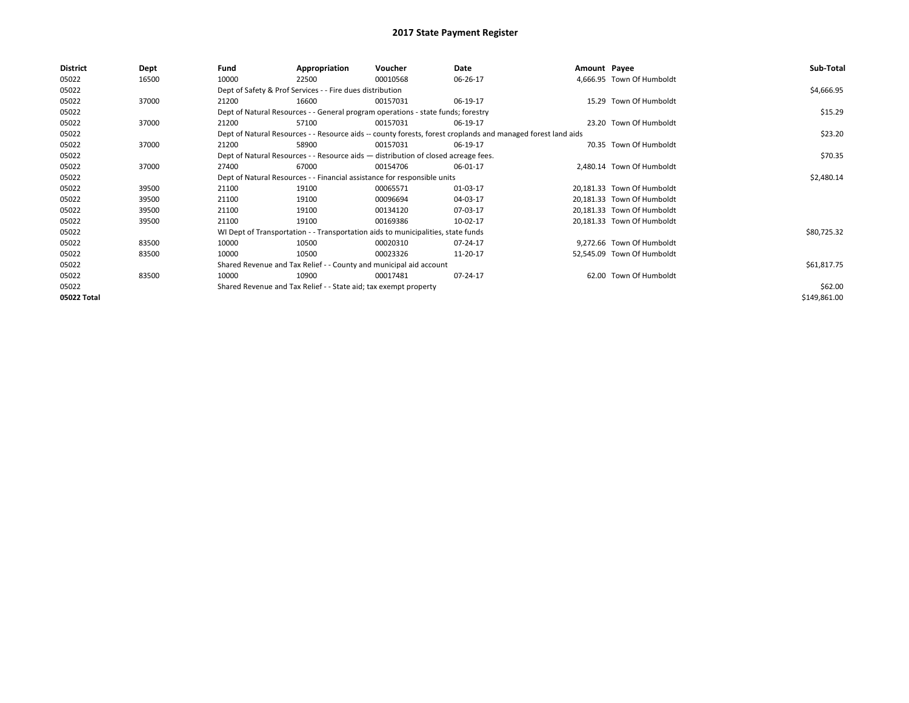| <b>District</b> | Dept  | Fund  | Appropriation                                                                      | Voucher  | Date                                                                                                         | Amount Payee |                            | Sub-Total    |  |
|-----------------|-------|-------|------------------------------------------------------------------------------------|----------|--------------------------------------------------------------------------------------------------------------|--------------|----------------------------|--------------|--|
| 05022           | 16500 | 10000 | 22500                                                                              | 00010568 | 06-26-17                                                                                                     |              | 4,666.95 Town Of Humboldt  |              |  |
| 05022           |       |       | Dept of Safety & Prof Services - - Fire dues distribution                          |          |                                                                                                              |              |                            | \$4,666.95   |  |
| 05022           | 37000 | 21200 | 16600                                                                              | 00157031 | 06-19-17                                                                                                     |              | 15.29 Town Of Humboldt     |              |  |
| 05022           |       |       | Dept of Natural Resources - - General program operations - state funds; forestry   |          |                                                                                                              |              |                            |              |  |
| 05022           | 37000 | 21200 | 57100                                                                              | 00157031 | 06-19-17                                                                                                     |              | 23.20 Town Of Humboldt     |              |  |
| 05022           |       |       |                                                                                    |          | Dept of Natural Resources - - Resource aids -- county forests, forest croplands and managed forest land aids |              |                            | \$23.20      |  |
| 05022           | 37000 | 21200 | 58900                                                                              | 00157031 | 06-19-17                                                                                                     |              | 70.35 Town Of Humboldt     |              |  |
| 05022           |       |       | Dept of Natural Resources - - Resource aids - distribution of closed acreage fees. |          |                                                                                                              |              |                            | \$70.35      |  |
| 05022           | 37000 | 27400 | 67000                                                                              | 00154706 | 06-01-17                                                                                                     |              | 2,480.14 Town Of Humboldt  |              |  |
| 05022           |       |       | Dept of Natural Resources - - Financial assistance for responsible units           |          |                                                                                                              |              |                            | \$2,480.14   |  |
| 05022           | 39500 | 21100 | 19100                                                                              | 00065571 | 01-03-17                                                                                                     |              | 20,181.33 Town Of Humboldt |              |  |
| 05022           | 39500 | 21100 | 19100                                                                              | 00096694 | 04-03-17                                                                                                     |              | 20,181.33 Town Of Humboldt |              |  |
| 05022           | 39500 | 21100 | 19100                                                                              | 00134120 | 07-03-17                                                                                                     |              | 20,181.33 Town Of Humboldt |              |  |
| 05022           | 39500 | 21100 | 19100                                                                              | 00169386 | 10-02-17                                                                                                     |              | 20,181.33 Town Of Humboldt |              |  |
| 05022           |       |       | WI Dept of Transportation - - Transportation aids to municipalities, state funds   |          |                                                                                                              |              |                            | \$80,725.32  |  |
| 05022           | 83500 | 10000 | 10500                                                                              | 00020310 | 07-24-17                                                                                                     |              | 9,272.66 Town Of Humboldt  |              |  |
| 05022           | 83500 | 10000 | 10500                                                                              | 00023326 | 11-20-17                                                                                                     |              | 52,545.09 Town Of Humboldt |              |  |
| 05022           |       |       | Shared Revenue and Tax Relief - - County and municipal aid account                 |          |                                                                                                              |              |                            | \$61,817.75  |  |
| 05022           | 83500 | 10000 | 10900                                                                              | 00017481 | 07-24-17                                                                                                     |              | 62.00 Town Of Humboldt     |              |  |
| 05022           |       |       | Shared Revenue and Tax Relief - - State aid; tax exempt property                   |          |                                                                                                              |              |                            | \$62.00      |  |
| 05022 Total     |       |       |                                                                                    |          |                                                                                                              |              |                            | \$149,861.00 |  |
|                 |       |       |                                                                                    |          |                                                                                                              |              |                            |              |  |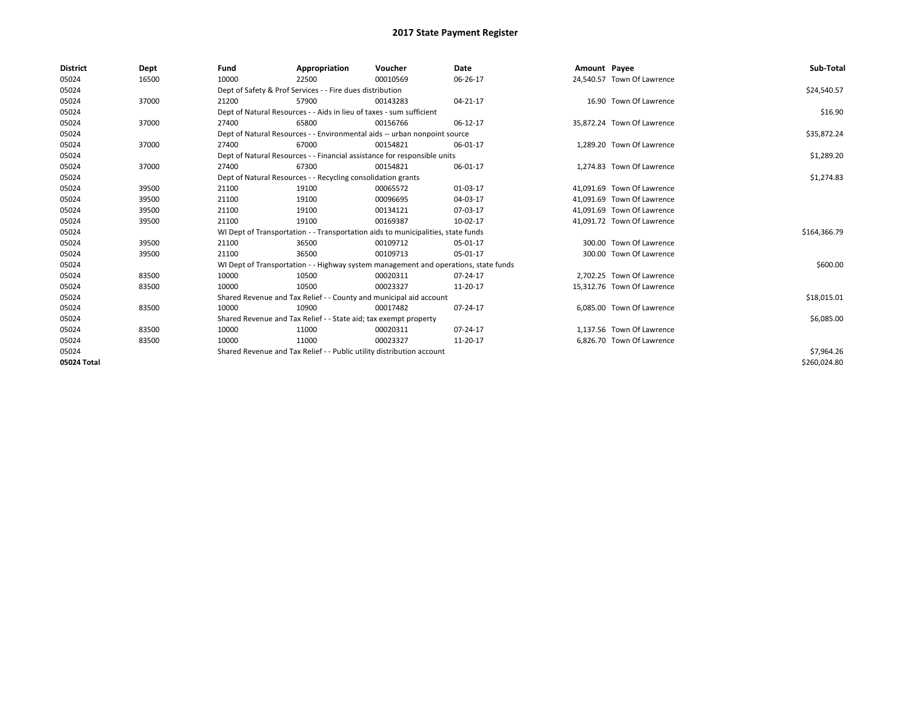| <b>District</b> | Dept  | Fund  | Appropriation                                                                       | Voucher  | Date     | Amount Payee |                            | Sub-Total    |
|-----------------|-------|-------|-------------------------------------------------------------------------------------|----------|----------|--------------|----------------------------|--------------|
| 05024           | 16500 | 10000 | 22500                                                                               | 00010569 | 06-26-17 |              | 24,540.57 Town Of Lawrence |              |
| 05024           |       |       | Dept of Safety & Prof Services - - Fire dues distribution                           |          |          |              |                            | \$24,540.57  |
| 05024           | 37000 | 21200 | 57900                                                                               | 00143283 | 04-21-17 |              | 16.90 Town Of Lawrence     |              |
| 05024           |       |       | Dept of Natural Resources - - Aids in lieu of taxes - sum sufficient                |          |          |              |                            | \$16.90      |
| 05024           | 37000 | 27400 | 65800                                                                               | 00156766 | 06-12-17 |              | 35,872.24 Town Of Lawrence |              |
| 05024           |       |       | Dept of Natural Resources - - Environmental aids -- urban nonpoint source           |          |          |              |                            | \$35,872.24  |
| 05024           | 37000 | 27400 | 67000                                                                               | 00154821 | 06-01-17 |              | 1,289.20 Town Of Lawrence  |              |
| 05024           |       |       | Dept of Natural Resources - - Financial assistance for responsible units            |          |          |              |                            | \$1,289.20   |
| 05024           | 37000 | 27400 | 67300                                                                               | 00154821 | 06-01-17 |              | 1.274.83 Town Of Lawrence  |              |
| 05024           |       |       | Dept of Natural Resources - - Recycling consolidation grants                        |          |          |              |                            | \$1,274.83   |
| 05024           | 39500 | 21100 | 19100                                                                               | 00065572 | 01-03-17 |              | 41,091.69 Town Of Lawrence |              |
| 05024           | 39500 | 21100 | 19100                                                                               | 00096695 | 04-03-17 |              | 41.091.69 Town Of Lawrence |              |
| 05024           | 39500 | 21100 | 19100                                                                               | 00134121 | 07-03-17 |              | 41.091.69 Town Of Lawrence |              |
| 05024           | 39500 | 21100 | 19100                                                                               | 00169387 | 10-02-17 |              | 41,091.72 Town Of Lawrence |              |
| 05024           |       |       | WI Dept of Transportation - - Transportation aids to municipalities, state funds    |          |          |              |                            | \$164,366.79 |
| 05024           | 39500 | 21100 | 36500                                                                               | 00109712 | 05-01-17 |              | 300.00 Town Of Lawrence    |              |
| 05024           | 39500 | 21100 | 36500                                                                               | 00109713 | 05-01-17 |              | 300.00 Town Of Lawrence    |              |
| 05024           |       |       | WI Dept of Transportation - - Highway system management and operations, state funds |          |          |              |                            | \$600.00     |
| 05024           | 83500 | 10000 | 10500                                                                               | 00020311 | 07-24-17 |              | 2.702.25 Town Of Lawrence  |              |
| 05024           | 83500 | 10000 | 10500                                                                               | 00023327 | 11-20-17 |              | 15,312.76 Town Of Lawrence |              |
| 05024           |       |       | Shared Revenue and Tax Relief - - County and municipal aid account                  |          |          |              |                            | \$18,015.01  |
| 05024           | 83500 | 10000 | 10900                                                                               | 00017482 | 07-24-17 |              | 6.085.00 Town Of Lawrence  |              |
| 05024           |       |       | Shared Revenue and Tax Relief - - State aid; tax exempt property                    |          |          |              |                            | \$6,085.00   |
| 05024           | 83500 | 10000 | 11000                                                                               | 00020311 | 07-24-17 |              | 1,137.56 Town Of Lawrence  |              |
| 05024           | 83500 | 10000 | 11000                                                                               | 00023327 | 11-20-17 |              | 6,826.70 Town Of Lawrence  |              |
| 05024           |       |       | Shared Revenue and Tax Relief - - Public utility distribution account               |          |          |              |                            | \$7,964.26   |
| 05024 Total     |       |       |                                                                                     |          |          |              |                            | \$260,024.80 |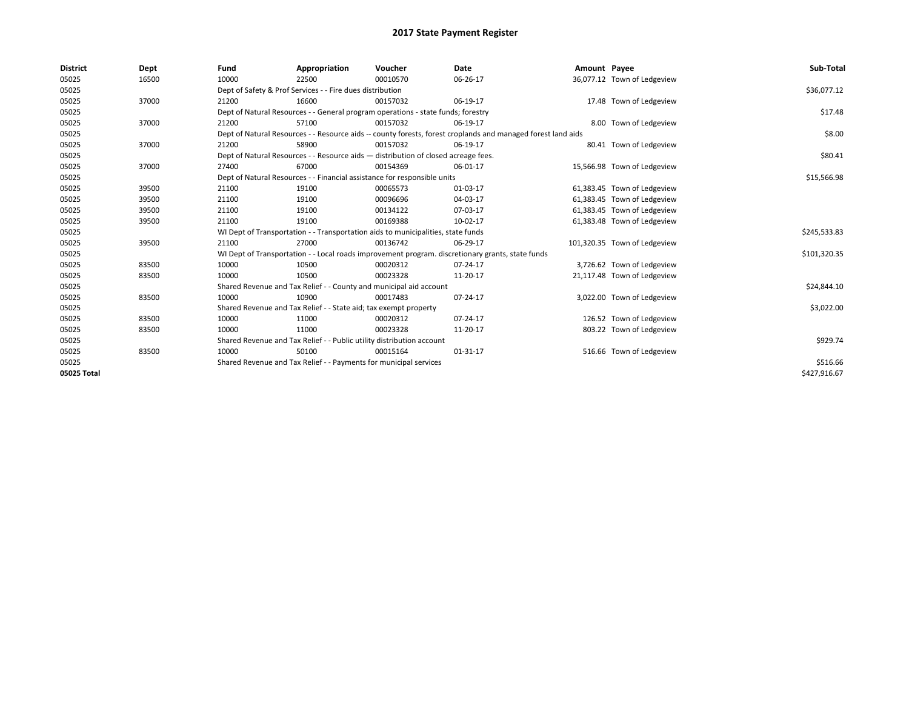| <b>District</b> | Dept  | Fund  | Appropriation                                                                      | Voucher  | Date                                                                                                         | Amount Payee |                              | Sub-Total    |
|-----------------|-------|-------|------------------------------------------------------------------------------------|----------|--------------------------------------------------------------------------------------------------------------|--------------|------------------------------|--------------|
| 05025           | 16500 | 10000 | 22500                                                                              | 00010570 | 06-26-17                                                                                                     |              | 36,077.12 Town of Ledgeview  |              |
| 05025           |       |       | Dept of Safety & Prof Services - - Fire dues distribution                          |          |                                                                                                              |              |                              | \$36,077.12  |
| 05025           | 37000 | 21200 | 16600                                                                              | 00157032 | 06-19-17                                                                                                     |              | 17.48 Town of Ledgeview      |              |
| 05025           |       |       | Dept of Natural Resources - - General program operations - state funds; forestry   |          |                                                                                                              |              |                              | \$17.48      |
| 05025           | 37000 | 21200 | 57100                                                                              | 00157032 | 06-19-17                                                                                                     |              | 8.00 Town of Ledgeview       |              |
| 05025           |       |       |                                                                                    |          | Dept of Natural Resources - - Resource aids -- county forests, forest croplands and managed forest land aids |              |                              | \$8.00       |
| 05025           | 37000 | 21200 | 58900                                                                              | 00157032 | 06-19-17                                                                                                     |              | 80.41 Town of Ledgeview      |              |
| 05025           |       |       | Dept of Natural Resources - - Resource aids - distribution of closed acreage fees. |          |                                                                                                              |              |                              | \$80.41      |
| 05025           | 37000 | 27400 | 67000                                                                              | 00154369 | 06-01-17                                                                                                     |              | 15,566.98 Town of Ledgeview  |              |
| 05025           |       |       | Dept of Natural Resources - - Financial assistance for responsible units           |          |                                                                                                              |              |                              | \$15,566.98  |
| 05025           | 39500 | 21100 | 19100                                                                              | 00065573 | 01-03-17                                                                                                     |              | 61,383.45 Town of Ledgeview  |              |
| 05025           | 39500 | 21100 | 19100                                                                              | 00096696 | 04-03-17                                                                                                     |              | 61,383.45 Town of Ledgeview  |              |
| 05025           | 39500 | 21100 | 19100                                                                              | 00134122 | 07-03-17                                                                                                     |              | 61,383.45 Town of Ledgeview  |              |
| 05025           | 39500 | 21100 | 19100                                                                              | 00169388 | 10-02-17                                                                                                     |              | 61,383.48 Town of Ledgeview  |              |
| 05025           |       |       | WI Dept of Transportation - - Transportation aids to municipalities, state funds   |          |                                                                                                              |              |                              | \$245,533.83 |
| 05025           | 39500 | 21100 | 27000                                                                              | 00136742 | 06-29-17                                                                                                     |              | 101,320.35 Town of Ledgeview |              |
| 05025           |       |       |                                                                                    |          | WI Dept of Transportation - - Local roads improvement program. discretionary grants, state funds             |              |                              | \$101,320.35 |
| 05025           | 83500 | 10000 | 10500                                                                              | 00020312 | 07-24-17                                                                                                     |              | 3,726.62 Town of Ledgeview   |              |
| 05025           | 83500 | 10000 | 10500                                                                              | 00023328 | 11-20-17                                                                                                     |              | 21,117.48 Town of Ledgeview  |              |
| 05025           |       |       | Shared Revenue and Tax Relief - - County and municipal aid account                 |          |                                                                                                              |              |                              | \$24,844.10  |
| 05025           | 83500 | 10000 | 10900                                                                              | 00017483 | 07-24-17                                                                                                     |              | 3,022.00 Town of Ledgeview   |              |
| 05025           |       |       | Shared Revenue and Tax Relief - - State aid; tax exempt property                   |          |                                                                                                              |              |                              | \$3,022.00   |
| 05025           | 83500 | 10000 | 11000                                                                              | 00020312 | 07-24-17                                                                                                     |              | 126.52 Town of Ledgeview     |              |
| 05025           | 83500 | 10000 | 11000                                                                              | 00023328 | 11-20-17                                                                                                     |              | 803.22 Town of Ledgeview     |              |
| 05025           |       |       | Shared Revenue and Tax Relief - - Public utility distribution account              |          |                                                                                                              |              |                              | \$929.74     |
| 05025           | 83500 | 10000 | 50100                                                                              | 00015164 | 01-31-17                                                                                                     |              | 516.66 Town of Ledgeview     |              |
| 05025           |       |       | Shared Revenue and Tax Relief - - Payments for municipal services                  |          |                                                                                                              |              |                              | \$516.66     |
| 05025 Total     |       |       |                                                                                    |          |                                                                                                              |              |                              | \$427,916.67 |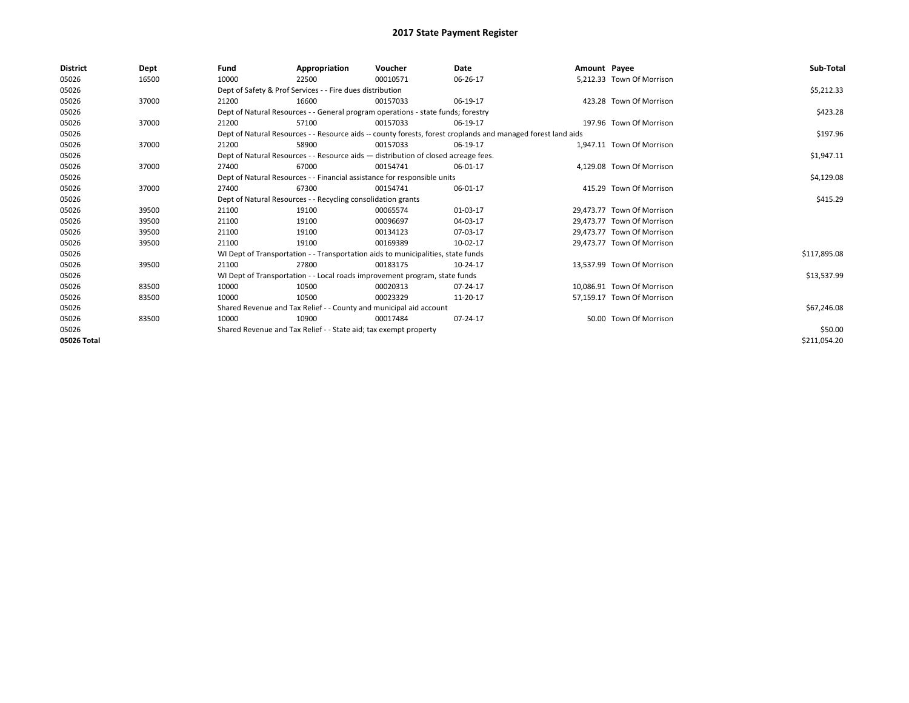| <b>District</b> | Dept  | Fund  | Appropriation                                                                      | Voucher  | Date                                                                                                         | Amount Payee |                            | Sub-Total    |
|-----------------|-------|-------|------------------------------------------------------------------------------------|----------|--------------------------------------------------------------------------------------------------------------|--------------|----------------------------|--------------|
| 05026           | 16500 | 10000 | 22500                                                                              | 00010571 | 06-26-17                                                                                                     |              | 5,212.33 Town Of Morrison  |              |
| 05026           |       |       | Dept of Safety & Prof Services - - Fire dues distribution                          |          |                                                                                                              |              |                            | \$5,212.33   |
| 05026           | 37000 | 21200 | 16600                                                                              | 00157033 | 06-19-17                                                                                                     |              | 423.28 Town Of Morrison    |              |
| 05026           |       |       | Dept of Natural Resources - - General program operations - state funds; forestry   |          |                                                                                                              |              |                            | \$423.28     |
| 05026           | 37000 | 21200 | 57100                                                                              | 00157033 | 06-19-17                                                                                                     |              | 197.96 Town Of Morrison    |              |
| 05026           |       |       |                                                                                    |          | Dept of Natural Resources - - Resource aids -- county forests, forest croplands and managed forest land aids |              |                            | \$197.96     |
| 05026           | 37000 | 21200 | 58900                                                                              | 00157033 | 06-19-17                                                                                                     |              | 1.947.11 Town Of Morrison  |              |
| 05026           |       |       | Dept of Natural Resources - - Resource aids - distribution of closed acreage fees. |          |                                                                                                              |              |                            | \$1,947.11   |
| 05026           | 37000 | 27400 | 67000                                                                              | 00154741 | 06-01-17                                                                                                     |              | 4,129.08 Town Of Morrison  |              |
| 05026           |       |       | Dept of Natural Resources - - Financial assistance for responsible units           |          |                                                                                                              |              |                            | \$4,129.08   |
| 05026           | 37000 | 27400 | 67300                                                                              | 00154741 | 06-01-17                                                                                                     |              | 415.29 Town Of Morrison    |              |
| 05026           |       |       | Dept of Natural Resources - - Recycling consolidation grants                       |          |                                                                                                              |              |                            | \$415.29     |
| 05026           | 39500 | 21100 | 19100                                                                              | 00065574 | 01-03-17                                                                                                     |              | 29,473.77 Town Of Morrison |              |
| 05026           | 39500 | 21100 | 19100                                                                              | 00096697 | 04-03-17                                                                                                     |              | 29.473.77 Town Of Morrison |              |
| 05026           | 39500 | 21100 | 19100                                                                              | 00134123 | 07-03-17                                                                                                     |              | 29,473.77 Town Of Morrison |              |
| 05026           | 39500 | 21100 | 19100                                                                              | 00169389 | 10-02-17                                                                                                     |              | 29.473.77 Town Of Morrison |              |
| 05026           |       |       | WI Dept of Transportation - - Transportation aids to municipalities, state funds   |          |                                                                                                              |              |                            | \$117,895.08 |
| 05026           | 39500 | 21100 | 27800                                                                              | 00183175 | 10-24-17                                                                                                     |              | 13,537.99 Town Of Morrison |              |
| 05026           |       |       | WI Dept of Transportation - - Local roads improvement program, state funds         |          |                                                                                                              |              |                            | \$13,537.99  |
| 05026           | 83500 | 10000 | 10500                                                                              | 00020313 | 07-24-17                                                                                                     |              | 10.086.91 Town Of Morrison |              |
| 05026           | 83500 | 10000 | 10500                                                                              | 00023329 | 11-20-17                                                                                                     |              | 57,159.17 Town Of Morrison |              |
| 05026           |       |       | Shared Revenue and Tax Relief - - County and municipal aid account                 |          |                                                                                                              |              |                            | \$67,246.08  |
| 05026           | 83500 | 10000 | 10900                                                                              | 00017484 | 07-24-17                                                                                                     |              | 50.00 Town Of Morrison     |              |
| 05026           |       |       | Shared Revenue and Tax Relief - - State aid; tax exempt property                   |          |                                                                                                              |              |                            | \$50.00      |
| 05026 Total     |       |       |                                                                                    |          |                                                                                                              |              |                            | \$211,054.20 |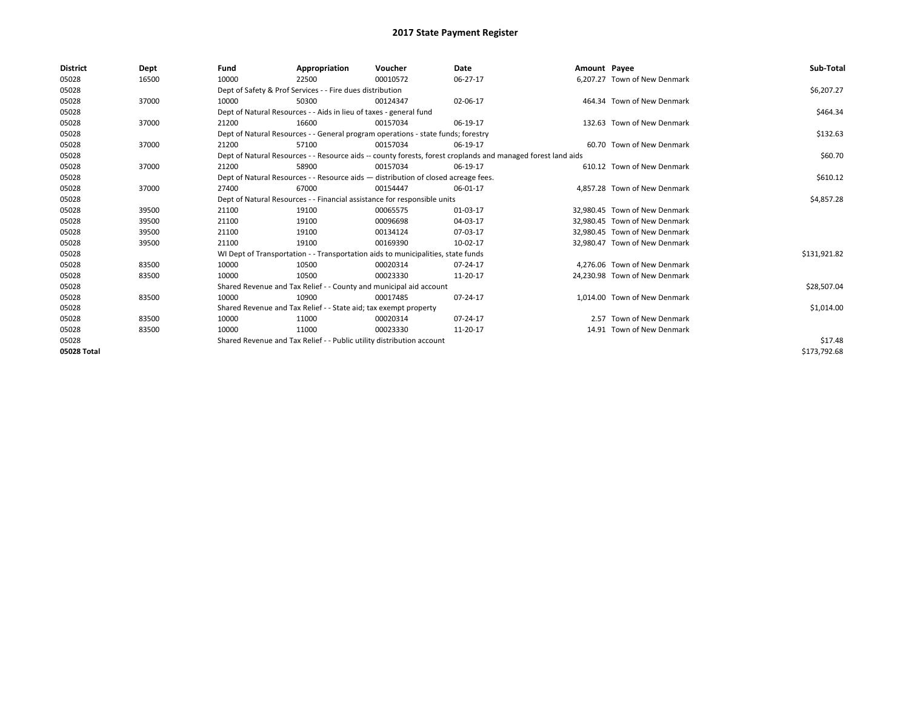| <b>District</b> | Dept  | Fund  | Appropriation                                                                                                | Voucher  | <b>Date</b> | Amount Payee |                               | Sub-Total    |
|-----------------|-------|-------|--------------------------------------------------------------------------------------------------------------|----------|-------------|--------------|-------------------------------|--------------|
| 05028           | 16500 | 10000 | 22500                                                                                                        | 00010572 | 06-27-17    |              | 6,207.27 Town of New Denmark  |              |
| 05028           |       |       | Dept of Safety & Prof Services - - Fire dues distribution                                                    |          |             |              |                               | \$6,207.27   |
| 05028           | 37000 | 10000 | 50300                                                                                                        | 00124347 | 02-06-17    |              | 464.34 Town of New Denmark    |              |
| 05028           |       |       | Dept of Natural Resources - - Aids in lieu of taxes - general fund                                           |          |             |              |                               | \$464.34     |
| 05028           | 37000 | 21200 | 16600                                                                                                        | 00157034 | 06-19-17    |              | 132.63 Town of New Denmark    |              |
| 05028           |       |       | Dept of Natural Resources - - General program operations - state funds; forestry                             |          |             |              |                               | \$132.63     |
| 05028           | 37000 | 21200 | 57100                                                                                                        | 00157034 | 06-19-17    |              | 60.70 Town of New Denmark     |              |
| 05028           |       |       | Dept of Natural Resources - - Resource aids -- county forests, forest croplands and managed forest land aids |          |             |              |                               | \$60.70      |
| 05028           | 37000 | 21200 | 58900                                                                                                        | 00157034 | 06-19-17    |              | 610.12 Town of New Denmark    |              |
| 05028           |       |       | Dept of Natural Resources - - Resource aids - distribution of closed acreage fees.                           |          |             |              |                               | \$610.12     |
| 05028           | 37000 | 27400 | 67000                                                                                                        | 00154447 | 06-01-17    |              | 4.857.28 Town of New Denmark  |              |
| 05028           |       |       | Dept of Natural Resources - - Financial assistance for responsible units                                     |          |             |              |                               | \$4,857.28   |
| 05028           | 39500 | 21100 | 19100                                                                                                        | 00065575 | 01-03-17    |              | 32.980.45 Town of New Denmark |              |
| 05028           | 39500 | 21100 | 19100                                                                                                        | 00096698 | 04-03-17    |              | 32.980.45 Town of New Denmark |              |
| 05028           | 39500 | 21100 | 19100                                                                                                        | 00134124 | 07-03-17    |              | 32,980.45 Town of New Denmark |              |
| 05028           | 39500 | 21100 | 19100                                                                                                        | 00169390 | 10-02-17    |              | 32.980.47 Town of New Denmark |              |
| 05028           |       |       | WI Dept of Transportation - - Transportation aids to municipalities, state funds                             |          |             |              |                               | \$131,921.82 |
| 05028           | 83500 | 10000 | 10500                                                                                                        | 00020314 | 07-24-17    |              | 4.276.06 Town of New Denmark  |              |
| 05028           | 83500 | 10000 | 10500                                                                                                        | 00023330 | 11-20-17    |              | 24,230.98 Town of New Denmark |              |
| 05028           |       |       | Shared Revenue and Tax Relief - - County and municipal aid account                                           |          |             |              |                               | \$28,507.04  |
| 05028           | 83500 | 10000 | 10900                                                                                                        | 00017485 | 07-24-17    |              | 1.014.00 Town of New Denmark  |              |
| 05028           |       |       | Shared Revenue and Tax Relief - - State aid; tax exempt property                                             |          |             |              |                               | \$1,014.00   |
| 05028           | 83500 | 10000 | 11000                                                                                                        | 00020314 | 07-24-17    |              | 2.57 Town of New Denmark      |              |
| 05028           | 83500 | 10000 | 11000                                                                                                        | 00023330 | 11-20-17    |              | 14.91 Town of New Denmark     |              |
| 05028           |       |       | Shared Revenue and Tax Relief - - Public utility distribution account                                        |          |             |              |                               | \$17.48      |
| 05028 Total     |       |       |                                                                                                              |          |             |              |                               | \$173,792.68 |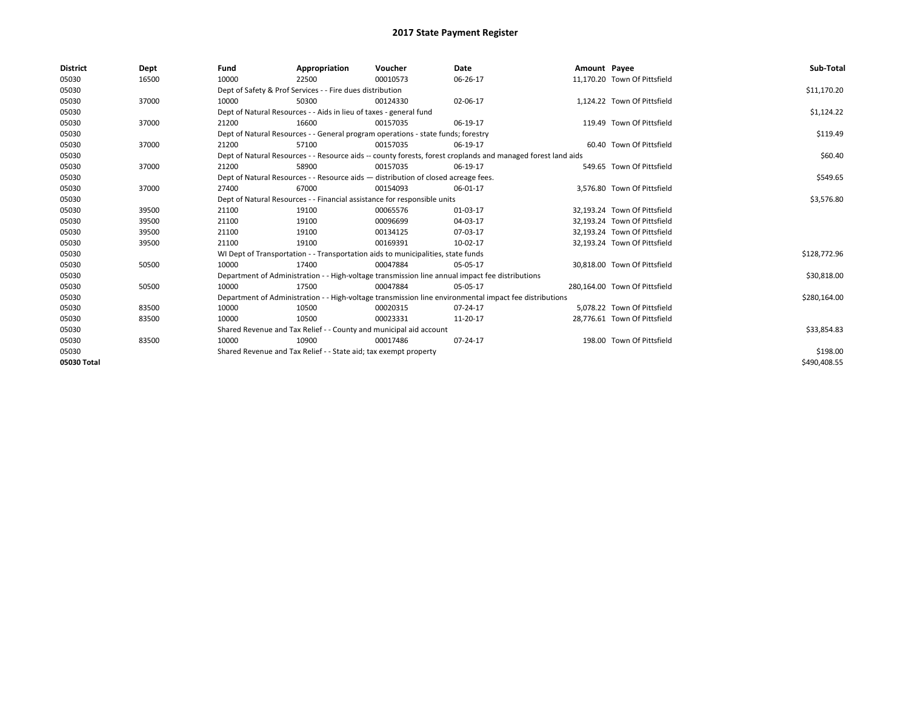| <b>District</b> | Dept  | Fund  | Appropriation                                                                      | Voucher  | Date                                                                                                         | Amount Payee |                               | Sub-Total    |
|-----------------|-------|-------|------------------------------------------------------------------------------------|----------|--------------------------------------------------------------------------------------------------------------|--------------|-------------------------------|--------------|
| 05030           | 16500 | 10000 | 22500                                                                              | 00010573 | 06-26-17                                                                                                     |              | 11,170.20 Town Of Pittsfield  |              |
| 05030           |       |       | Dept of Safety & Prof Services - - Fire dues distribution                          |          |                                                                                                              |              |                               | \$11,170.20  |
| 05030           | 37000 | 10000 | 50300                                                                              | 00124330 | 02-06-17                                                                                                     |              | 1.124.22 Town Of Pittsfield   |              |
| 05030           |       |       | Dept of Natural Resources - - Aids in lieu of taxes - general fund                 |          |                                                                                                              |              |                               | \$1,124.22   |
| 05030           | 37000 | 21200 | 16600                                                                              | 00157035 | 06-19-17                                                                                                     |              | 119.49 Town Of Pittsfield     |              |
| 05030           |       |       | Dept of Natural Resources - - General program operations - state funds; forestry   |          |                                                                                                              |              |                               | \$119.49     |
| 05030           | 37000 | 21200 | 57100                                                                              | 00157035 | 06-19-17                                                                                                     |              | 60.40 Town Of Pittsfield      |              |
| 05030           |       |       |                                                                                    |          | Dept of Natural Resources - - Resource aids -- county forests, forest croplands and managed forest land aids |              |                               | \$60.40      |
| 05030           | 37000 | 21200 | 58900                                                                              | 00157035 | 06-19-17                                                                                                     |              | 549.65 Town Of Pittsfield     |              |
| 05030           |       |       | Dept of Natural Resources - - Resource aids - distribution of closed acreage fees. |          |                                                                                                              |              |                               | \$549.65     |
| 05030           | 37000 | 27400 | 67000                                                                              | 00154093 | 06-01-17                                                                                                     |              | 3,576.80 Town Of Pittsfield   |              |
| 05030           |       |       | Dept of Natural Resources - - Financial assistance for responsible units           |          |                                                                                                              |              |                               | \$3,576.80   |
| 05030           | 39500 | 21100 | 19100                                                                              | 00065576 | 01-03-17                                                                                                     |              | 32,193.24 Town Of Pittsfield  |              |
| 05030           | 39500 | 21100 | 19100                                                                              | 00096699 | 04-03-17                                                                                                     |              | 32.193.24 Town Of Pittsfield  |              |
| 05030           | 39500 | 21100 | 19100                                                                              | 00134125 | 07-03-17                                                                                                     |              | 32,193.24 Town Of Pittsfield  |              |
| 05030           | 39500 | 21100 | 19100                                                                              | 00169391 | 10-02-17                                                                                                     |              | 32,193.24 Town Of Pittsfield  |              |
| 05030           |       |       | WI Dept of Transportation - - Transportation aids to municipalities, state funds   |          |                                                                                                              |              |                               | \$128,772.96 |
| 05030           | 50500 | 10000 | 17400                                                                              | 00047884 | 05-05-17                                                                                                     |              | 30.818.00 Town Of Pittsfield  |              |
| 05030           |       |       |                                                                                    |          | Department of Administration - - High-voltage transmission line annual impact fee distributions              |              |                               | \$30,818.00  |
| 05030           | 50500 | 10000 | 17500                                                                              | 00047884 | 05-05-17                                                                                                     |              | 280.164.00 Town Of Pittsfield |              |
| 05030           |       |       |                                                                                    |          | Department of Administration - - High-voltage transmission line environmental impact fee distributions       |              |                               | \$280,164.00 |
| 05030           | 83500 | 10000 | 10500                                                                              | 00020315 | 07-24-17                                                                                                     |              | 5,078.22 Town Of Pittsfield   |              |
| 05030           | 83500 | 10000 | 10500                                                                              | 00023331 | 11-20-17                                                                                                     |              | 28,776.61 Town Of Pittsfield  |              |
| 05030           |       |       | Shared Revenue and Tax Relief - - County and municipal aid account                 |          |                                                                                                              |              |                               | \$33,854.83  |
| 05030           | 83500 | 10000 | 10900                                                                              | 00017486 | 07-24-17                                                                                                     |              | 198.00 Town Of Pittsfield     |              |
| 05030           |       |       | Shared Revenue and Tax Relief - - State aid; tax exempt property                   |          |                                                                                                              |              |                               | \$198.00     |
| 05030 Total     |       |       |                                                                                    |          |                                                                                                              |              |                               | \$490,408.55 |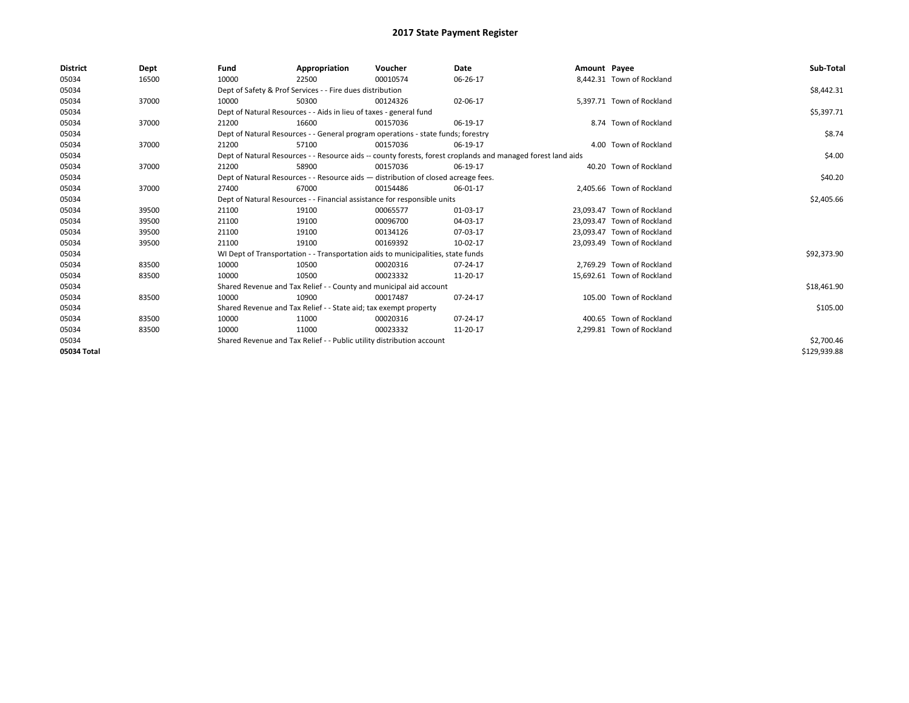| <b>District</b> | Dept  | Fund  | Appropriation                                                                      | Voucher  | <b>Date</b>                                                                                                  | Amount Payee |                            | Sub-Total    |  |  |
|-----------------|-------|-------|------------------------------------------------------------------------------------|----------|--------------------------------------------------------------------------------------------------------------|--------------|----------------------------|--------------|--|--|
| 05034           | 16500 | 10000 | 22500                                                                              | 00010574 | 06-26-17                                                                                                     |              | 8,442.31 Town of Rockland  |              |  |  |
| 05034           |       |       | Dept of Safety & Prof Services - - Fire dues distribution                          |          |                                                                                                              |              |                            | \$8,442.31   |  |  |
| 05034           | 37000 | 10000 | 50300                                                                              | 00124326 | 02-06-17                                                                                                     |              | 5.397.71 Town of Rockland  |              |  |  |
| 05034           |       |       | Dept of Natural Resources - - Aids in lieu of taxes - general fund                 |          |                                                                                                              |              |                            | \$5,397.71   |  |  |
| 05034           | 37000 | 21200 | 16600                                                                              | 00157036 | 06-19-17                                                                                                     |              | 8.74 Town of Rockland      |              |  |  |
| 05034           |       |       | Dept of Natural Resources - - General program operations - state funds; forestry   |          |                                                                                                              |              |                            |              |  |  |
| 05034           | 37000 | 21200 | 57100                                                                              | 00157036 | 06-19-17                                                                                                     |              | 4.00 Town of Rockland      |              |  |  |
| 05034           |       |       |                                                                                    |          | Dept of Natural Resources - - Resource aids -- county forests, forest croplands and managed forest land aids |              |                            | \$4.00       |  |  |
| 05034           | 37000 | 21200 | 58900                                                                              | 00157036 | 06-19-17                                                                                                     |              | 40.20 Town of Rockland     |              |  |  |
| 05034           |       |       | Dept of Natural Resources - - Resource aids - distribution of closed acreage fees. |          |                                                                                                              |              |                            | \$40.20      |  |  |
| 05034           | 37000 | 27400 | 67000                                                                              | 00154486 | 06-01-17                                                                                                     |              | 2.405.66 Town of Rockland  |              |  |  |
| 05034           |       |       | Dept of Natural Resources - - Financial assistance for responsible units           |          |                                                                                                              |              |                            | \$2,405.66   |  |  |
| 05034           | 39500 | 21100 | 19100                                                                              | 00065577 | 01-03-17                                                                                                     |              | 23.093.47 Town of Rockland |              |  |  |
| 05034           | 39500 | 21100 | 19100                                                                              | 00096700 | 04-03-17                                                                                                     |              | 23.093.47 Town of Rockland |              |  |  |
| 05034           | 39500 | 21100 | 19100                                                                              | 00134126 | 07-03-17                                                                                                     |              | 23,093.47 Town of Rockland |              |  |  |
| 05034           | 39500 | 21100 | 19100                                                                              | 00169392 | 10-02-17                                                                                                     |              | 23.093.49 Town of Rockland |              |  |  |
| 05034           |       |       | WI Dept of Transportation - - Transportation aids to municipalities, state funds   |          |                                                                                                              |              |                            | \$92,373.90  |  |  |
| 05034           | 83500 | 10000 | 10500                                                                              | 00020316 | 07-24-17                                                                                                     |              | 2.769.29 Town of Rockland  |              |  |  |
| 05034           | 83500 | 10000 | 10500                                                                              | 00023332 | 11-20-17                                                                                                     |              | 15,692.61 Town of Rockland |              |  |  |
| 05034           |       |       | Shared Revenue and Tax Relief - - County and municipal aid account                 |          |                                                                                                              |              |                            | \$18,461.90  |  |  |
| 05034           | 83500 | 10000 | 10900                                                                              | 00017487 | 07-24-17                                                                                                     |              | 105.00 Town of Rockland    |              |  |  |
| 05034           |       |       | Shared Revenue and Tax Relief - - State aid; tax exempt property                   |          |                                                                                                              |              |                            | \$105.00     |  |  |
| 05034           | 83500 | 10000 | 11000                                                                              | 00020316 | 07-24-17                                                                                                     |              | 400.65 Town of Rockland    |              |  |  |
| 05034           | 83500 | 10000 | 11000                                                                              | 00023332 | 11-20-17                                                                                                     |              | 2,299.81 Town of Rockland  |              |  |  |
| 05034           |       |       | Shared Revenue and Tax Relief - - Public utility distribution account              |          |                                                                                                              |              |                            | \$2,700.46   |  |  |
| 05034 Total     |       |       |                                                                                    |          |                                                                                                              |              |                            | \$129,939.88 |  |  |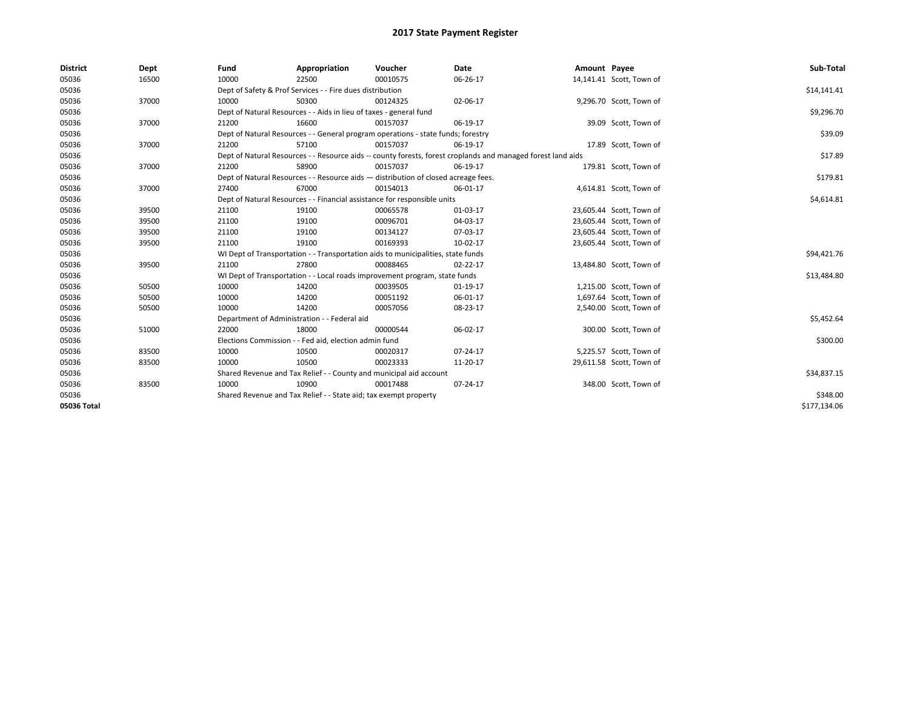| <b>District</b> | Dept  | Fund  | Appropriation                                                      | Voucher                                                                            | Date                                                                                                         | Amount Payee |                          | Sub-Total    |
|-----------------|-------|-------|--------------------------------------------------------------------|------------------------------------------------------------------------------------|--------------------------------------------------------------------------------------------------------------|--------------|--------------------------|--------------|
| 05036           | 16500 | 10000 | 22500                                                              | 00010575                                                                           | 06-26-17                                                                                                     |              | 14,141.41 Scott, Town of |              |
| 05036           |       |       | Dept of Safety & Prof Services - - Fire dues distribution          |                                                                                    |                                                                                                              |              |                          | \$14,141.41  |
| 05036           | 37000 | 10000 | 50300                                                              | 00124325                                                                           | 02-06-17                                                                                                     |              | 9,296.70 Scott, Town of  |              |
| 05036           |       |       | Dept of Natural Resources - - Aids in lieu of taxes - general fund |                                                                                    |                                                                                                              |              |                          | \$9,296.70   |
| 05036           | 37000 | 21200 | 16600                                                              | 00157037                                                                           | 06-19-17                                                                                                     |              | 39.09 Scott, Town of     |              |
| 05036           |       |       |                                                                    | Dept of Natural Resources - - General program operations - state funds; forestry   |                                                                                                              |              |                          | \$39.09      |
| 05036           | 37000 | 21200 | 57100                                                              | 00157037                                                                           | 06-19-17                                                                                                     |              | 17.89 Scott, Town of     |              |
| 05036           |       |       |                                                                    |                                                                                    | Dept of Natural Resources - - Resource aids -- county forests, forest croplands and managed forest land aids |              |                          | \$17.89      |
| 05036           | 37000 | 21200 | 58900                                                              | 00157037                                                                           | 06-19-17                                                                                                     |              | 179.81 Scott, Town of    |              |
| 05036           |       |       |                                                                    | Dept of Natural Resources - - Resource aids - distribution of closed acreage fees. |                                                                                                              |              |                          | \$179.81     |
| 05036           | 37000 | 27400 | 67000                                                              | 00154013                                                                           | 06-01-17                                                                                                     |              | 4,614.81 Scott, Town of  |              |
| 05036           |       |       |                                                                    | Dept of Natural Resources - - Financial assistance for responsible units           |                                                                                                              |              |                          | \$4,614.81   |
| 05036           | 39500 | 21100 | 19100                                                              | 00065578                                                                           | $01-03-17$                                                                                                   |              | 23,605.44 Scott, Town of |              |
| 05036           | 39500 | 21100 | 19100                                                              | 00096701                                                                           | 04-03-17                                                                                                     |              | 23,605.44 Scott, Town of |              |
| 05036           | 39500 | 21100 | 19100                                                              | 00134127                                                                           | 07-03-17                                                                                                     |              | 23,605.44 Scott, Town of |              |
| 05036           | 39500 | 21100 | 19100                                                              | 00169393                                                                           | 10-02-17                                                                                                     |              | 23,605.44 Scott, Town of |              |
| 05036           |       |       |                                                                    | WI Dept of Transportation - - Transportation aids to municipalities, state funds   |                                                                                                              |              |                          | \$94,421.76  |
| 05036           | 39500 | 21100 | 27800                                                              | 00088465                                                                           | $02 - 22 - 17$                                                                                               |              | 13,484.80 Scott, Town of |              |
| 05036           |       |       |                                                                    | WI Dept of Transportation - - Local roads improvement program, state funds         |                                                                                                              |              |                          | \$13,484.80  |
| 05036           | 50500 | 10000 | 14200                                                              | 00039505                                                                           | 01-19-17                                                                                                     |              | 1,215.00 Scott, Town of  |              |
| 05036           | 50500 | 10000 | 14200                                                              | 00051192                                                                           | 06-01-17                                                                                                     |              | 1,697.64 Scott, Town of  |              |
| 05036           | 50500 | 10000 | 14200                                                              | 00057056                                                                           | 08-23-17                                                                                                     |              | 2,540.00 Scott, Town of  |              |
| 05036           |       |       | Department of Administration - - Federal aid                       |                                                                                    |                                                                                                              |              |                          | \$5,452.64   |
| 05036           | 51000 | 22000 | 18000                                                              | 00000544                                                                           | 06-02-17                                                                                                     |              | 300.00 Scott, Town of    |              |
| 05036           |       |       | Elections Commission - - Fed aid, election admin fund              |                                                                                    |                                                                                                              |              |                          | \$300.00     |
| 05036           | 83500 | 10000 | 10500                                                              | 00020317                                                                           | 07-24-17                                                                                                     |              | 5,225.57 Scott, Town of  |              |
| 05036           | 83500 | 10000 | 10500                                                              | 00023333                                                                           | 11-20-17                                                                                                     |              | 29,611.58 Scott, Town of |              |
| 05036           |       |       | Shared Revenue and Tax Relief - - County and municipal aid account |                                                                                    |                                                                                                              |              |                          | \$34,837.15  |
| 05036           | 83500 | 10000 | 10900                                                              | 00017488                                                                           | 07-24-17                                                                                                     |              | 348.00 Scott, Town of    |              |
| 05036           |       |       | Shared Revenue and Tax Relief - - State aid; tax exempt property   |                                                                                    |                                                                                                              |              |                          | \$348.00     |
| 05036 Total     |       |       |                                                                    |                                                                                    |                                                                                                              |              |                          | \$177,134.06 |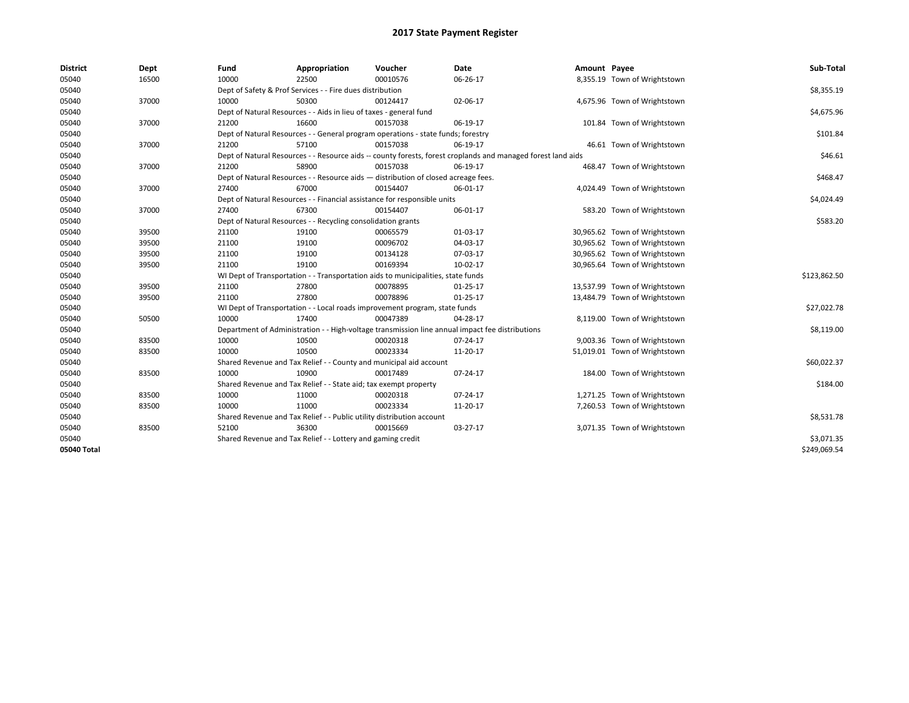| <b>District</b> | Dept  | Fund  | Appropriation                                                                      | Voucher  | Date                                                                                                         | Amount Payee |                               | Sub-Total    |
|-----------------|-------|-------|------------------------------------------------------------------------------------|----------|--------------------------------------------------------------------------------------------------------------|--------------|-------------------------------|--------------|
| 05040           | 16500 | 10000 | 22500                                                                              | 00010576 | 06-26-17                                                                                                     |              | 8,355.19 Town of Wrightstown  |              |
| 05040           |       |       | Dept of Safety & Prof Services - - Fire dues distribution                          |          |                                                                                                              |              |                               | \$8,355.19   |
| 05040           | 37000 | 10000 | 50300                                                                              | 00124417 | 02-06-17                                                                                                     |              | 4,675.96 Town of Wrightstown  |              |
| 05040           |       |       | Dept of Natural Resources - - Aids in lieu of taxes - general fund                 |          |                                                                                                              |              |                               | \$4,675.96   |
| 05040           | 37000 | 21200 | 16600                                                                              | 00157038 | 06-19-17                                                                                                     |              | 101.84 Town of Wrightstown    |              |
| 05040           |       |       | Dept of Natural Resources - - General program operations - state funds; forestry   |          |                                                                                                              |              |                               | \$101.84     |
| 05040           | 37000 | 21200 | 57100                                                                              | 00157038 | 06-19-17                                                                                                     |              | 46.61 Town of Wrightstown     |              |
| 05040           |       |       |                                                                                    |          | Dept of Natural Resources - - Resource aids -- county forests, forest croplands and managed forest land aids |              |                               | \$46.61      |
| 05040           | 37000 | 21200 | 58900                                                                              | 00157038 | 06-19-17                                                                                                     |              | 468.47 Town of Wrightstown    |              |
| 05040           |       |       | Dept of Natural Resources - - Resource aids - distribution of closed acreage fees. |          |                                                                                                              |              |                               | \$468.47     |
| 05040           | 37000 | 27400 | 67000                                                                              | 00154407 | 06-01-17                                                                                                     |              | 4,024.49 Town of Wrightstown  |              |
| 05040           |       |       | Dept of Natural Resources - - Financial assistance for responsible units           |          |                                                                                                              |              |                               | \$4,024.49   |
| 05040           | 37000 | 27400 | 67300                                                                              | 00154407 | 06-01-17                                                                                                     |              | 583.20 Town of Wrightstown    |              |
| 05040           |       |       | Dept of Natural Resources - - Recycling consolidation grants                       |          |                                                                                                              |              |                               | \$583.20     |
| 05040           | 39500 | 21100 | 19100                                                                              | 00065579 | 01-03-17                                                                                                     |              | 30,965.62 Town of Wrightstown |              |
| 05040           | 39500 | 21100 | 19100                                                                              | 00096702 | 04-03-17                                                                                                     |              | 30,965.62 Town of Wrightstown |              |
| 05040           | 39500 | 21100 | 19100                                                                              | 00134128 | 07-03-17                                                                                                     |              | 30,965.62 Town of Wrightstown |              |
| 05040           | 39500 | 21100 | 19100                                                                              | 00169394 | 10-02-17                                                                                                     |              | 30,965.64 Town of Wrightstown |              |
| 05040           |       |       | WI Dept of Transportation - - Transportation aids to municipalities, state funds   |          |                                                                                                              |              |                               | \$123,862.50 |
| 05040           | 39500 | 21100 | 27800                                                                              | 00078895 | $01 - 25 - 17$                                                                                               |              | 13,537.99 Town of Wrightstown |              |
| 05040           | 39500 | 21100 | 27800                                                                              | 00078896 | $01 - 25 - 17$                                                                                               |              | 13,484.79 Town of Wrightstown |              |
| 05040           |       |       | WI Dept of Transportation - - Local roads improvement program, state funds         |          |                                                                                                              |              |                               | \$27,022.78  |
| 05040           | 50500 | 10000 | 17400                                                                              | 00047389 | 04-28-17                                                                                                     |              | 8,119.00 Town of Wrightstown  |              |
| 05040           |       |       |                                                                                    |          | Department of Administration - - High-voltage transmission line annual impact fee distributions              |              |                               | \$8,119.00   |
| 05040           | 83500 | 10000 | 10500                                                                              | 00020318 | 07-24-17                                                                                                     |              | 9,003.36 Town of Wrightstown  |              |
| 05040           | 83500 | 10000 | 10500                                                                              | 00023334 | 11-20-17                                                                                                     |              | 51,019.01 Town of Wrightstown |              |
| 05040           |       |       | Shared Revenue and Tax Relief - - County and municipal aid account                 |          |                                                                                                              |              |                               | \$60,022.37  |
| 05040           | 83500 | 10000 | 10900                                                                              | 00017489 | 07-24-17                                                                                                     |              | 184.00 Town of Wrightstown    |              |
| 05040           |       |       | Shared Revenue and Tax Relief - - State aid; tax exempt property                   |          |                                                                                                              |              |                               | \$184.00     |
| 05040           | 83500 | 10000 | 11000                                                                              | 00020318 | 07-24-17                                                                                                     |              | 1,271.25 Town of Wrightstown  |              |
| 05040           | 83500 | 10000 | 11000                                                                              | 00023334 | 11-20-17                                                                                                     |              | 7,260.53 Town of Wrightstown  |              |
| 05040           |       |       | Shared Revenue and Tax Relief - - Public utility distribution account              |          |                                                                                                              |              |                               | \$8,531.78   |
| 05040           | 83500 | 52100 | 36300                                                                              | 00015669 | 03-27-17                                                                                                     |              | 3,071.35 Town of Wrightstown  |              |
| 05040           |       |       | Shared Revenue and Tax Relief - - Lottery and gaming credit                        |          |                                                                                                              |              |                               | \$3,071.35   |
| 05040 Total     |       |       |                                                                                    |          |                                                                                                              |              |                               | \$249,069.54 |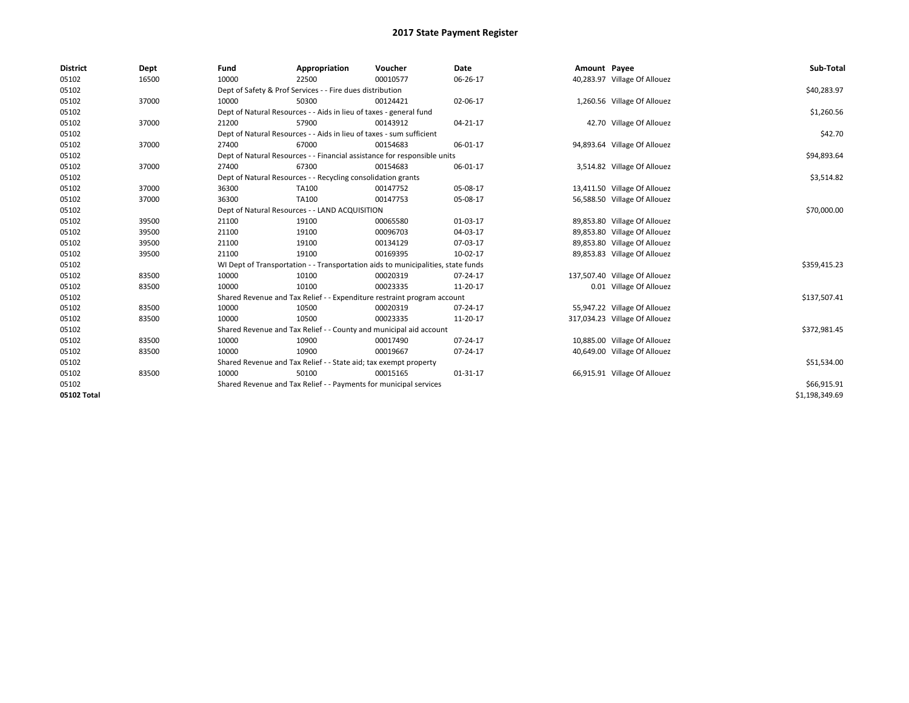| <b>District</b> | Dept  | Fund  | Appropriation                                                                    | Voucher  | Date       | Amount Payee |                               | Sub-Total      |
|-----------------|-------|-------|----------------------------------------------------------------------------------|----------|------------|--------------|-------------------------------|----------------|
| 05102           | 16500 | 10000 | 22500                                                                            | 00010577 | 06-26-17   |              | 40,283.97 Village Of Allouez  |                |
| 05102           |       |       | Dept of Safety & Prof Services - - Fire dues distribution                        |          |            |              |                               | \$40,283.97    |
| 05102           | 37000 | 10000 | 50300                                                                            | 00124421 | 02-06-17   |              | 1,260.56 Village Of Allouez   |                |
| 05102           |       |       | Dept of Natural Resources - - Aids in lieu of taxes - general fund               |          |            |              |                               | \$1,260.56     |
| 05102           | 37000 | 21200 | 57900                                                                            | 00143912 | 04-21-17   |              | 42.70 Village Of Allouez      |                |
| 05102           |       |       | Dept of Natural Resources - - Aids in lieu of taxes - sum sufficient             |          |            |              |                               | \$42.70        |
| 05102           | 37000 | 27400 | 67000                                                                            | 00154683 | 06-01-17   |              | 94,893.64 Village Of Allouez  |                |
| 05102           |       |       | Dept of Natural Resources - - Financial assistance for responsible units         |          |            |              |                               | \$94,893.64    |
| 05102           | 37000 | 27400 | 67300                                                                            | 00154683 | 06-01-17   |              | 3,514.82 Village Of Allouez   |                |
| 05102           |       |       | Dept of Natural Resources - - Recycling consolidation grants                     |          |            |              |                               | \$3,514.82     |
| 05102           | 37000 | 36300 | TA100                                                                            | 00147752 | 05-08-17   |              | 13,411.50 Village Of Allouez  |                |
| 05102           | 37000 | 36300 | TA100                                                                            | 00147753 | 05-08-17   |              | 56,588.50 Village Of Allouez  |                |
| 05102           |       |       | Dept of Natural Resources - - LAND ACQUISITION                                   |          |            |              |                               | \$70,000.00    |
| 05102           | 39500 | 21100 | 19100                                                                            | 00065580 | 01-03-17   |              | 89,853.80 Village Of Allouez  |                |
| 05102           | 39500 | 21100 | 19100                                                                            | 00096703 | 04-03-17   |              | 89,853.80 Village Of Allouez  |                |
| 05102           | 39500 | 21100 | 19100                                                                            | 00134129 | 07-03-17   |              | 89,853.80 Village Of Allouez  |                |
| 05102           | 39500 | 21100 | 19100                                                                            | 00169395 | $10-02-17$ |              | 89,853.83 Village Of Allouez  |                |
| 05102           |       |       | WI Dept of Transportation - - Transportation aids to municipalities, state funds |          |            |              |                               | \$359,415.23   |
| 05102           | 83500 | 10000 | 10100                                                                            | 00020319 | 07-24-17   |              | 137,507.40 Village Of Allouez |                |
| 05102           | 83500 | 10000 | 10100                                                                            | 00023335 | 11-20-17   |              | 0.01 Village Of Allouez       |                |
| 05102           |       |       | Shared Revenue and Tax Relief - - Expenditure restraint program account          |          |            |              |                               | \$137,507.41   |
| 05102           | 83500 | 10000 | 10500                                                                            | 00020319 | 07-24-17   |              | 55,947.22 Village Of Allouez  |                |
| 05102           | 83500 | 10000 | 10500                                                                            | 00023335 | 11-20-17   |              | 317,034.23 Village Of Allouez |                |
| 05102           |       |       | Shared Revenue and Tax Relief - - County and municipal aid account               |          |            |              |                               | \$372,981.45   |
| 05102           | 83500 | 10000 | 10900                                                                            | 00017490 | 07-24-17   |              | 10,885.00 Village Of Allouez  |                |
| 05102           | 83500 | 10000 | 10900                                                                            | 00019667 | 07-24-17   |              | 40,649.00 Village Of Allouez  |                |
| 05102           |       |       | Shared Revenue and Tax Relief - - State aid; tax exempt property                 |          |            |              |                               | \$51,534.00    |
| 05102           | 83500 | 10000 | 50100                                                                            | 00015165 | 01-31-17   |              | 66,915.91 Village Of Allouez  |                |
| 05102           |       |       | Shared Revenue and Tax Relief - - Payments for municipal services                |          |            |              |                               | \$66,915.91    |
| 05102 Total     |       |       |                                                                                  |          |            |              |                               | \$1,198,349.69 |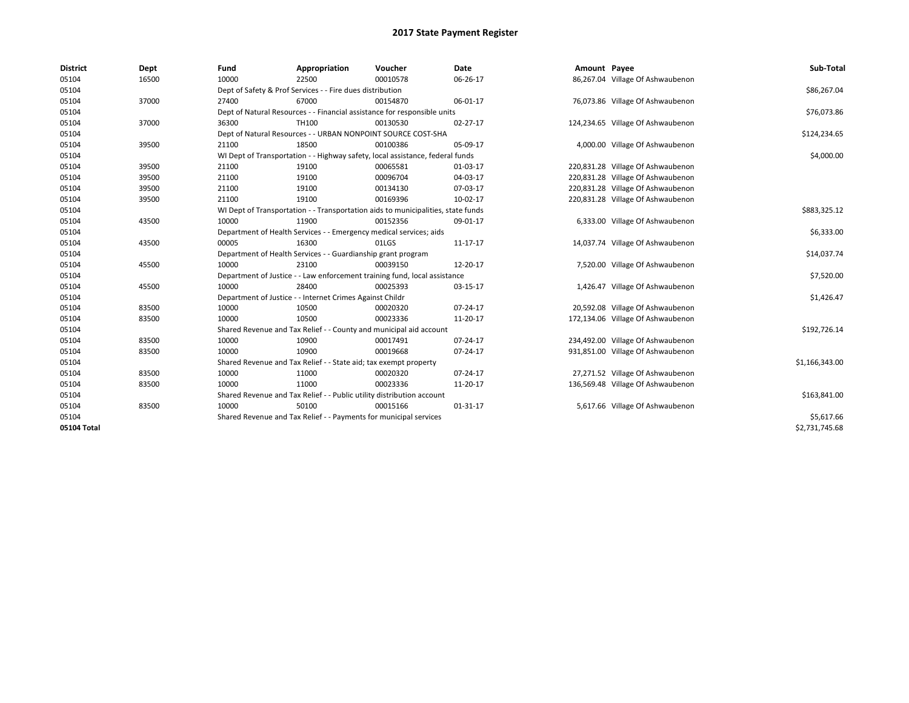| <b>District</b> | Dept  | Fund  | Appropriation                                                                    | Voucher  | Date           | Amount Payee |                                   | Sub-Total      |  |  |
|-----------------|-------|-------|----------------------------------------------------------------------------------|----------|----------------|--------------|-----------------------------------|----------------|--|--|
| 05104           | 16500 | 10000 | 22500                                                                            | 00010578 | 06-26-17       |              | 86,267.04 Village Of Ashwaubenon  |                |  |  |
| 05104           |       |       | Dept of Safety & Prof Services - - Fire dues distribution                        |          |                |              |                                   | \$86,267.04    |  |  |
| 05104           | 37000 | 27400 | 67000                                                                            | 00154870 | 06-01-17       |              | 76,073.86 Village Of Ashwaubenon  |                |  |  |
| 05104           |       |       | Dept of Natural Resources - - Financial assistance for responsible units         |          |                |              |                                   | \$76,073.86    |  |  |
| 05104           | 37000 | 36300 | TH100                                                                            | 00130530 | $02 - 27 - 17$ |              | 124,234.65 Village Of Ashwaubenon |                |  |  |
| 05104           |       |       | Dept of Natural Resources - - URBAN NONPOINT SOURCE COST-SHA                     |          |                |              |                                   | \$124,234.65   |  |  |
| 05104           | 39500 | 21100 | 18500                                                                            | 00100386 | 05-09-17       |              | 4,000.00 Village Of Ashwaubenon   |                |  |  |
| 05104           |       |       | WI Dept of Transportation - - Highway safety, local assistance, federal funds    |          |                |              |                                   | \$4,000.00     |  |  |
| 05104           | 39500 | 21100 | 19100                                                                            | 00065581 | 01-03-17       |              | 220,831.28 Village Of Ashwaubenon |                |  |  |
| 05104           | 39500 | 21100 | 19100                                                                            | 00096704 | 04-03-17       |              | 220,831.28 Village Of Ashwaubenon |                |  |  |
| 05104           | 39500 | 21100 | 19100                                                                            | 00134130 | 07-03-17       |              | 220,831.28 Village Of Ashwaubenon |                |  |  |
| 05104           | 39500 | 21100 | 19100                                                                            | 00169396 | 10-02-17       |              | 220,831.28 Village Of Ashwaubenon |                |  |  |
| 05104           |       |       | WI Dept of Transportation - - Transportation aids to municipalities, state funds |          |                |              |                                   | \$883,325.12   |  |  |
| 05104           | 43500 | 10000 | 11900                                                                            | 00152356 | 09-01-17       |              | 6,333.00 Village Of Ashwaubenon   |                |  |  |
| 05104           |       |       | Department of Health Services - - Emergency medical services; aids               |          |                |              |                                   |                |  |  |
| 05104           | 43500 | 00005 | 16300                                                                            | 01LGS    | 11-17-17       |              | 14,037.74 Village Of Ashwaubenon  |                |  |  |
| 05104           |       |       | Department of Health Services - - Guardianship grant program                     |          |                |              |                                   | \$14,037.74    |  |  |
| 05104           | 45500 | 10000 | 23100                                                                            | 00039150 | 12-20-17       |              | 7,520.00 Village Of Ashwaubenon   |                |  |  |
| 05104           |       |       | Department of Justice - - Law enforcement training fund, local assistance        |          |                |              |                                   | \$7,520.00     |  |  |
| 05104           | 45500 | 10000 | 28400                                                                            | 00025393 | 03-15-17       |              | 1,426.47 Village Of Ashwaubenon   |                |  |  |
| 05104           |       |       | Department of Justice - - Internet Crimes Against Childr                         |          |                |              |                                   | \$1,426.47     |  |  |
| 05104           | 83500 | 10000 | 10500                                                                            | 00020320 | 07-24-17       |              | 20,592.08 Village Of Ashwaubenon  |                |  |  |
| 05104           | 83500 | 10000 | 10500                                                                            | 00023336 | 11-20-17       |              | 172,134.06 Village Of Ashwaubenon |                |  |  |
| 05104           |       |       | Shared Revenue and Tax Relief - - County and municipal aid account               |          |                |              |                                   | \$192,726.14   |  |  |
| 05104           | 83500 | 10000 | 10900                                                                            | 00017491 | 07-24-17       |              | 234,492.00 Village Of Ashwaubenon |                |  |  |
| 05104           | 83500 | 10000 | 10900                                                                            | 00019668 | 07-24-17       |              | 931,851.00 Village Of Ashwaubenon |                |  |  |
| 05104           |       |       | Shared Revenue and Tax Relief - - State aid; tax exempt property                 |          |                |              |                                   | \$1,166,343.00 |  |  |
| 05104           | 83500 | 10000 | 11000                                                                            | 00020320 | 07-24-17       |              | 27,271.52 Village Of Ashwaubenon  |                |  |  |
| 05104           | 83500 | 10000 | 11000                                                                            | 00023336 | 11-20-17       |              | 136,569.48 Village Of Ashwaubenon |                |  |  |
| 05104           |       |       | Shared Revenue and Tax Relief - - Public utility distribution account            |          |                |              |                                   | \$163,841.00   |  |  |
| 05104           | 83500 | 10000 | 50100                                                                            | 00015166 | 01-31-17       |              | 5,617.66 Village Of Ashwaubenon   |                |  |  |
| 05104           |       |       | Shared Revenue and Tax Relief - - Payments for municipal services                |          |                |              |                                   | \$5,617.66     |  |  |
| 05104 Total     |       |       |                                                                                  |          |                |              |                                   | \$2,731,745.68 |  |  |
|                 |       |       |                                                                                  |          |                |              |                                   |                |  |  |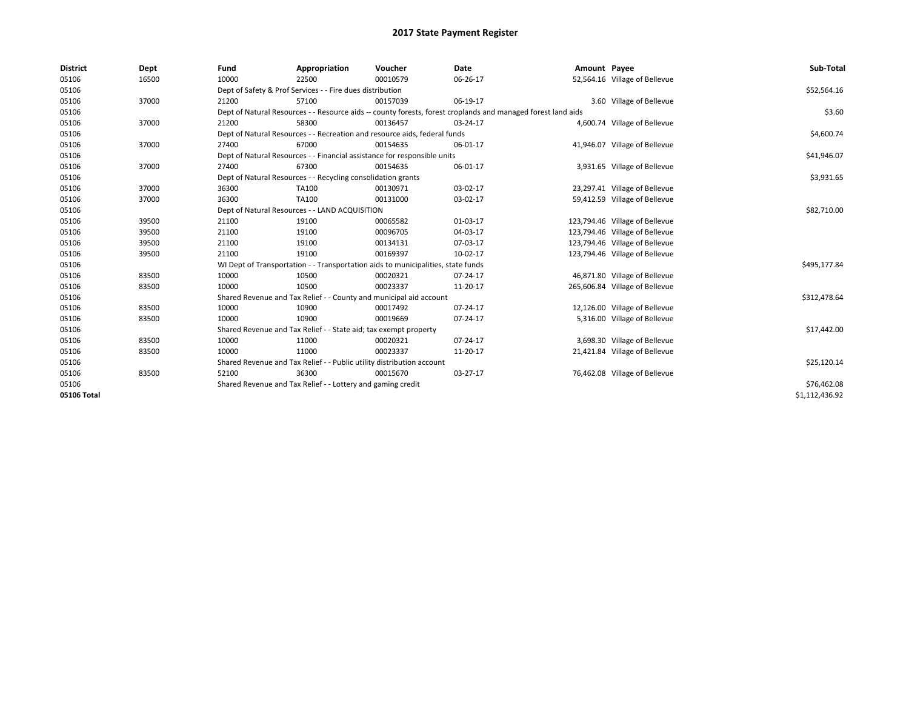| <b>District</b> | Dept  | Fund  | Appropriation                                                                    | Voucher  | <b>Date</b>                                                                                                  | Amount Payee |                                | Sub-Total      |
|-----------------|-------|-------|----------------------------------------------------------------------------------|----------|--------------------------------------------------------------------------------------------------------------|--------------|--------------------------------|----------------|
| 05106           | 16500 | 10000 | 22500                                                                            | 00010579 | 06-26-17                                                                                                     |              | 52,564.16 Village of Bellevue  |                |
| 05106           |       |       | Dept of Safety & Prof Services - - Fire dues distribution                        |          |                                                                                                              |              |                                | \$52,564.16    |
| 05106           | 37000 | 21200 | 57100                                                                            | 00157039 | 06-19-17                                                                                                     |              | 3.60 Village of Bellevue       |                |
| 05106           |       |       |                                                                                  |          | Dept of Natural Resources - - Resource aids -- county forests, forest croplands and managed forest land aids |              |                                | \$3.60         |
| 05106           | 37000 | 21200 | 58300                                                                            | 00136457 | 03-24-17                                                                                                     |              | 4,600.74 Village of Bellevue   |                |
| 05106           |       |       | Dept of Natural Resources - - Recreation and resource aids, federal funds        |          |                                                                                                              |              |                                | \$4,600.74     |
| 05106           | 37000 | 27400 | 67000                                                                            | 00154635 | 06-01-17                                                                                                     |              | 41,946.07 Village of Bellevue  |                |
| 05106           |       |       | Dept of Natural Resources - - Financial assistance for responsible units         |          |                                                                                                              |              |                                | \$41,946.07    |
| 05106           | 37000 | 27400 | 67300                                                                            | 00154635 | 06-01-17                                                                                                     |              | 3,931.65 Village of Bellevue   |                |
| 05106           |       |       | Dept of Natural Resources - - Recycling consolidation grants                     |          |                                                                                                              |              |                                | \$3,931.65     |
| 05106           | 37000 | 36300 | TA100                                                                            | 00130971 | 03-02-17                                                                                                     |              | 23,297.41 Village of Bellevue  |                |
| 05106           | 37000 | 36300 | TA100                                                                            | 00131000 | 03-02-17                                                                                                     |              | 59,412.59 Village of Bellevue  |                |
| 05106           |       |       | Dept of Natural Resources - - LAND ACQUISITION                                   |          |                                                                                                              |              |                                | \$82,710.00    |
| 05106           | 39500 | 21100 | 19100                                                                            | 00065582 | 01-03-17                                                                                                     |              | 123,794.46 Village of Bellevue |                |
| 05106           | 39500 | 21100 | 19100                                                                            | 00096705 | 04-03-17                                                                                                     |              | 123,794.46 Village of Bellevue |                |
| 05106           | 39500 | 21100 | 19100                                                                            | 00134131 | 07-03-17                                                                                                     |              | 123,794.46 Village of Bellevue |                |
| 05106           | 39500 | 21100 | 19100                                                                            | 00169397 | 10-02-17                                                                                                     |              | 123,794.46 Village of Bellevue |                |
| 05106           |       |       | WI Dept of Transportation - - Transportation aids to municipalities, state funds |          |                                                                                                              |              |                                | \$495,177.84   |
| 05106           | 83500 | 10000 | 10500                                                                            | 00020321 | 07-24-17                                                                                                     |              | 46,871.80 Village of Bellevue  |                |
| 05106           | 83500 | 10000 | 10500                                                                            | 00023337 | 11-20-17                                                                                                     |              | 265,606.84 Village of Bellevue |                |
| 05106           |       |       | Shared Revenue and Tax Relief - - County and municipal aid account               |          |                                                                                                              |              |                                | \$312,478.64   |
| 05106           | 83500 | 10000 | 10900                                                                            | 00017492 | 07-24-17                                                                                                     |              | 12,126.00 Village of Bellevue  |                |
| 05106           | 83500 | 10000 | 10900                                                                            | 00019669 | 07-24-17                                                                                                     |              | 5,316.00 Village of Bellevue   |                |
| 05106           |       |       | Shared Revenue and Tax Relief - - State aid; tax exempt property                 |          |                                                                                                              |              |                                | \$17,442.00    |
| 05106           | 83500 | 10000 | 11000                                                                            | 00020321 | 07-24-17                                                                                                     |              | 3,698.30 Village of Bellevue   |                |
| 05106           | 83500 | 10000 | 11000                                                                            | 00023337 | 11-20-17                                                                                                     |              | 21,421.84 Village of Bellevue  |                |
| 05106           |       |       | Shared Revenue and Tax Relief - - Public utility distribution account            |          |                                                                                                              |              |                                | \$25,120.14    |
| 05106           | 83500 | 52100 | 36300                                                                            | 00015670 | 03-27-17                                                                                                     |              | 76,462.08 Village of Bellevue  |                |
| 05106           |       |       | Shared Revenue and Tax Relief - - Lottery and gaming credit                      |          |                                                                                                              |              |                                | \$76,462.08    |
| 05106 Total     |       |       |                                                                                  |          |                                                                                                              |              |                                | \$1,112,436.92 |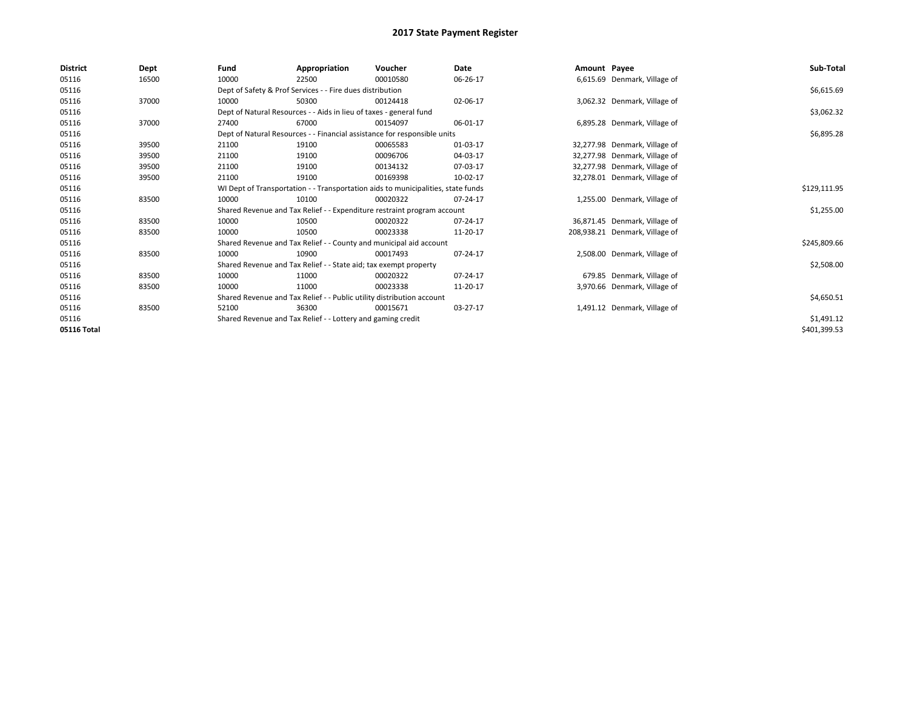| <b>District</b> | Dept  | Fund  | Appropriation                                                         | Voucher                                                                          | <b>Date</b> | Amount Payee |                                | Sub-Total    |
|-----------------|-------|-------|-----------------------------------------------------------------------|----------------------------------------------------------------------------------|-------------|--------------|--------------------------------|--------------|
| 05116           | 16500 | 10000 | 22500                                                                 | 00010580                                                                         | 06-26-17    |              | 6,615.69 Denmark, Village of   |              |
| 05116           |       |       | Dept of Safety & Prof Services - - Fire dues distribution             |                                                                                  |             |              |                                | \$6,615.69   |
| 05116           | 37000 | 10000 | 50300                                                                 | 00124418                                                                         | 02-06-17    |              | 3,062.32 Denmark, Village of   |              |
| 05116           |       |       | Dept of Natural Resources - - Aids in lieu of taxes - general fund    |                                                                                  |             |              |                                | \$3,062.32   |
| 05116           | 37000 | 27400 | 67000                                                                 | 00154097                                                                         | 06-01-17    |              | 6,895.28 Denmark, Village of   |              |
| 05116           |       |       |                                                                       | Dept of Natural Resources - - Financial assistance for responsible units         |             |              |                                | \$6,895.28   |
| 05116           | 39500 | 21100 | 19100                                                                 | 00065583                                                                         | 01-03-17    |              | 32,277.98 Denmark, Village of  |              |
| 05116           | 39500 | 21100 | 19100                                                                 | 00096706                                                                         | 04-03-17    |              | 32,277.98 Denmark, Village of  |              |
| 05116           | 39500 | 21100 | 19100                                                                 | 00134132                                                                         | 07-03-17    |              | 32,277.98 Denmark, Village of  |              |
| 05116           | 39500 | 21100 | 19100                                                                 | 00169398                                                                         | 10-02-17    |              | 32,278.01 Denmark, Village of  |              |
| 05116           |       |       |                                                                       | WI Dept of Transportation - - Transportation aids to municipalities, state funds |             |              |                                | \$129,111.95 |
| 05116           | 83500 | 10000 | 10100                                                                 | 00020322                                                                         | 07-24-17    |              | 1,255.00 Denmark, Village of   |              |
| 05116           |       |       |                                                                       | Shared Revenue and Tax Relief - - Expenditure restraint program account          |             |              |                                | \$1,255.00   |
| 05116           | 83500 | 10000 | 10500                                                                 | 00020322                                                                         | 07-24-17    |              | 36,871.45 Denmark, Village of  |              |
| 05116           | 83500 | 10000 | 10500                                                                 | 00023338                                                                         | 11-20-17    |              | 208,938.21 Denmark, Village of |              |
| 05116           |       |       |                                                                       | Shared Revenue and Tax Relief - - County and municipal aid account               |             |              |                                | \$245,809.66 |
| 05116           | 83500 | 10000 | 10900                                                                 | 00017493                                                                         | 07-24-17    |              | 2,508.00 Denmark, Village of   |              |
| 05116           |       |       | Shared Revenue and Tax Relief - - State aid; tax exempt property      |                                                                                  |             |              |                                | \$2,508.00   |
| 05116           | 83500 | 10000 | 11000                                                                 | 00020322                                                                         | 07-24-17    |              | 679.85 Denmark, Village of     |              |
| 05116           | 83500 | 10000 | 11000                                                                 | 00023338                                                                         | 11-20-17    |              | 3,970.66 Denmark, Village of   |              |
| 05116           |       |       | Shared Revenue and Tax Relief - - Public utility distribution account |                                                                                  |             |              |                                | \$4,650.51   |
| 05116           | 83500 | 52100 | 36300                                                                 | 00015671                                                                         | 03-27-17    |              | 1,491.12 Denmark, Village of   |              |
| 05116           |       |       | Shared Revenue and Tax Relief - - Lottery and gaming credit           |                                                                                  |             |              |                                | \$1,491.12   |
| 05116 Total     |       |       |                                                                       |                                                                                  |             |              |                                | \$401,399.53 |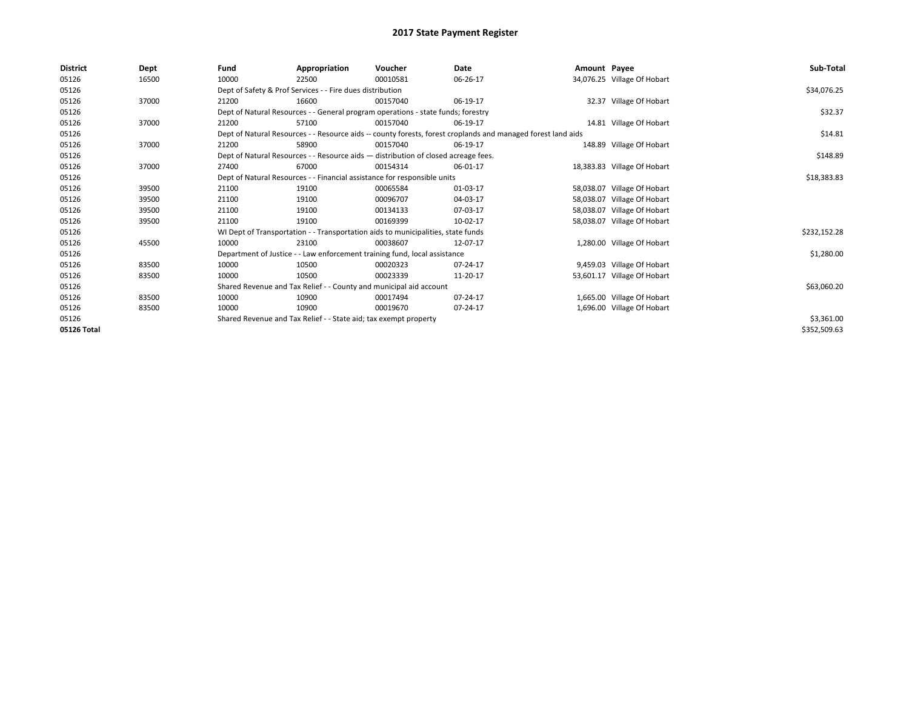| District    | Dept  | Fund  | Appropriation                                                                      | Voucher  | Date                                                                                                         | Amount Payee |                             | Sub-Total    |  |  |  |
|-------------|-------|-------|------------------------------------------------------------------------------------|----------|--------------------------------------------------------------------------------------------------------------|--------------|-----------------------------|--------------|--|--|--|
| 05126       | 16500 | 10000 | 22500                                                                              | 00010581 | 06-26-17                                                                                                     |              | 34,076.25 Village Of Hobart |              |  |  |  |
| 05126       |       |       | Dept of Safety & Prof Services - - Fire dues distribution                          |          |                                                                                                              |              |                             | \$34,076.25  |  |  |  |
| 05126       | 37000 | 21200 | 16600                                                                              | 00157040 | 06-19-17                                                                                                     |              | 32.37 Village Of Hobart     |              |  |  |  |
| 05126       |       |       | Dept of Natural Resources - - General program operations - state funds; forestry   |          |                                                                                                              |              |                             | \$32.37      |  |  |  |
| 05126       | 37000 | 21200 | 57100                                                                              | 00157040 | 06-19-17                                                                                                     |              | 14.81 Village Of Hobart     |              |  |  |  |
| 05126       |       |       |                                                                                    |          | Dept of Natural Resources - - Resource aids -- county forests, forest croplands and managed forest land aids |              |                             | \$14.81      |  |  |  |
| 05126       | 37000 | 21200 | 58900                                                                              | 00157040 | 06-19-17                                                                                                     |              | 148.89 Village Of Hobart    |              |  |  |  |
| 05126       |       |       | Dept of Natural Resources - - Resource aids - distribution of closed acreage fees. |          |                                                                                                              |              |                             |              |  |  |  |
| 05126       | 37000 | 27400 | 67000                                                                              | 00154314 | 06-01-17                                                                                                     |              | 18,383.83 Village Of Hobart |              |  |  |  |
| 05126       |       |       | Dept of Natural Resources - - Financial assistance for responsible units           |          |                                                                                                              |              |                             | \$18,383.83  |  |  |  |
| 05126       | 39500 | 21100 | 19100                                                                              | 00065584 | 01-03-17                                                                                                     |              | 58,038.07 Village Of Hobart |              |  |  |  |
| 05126       | 39500 | 21100 | 19100                                                                              | 00096707 | 04-03-17                                                                                                     |              | 58,038.07 Village Of Hobart |              |  |  |  |
| 05126       | 39500 | 21100 | 19100                                                                              | 00134133 | 07-03-17                                                                                                     |              | 58,038.07 Village Of Hobart |              |  |  |  |
| 05126       | 39500 | 21100 | 19100                                                                              | 00169399 | 10-02-17                                                                                                     |              | 58,038.07 Village Of Hobart |              |  |  |  |
| 05126       |       |       | WI Dept of Transportation - - Transportation aids to municipalities, state funds   |          |                                                                                                              |              |                             | \$232,152.28 |  |  |  |
| 05126       | 45500 | 10000 | 23100                                                                              | 00038607 | 12-07-17                                                                                                     |              | 1,280.00 Village Of Hobart  |              |  |  |  |
| 05126       |       |       | Department of Justice - - Law enforcement training fund, local assistance          |          |                                                                                                              |              |                             | \$1,280.00   |  |  |  |
| 05126       | 83500 | 10000 | 10500                                                                              | 00020323 | 07-24-17                                                                                                     |              | 9,459.03 Village Of Hobart  |              |  |  |  |
| 05126       | 83500 | 10000 | 10500                                                                              | 00023339 | 11-20-17                                                                                                     |              | 53,601.17 Village Of Hobart |              |  |  |  |
| 05126       |       |       | Shared Revenue and Tax Relief - - County and municipal aid account                 |          |                                                                                                              |              |                             | \$63,060.20  |  |  |  |
| 05126       | 83500 | 10000 | 10900                                                                              | 00017494 | 07-24-17                                                                                                     |              | 1,665.00 Village Of Hobart  |              |  |  |  |
| 05126       | 83500 | 10000 | 10900                                                                              | 00019670 | 07-24-17                                                                                                     |              | 1,696.00 Village Of Hobart  |              |  |  |  |
| 05126       |       |       | Shared Revenue and Tax Relief - - State aid; tax exempt property                   |          |                                                                                                              |              |                             | \$3,361.00   |  |  |  |
| 05126 Total |       |       |                                                                                    |          |                                                                                                              |              |                             | \$352,509.63 |  |  |  |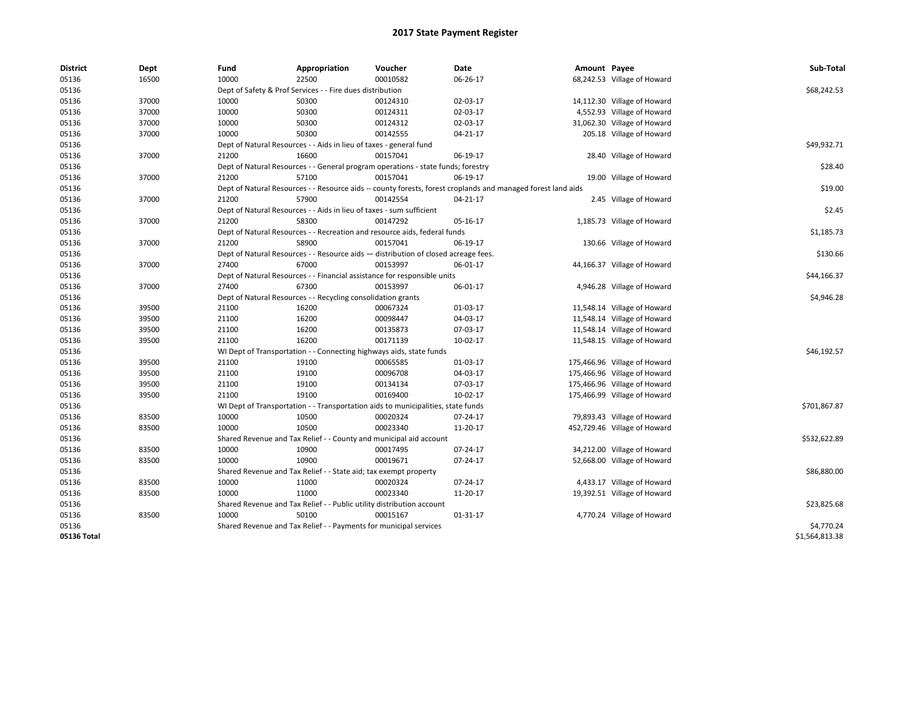| 10000<br>22500<br>00010582<br>05136<br>16500<br>06-26-17<br>68,242.53 Village of Howard<br>\$68,242.53<br>05136<br>Dept of Safety & Prof Services - - Fire dues distribution<br>05136<br>37000<br>10000<br>50300<br>00124310<br>02-03-17<br>14,112.30 Village of Howard<br>05136<br>4,552.93 Village of Howard<br>37000<br>10000<br>50300<br>00124311<br>02-03-17<br>05136<br>37000<br>10000<br>50300<br>00124312<br>02-03-17<br>31,062.30 Village of Howard<br>10000<br>50300<br>00142555<br>05136<br>37000<br>04-21-17<br>205.18 Village of Howard<br>\$49,932.71<br>05136<br>Dept of Natural Resources - - Aids in lieu of taxes - general fund<br>05136<br>37000<br>21200<br>16600<br>00157041<br>06-19-17<br>28.40 Village of Howard<br>\$28.40<br>05136<br>Dept of Natural Resources - - General program operations - state funds; forestry<br>37000<br>21200<br>57100<br>00157041<br>06-19-17<br>05136<br>19.00 Village of Howard<br>\$19.00<br>05136<br>Dept of Natural Resources - - Resource aids -- county forests, forest croplands and managed forest land aids<br>57900<br>05136<br>37000<br>21200<br>00142554<br>04-21-17<br>2.45 Village of Howard<br>\$2.45<br>05136<br>Dept of Natural Resources - - Aids in lieu of taxes - sum sufficient<br>05136<br>37000<br>21200<br>58300<br>00147292<br>1,185.73 Village of Howard<br>05-16-17<br>05136<br>\$1,185.73<br>Dept of Natural Resources - - Recreation and resource aids, federal funds<br>05136<br>37000<br>21200<br>58900<br>00157041<br>06-19-17<br>130.66 Village of Howard<br>05136<br>Dept of Natural Resources - - Resource aids - distribution of closed acreage fees.<br>\$130.66<br>67000<br>05136<br>37000<br>27400<br>00153997<br>06-01-17<br>44,166.37 Village of Howard<br>05136<br>Dept of Natural Resources - - Financial assistance for responsible units<br>\$44,166.37<br>05136<br>37000<br>27400<br>67300<br>00153997<br>06-01-17<br>4,946.28 Village of Howard<br>05136<br>Dept of Natural Resources - - Recycling consolidation grants<br>\$4,946.28<br>05136<br>39500<br>21100<br>16200<br>00067324<br>01-03-17<br>11,548.14 Village of Howard<br>21100<br>00098447<br>11,548.14 Village of Howard<br>05136<br>39500<br>16200<br>04-03-17<br>05136<br>21100<br>16200<br>00135873<br>07-03-17<br>11,548.14 Village of Howard<br>39500<br>00171139<br>05136<br>39500<br>21100<br>16200<br>10-02-17<br>11,548.15 Village of Howard<br>05136<br>WI Dept of Transportation - - Connecting highways aids, state funds<br>\$46,192.57<br>05136<br>39500<br>21100<br>19100<br>00065585<br>01-03-17<br>175,466.96 Village of Howard<br>00096708<br>05136<br>39500<br>21100<br>19100<br>04-03-17<br>175,466.96 Village of Howard<br>39500<br>21100<br>19100<br>00134134<br>175,466.96 Village of Howard<br>05136<br>07-03-17<br>19100<br>00169400<br>10-02-17<br>175,466.99 Village of Howard<br>05136<br>39500<br>21100<br>05136<br>WI Dept of Transportation - - Transportation aids to municipalities, state funds<br>\$701,867.87<br>79,893.43 Village of Howard<br>05136<br>83500<br>10000<br>10500<br>00020324<br>07-24-17<br>10000<br>10500<br>00023340<br>452,729.46 Village of Howard<br>05136<br>83500<br>11-20-17<br>05136<br>Shared Revenue and Tax Relief - - County and municipal aid account<br>\$532,622.89<br>05136<br>83500<br>10000<br>10900<br>00017495<br>07-24-17<br>34,212.00 Village of Howard<br>10000<br>05136<br>83500<br>10900<br>00019671<br>07-24-17<br>52,668.00 Village of Howard<br>\$86,880.00<br>05136<br>Shared Revenue and Tax Relief - - State aid; tax exempt property<br>4,433.17 Village of Howard | <b>District</b> | Dept  | Fund  | Appropriation | Voucher  | Date     | Amount Payee | Sub-Total |
|------------------------------------------------------------------------------------------------------------------------------------------------------------------------------------------------------------------------------------------------------------------------------------------------------------------------------------------------------------------------------------------------------------------------------------------------------------------------------------------------------------------------------------------------------------------------------------------------------------------------------------------------------------------------------------------------------------------------------------------------------------------------------------------------------------------------------------------------------------------------------------------------------------------------------------------------------------------------------------------------------------------------------------------------------------------------------------------------------------------------------------------------------------------------------------------------------------------------------------------------------------------------------------------------------------------------------------------------------------------------------------------------------------------------------------------------------------------------------------------------------------------------------------------------------------------------------------------------------------------------------------------------------------------------------------------------------------------------------------------------------------------------------------------------------------------------------------------------------------------------------------------------------------------------------------------------------------------------------------------------------------------------------------------------------------------------------------------------------------------------------------------------------------------------------------------------------------------------------------------------------------------------------------------------------------------------------------------------------------------------------------------------------------------------------------------------------------------------------------------------------------------------------------------------------------------------------------------------------------------------------------------------------------------------------------------------------------------------------------------------------------------------------------------------------------------------------------------------------------------------------------------------------------------------------------------------------------------------------------------------------------------------------------------------------------------------------------------------------------------------------------------------------------------------------------------------------------------------------------------------------------------------------------------------------------------------------------------------------------------------------------------------------------------------------------------------------------------------------------------------------------------------------------------------------------------------------------------------------------------------------|-----------------|-------|-------|---------------|----------|----------|--------------|-----------|
|                                                                                                                                                                                                                                                                                                                                                                                                                                                                                                                                                                                                                                                                                                                                                                                                                                                                                                                                                                                                                                                                                                                                                                                                                                                                                                                                                                                                                                                                                                                                                                                                                                                                                                                                                                                                                                                                                                                                                                                                                                                                                                                                                                                                                                                                                                                                                                                                                                                                                                                                                                                                                                                                                                                                                                                                                                                                                                                                                                                                                                                                                                                                                                                                                                                                                                                                                                                                                                                                                                                                                                                                                              |                 |       |       |               |          |          |              |           |
|                                                                                                                                                                                                                                                                                                                                                                                                                                                                                                                                                                                                                                                                                                                                                                                                                                                                                                                                                                                                                                                                                                                                                                                                                                                                                                                                                                                                                                                                                                                                                                                                                                                                                                                                                                                                                                                                                                                                                                                                                                                                                                                                                                                                                                                                                                                                                                                                                                                                                                                                                                                                                                                                                                                                                                                                                                                                                                                                                                                                                                                                                                                                                                                                                                                                                                                                                                                                                                                                                                                                                                                                                              |                 |       |       |               |          |          |              |           |
|                                                                                                                                                                                                                                                                                                                                                                                                                                                                                                                                                                                                                                                                                                                                                                                                                                                                                                                                                                                                                                                                                                                                                                                                                                                                                                                                                                                                                                                                                                                                                                                                                                                                                                                                                                                                                                                                                                                                                                                                                                                                                                                                                                                                                                                                                                                                                                                                                                                                                                                                                                                                                                                                                                                                                                                                                                                                                                                                                                                                                                                                                                                                                                                                                                                                                                                                                                                                                                                                                                                                                                                                                              |                 |       |       |               |          |          |              |           |
|                                                                                                                                                                                                                                                                                                                                                                                                                                                                                                                                                                                                                                                                                                                                                                                                                                                                                                                                                                                                                                                                                                                                                                                                                                                                                                                                                                                                                                                                                                                                                                                                                                                                                                                                                                                                                                                                                                                                                                                                                                                                                                                                                                                                                                                                                                                                                                                                                                                                                                                                                                                                                                                                                                                                                                                                                                                                                                                                                                                                                                                                                                                                                                                                                                                                                                                                                                                                                                                                                                                                                                                                                              |                 |       |       |               |          |          |              |           |
|                                                                                                                                                                                                                                                                                                                                                                                                                                                                                                                                                                                                                                                                                                                                                                                                                                                                                                                                                                                                                                                                                                                                                                                                                                                                                                                                                                                                                                                                                                                                                                                                                                                                                                                                                                                                                                                                                                                                                                                                                                                                                                                                                                                                                                                                                                                                                                                                                                                                                                                                                                                                                                                                                                                                                                                                                                                                                                                                                                                                                                                                                                                                                                                                                                                                                                                                                                                                                                                                                                                                                                                                                              |                 |       |       |               |          |          |              |           |
|                                                                                                                                                                                                                                                                                                                                                                                                                                                                                                                                                                                                                                                                                                                                                                                                                                                                                                                                                                                                                                                                                                                                                                                                                                                                                                                                                                                                                                                                                                                                                                                                                                                                                                                                                                                                                                                                                                                                                                                                                                                                                                                                                                                                                                                                                                                                                                                                                                                                                                                                                                                                                                                                                                                                                                                                                                                                                                                                                                                                                                                                                                                                                                                                                                                                                                                                                                                                                                                                                                                                                                                                                              |                 |       |       |               |          |          |              |           |
|                                                                                                                                                                                                                                                                                                                                                                                                                                                                                                                                                                                                                                                                                                                                                                                                                                                                                                                                                                                                                                                                                                                                                                                                                                                                                                                                                                                                                                                                                                                                                                                                                                                                                                                                                                                                                                                                                                                                                                                                                                                                                                                                                                                                                                                                                                                                                                                                                                                                                                                                                                                                                                                                                                                                                                                                                                                                                                                                                                                                                                                                                                                                                                                                                                                                                                                                                                                                                                                                                                                                                                                                                              |                 |       |       |               |          |          |              |           |
|                                                                                                                                                                                                                                                                                                                                                                                                                                                                                                                                                                                                                                                                                                                                                                                                                                                                                                                                                                                                                                                                                                                                                                                                                                                                                                                                                                                                                                                                                                                                                                                                                                                                                                                                                                                                                                                                                                                                                                                                                                                                                                                                                                                                                                                                                                                                                                                                                                                                                                                                                                                                                                                                                                                                                                                                                                                                                                                                                                                                                                                                                                                                                                                                                                                                                                                                                                                                                                                                                                                                                                                                                              |                 |       |       |               |          |          |              |           |
|                                                                                                                                                                                                                                                                                                                                                                                                                                                                                                                                                                                                                                                                                                                                                                                                                                                                                                                                                                                                                                                                                                                                                                                                                                                                                                                                                                                                                                                                                                                                                                                                                                                                                                                                                                                                                                                                                                                                                                                                                                                                                                                                                                                                                                                                                                                                                                                                                                                                                                                                                                                                                                                                                                                                                                                                                                                                                                                                                                                                                                                                                                                                                                                                                                                                                                                                                                                                                                                                                                                                                                                                                              |                 |       |       |               |          |          |              |           |
|                                                                                                                                                                                                                                                                                                                                                                                                                                                                                                                                                                                                                                                                                                                                                                                                                                                                                                                                                                                                                                                                                                                                                                                                                                                                                                                                                                                                                                                                                                                                                                                                                                                                                                                                                                                                                                                                                                                                                                                                                                                                                                                                                                                                                                                                                                                                                                                                                                                                                                                                                                                                                                                                                                                                                                                                                                                                                                                                                                                                                                                                                                                                                                                                                                                                                                                                                                                                                                                                                                                                                                                                                              |                 |       |       |               |          |          |              |           |
|                                                                                                                                                                                                                                                                                                                                                                                                                                                                                                                                                                                                                                                                                                                                                                                                                                                                                                                                                                                                                                                                                                                                                                                                                                                                                                                                                                                                                                                                                                                                                                                                                                                                                                                                                                                                                                                                                                                                                                                                                                                                                                                                                                                                                                                                                                                                                                                                                                                                                                                                                                                                                                                                                                                                                                                                                                                                                                                                                                                                                                                                                                                                                                                                                                                                                                                                                                                                                                                                                                                                                                                                                              |                 |       |       |               |          |          |              |           |
|                                                                                                                                                                                                                                                                                                                                                                                                                                                                                                                                                                                                                                                                                                                                                                                                                                                                                                                                                                                                                                                                                                                                                                                                                                                                                                                                                                                                                                                                                                                                                                                                                                                                                                                                                                                                                                                                                                                                                                                                                                                                                                                                                                                                                                                                                                                                                                                                                                                                                                                                                                                                                                                                                                                                                                                                                                                                                                                                                                                                                                                                                                                                                                                                                                                                                                                                                                                                                                                                                                                                                                                                                              |                 |       |       |               |          |          |              |           |
|                                                                                                                                                                                                                                                                                                                                                                                                                                                                                                                                                                                                                                                                                                                                                                                                                                                                                                                                                                                                                                                                                                                                                                                                                                                                                                                                                                                                                                                                                                                                                                                                                                                                                                                                                                                                                                                                                                                                                                                                                                                                                                                                                                                                                                                                                                                                                                                                                                                                                                                                                                                                                                                                                                                                                                                                                                                                                                                                                                                                                                                                                                                                                                                                                                                                                                                                                                                                                                                                                                                                                                                                                              |                 |       |       |               |          |          |              |           |
|                                                                                                                                                                                                                                                                                                                                                                                                                                                                                                                                                                                                                                                                                                                                                                                                                                                                                                                                                                                                                                                                                                                                                                                                                                                                                                                                                                                                                                                                                                                                                                                                                                                                                                                                                                                                                                                                                                                                                                                                                                                                                                                                                                                                                                                                                                                                                                                                                                                                                                                                                                                                                                                                                                                                                                                                                                                                                                                                                                                                                                                                                                                                                                                                                                                                                                                                                                                                                                                                                                                                                                                                                              |                 |       |       |               |          |          |              |           |
|                                                                                                                                                                                                                                                                                                                                                                                                                                                                                                                                                                                                                                                                                                                                                                                                                                                                                                                                                                                                                                                                                                                                                                                                                                                                                                                                                                                                                                                                                                                                                                                                                                                                                                                                                                                                                                                                                                                                                                                                                                                                                                                                                                                                                                                                                                                                                                                                                                                                                                                                                                                                                                                                                                                                                                                                                                                                                                                                                                                                                                                                                                                                                                                                                                                                                                                                                                                                                                                                                                                                                                                                                              |                 |       |       |               |          |          |              |           |
|                                                                                                                                                                                                                                                                                                                                                                                                                                                                                                                                                                                                                                                                                                                                                                                                                                                                                                                                                                                                                                                                                                                                                                                                                                                                                                                                                                                                                                                                                                                                                                                                                                                                                                                                                                                                                                                                                                                                                                                                                                                                                                                                                                                                                                                                                                                                                                                                                                                                                                                                                                                                                                                                                                                                                                                                                                                                                                                                                                                                                                                                                                                                                                                                                                                                                                                                                                                                                                                                                                                                                                                                                              |                 |       |       |               |          |          |              |           |
|                                                                                                                                                                                                                                                                                                                                                                                                                                                                                                                                                                                                                                                                                                                                                                                                                                                                                                                                                                                                                                                                                                                                                                                                                                                                                                                                                                                                                                                                                                                                                                                                                                                                                                                                                                                                                                                                                                                                                                                                                                                                                                                                                                                                                                                                                                                                                                                                                                                                                                                                                                                                                                                                                                                                                                                                                                                                                                                                                                                                                                                                                                                                                                                                                                                                                                                                                                                                                                                                                                                                                                                                                              |                 |       |       |               |          |          |              |           |
|                                                                                                                                                                                                                                                                                                                                                                                                                                                                                                                                                                                                                                                                                                                                                                                                                                                                                                                                                                                                                                                                                                                                                                                                                                                                                                                                                                                                                                                                                                                                                                                                                                                                                                                                                                                                                                                                                                                                                                                                                                                                                                                                                                                                                                                                                                                                                                                                                                                                                                                                                                                                                                                                                                                                                                                                                                                                                                                                                                                                                                                                                                                                                                                                                                                                                                                                                                                                                                                                                                                                                                                                                              |                 |       |       |               |          |          |              |           |
|                                                                                                                                                                                                                                                                                                                                                                                                                                                                                                                                                                                                                                                                                                                                                                                                                                                                                                                                                                                                                                                                                                                                                                                                                                                                                                                                                                                                                                                                                                                                                                                                                                                                                                                                                                                                                                                                                                                                                                                                                                                                                                                                                                                                                                                                                                                                                                                                                                                                                                                                                                                                                                                                                                                                                                                                                                                                                                                                                                                                                                                                                                                                                                                                                                                                                                                                                                                                                                                                                                                                                                                                                              |                 |       |       |               |          |          |              |           |
|                                                                                                                                                                                                                                                                                                                                                                                                                                                                                                                                                                                                                                                                                                                                                                                                                                                                                                                                                                                                                                                                                                                                                                                                                                                                                                                                                                                                                                                                                                                                                                                                                                                                                                                                                                                                                                                                                                                                                                                                                                                                                                                                                                                                                                                                                                                                                                                                                                                                                                                                                                                                                                                                                                                                                                                                                                                                                                                                                                                                                                                                                                                                                                                                                                                                                                                                                                                                                                                                                                                                                                                                                              |                 |       |       |               |          |          |              |           |
|                                                                                                                                                                                                                                                                                                                                                                                                                                                                                                                                                                                                                                                                                                                                                                                                                                                                                                                                                                                                                                                                                                                                                                                                                                                                                                                                                                                                                                                                                                                                                                                                                                                                                                                                                                                                                                                                                                                                                                                                                                                                                                                                                                                                                                                                                                                                                                                                                                                                                                                                                                                                                                                                                                                                                                                                                                                                                                                                                                                                                                                                                                                                                                                                                                                                                                                                                                                                                                                                                                                                                                                                                              |                 |       |       |               |          |          |              |           |
|                                                                                                                                                                                                                                                                                                                                                                                                                                                                                                                                                                                                                                                                                                                                                                                                                                                                                                                                                                                                                                                                                                                                                                                                                                                                                                                                                                                                                                                                                                                                                                                                                                                                                                                                                                                                                                                                                                                                                                                                                                                                                                                                                                                                                                                                                                                                                                                                                                                                                                                                                                                                                                                                                                                                                                                                                                                                                                                                                                                                                                                                                                                                                                                                                                                                                                                                                                                                                                                                                                                                                                                                                              |                 |       |       |               |          |          |              |           |
|                                                                                                                                                                                                                                                                                                                                                                                                                                                                                                                                                                                                                                                                                                                                                                                                                                                                                                                                                                                                                                                                                                                                                                                                                                                                                                                                                                                                                                                                                                                                                                                                                                                                                                                                                                                                                                                                                                                                                                                                                                                                                                                                                                                                                                                                                                                                                                                                                                                                                                                                                                                                                                                                                                                                                                                                                                                                                                                                                                                                                                                                                                                                                                                                                                                                                                                                                                                                                                                                                                                                                                                                                              |                 |       |       |               |          |          |              |           |
|                                                                                                                                                                                                                                                                                                                                                                                                                                                                                                                                                                                                                                                                                                                                                                                                                                                                                                                                                                                                                                                                                                                                                                                                                                                                                                                                                                                                                                                                                                                                                                                                                                                                                                                                                                                                                                                                                                                                                                                                                                                                                                                                                                                                                                                                                                                                                                                                                                                                                                                                                                                                                                                                                                                                                                                                                                                                                                                                                                                                                                                                                                                                                                                                                                                                                                                                                                                                                                                                                                                                                                                                                              |                 |       |       |               |          |          |              |           |
|                                                                                                                                                                                                                                                                                                                                                                                                                                                                                                                                                                                                                                                                                                                                                                                                                                                                                                                                                                                                                                                                                                                                                                                                                                                                                                                                                                                                                                                                                                                                                                                                                                                                                                                                                                                                                                                                                                                                                                                                                                                                                                                                                                                                                                                                                                                                                                                                                                                                                                                                                                                                                                                                                                                                                                                                                                                                                                                                                                                                                                                                                                                                                                                                                                                                                                                                                                                                                                                                                                                                                                                                                              |                 |       |       |               |          |          |              |           |
|                                                                                                                                                                                                                                                                                                                                                                                                                                                                                                                                                                                                                                                                                                                                                                                                                                                                                                                                                                                                                                                                                                                                                                                                                                                                                                                                                                                                                                                                                                                                                                                                                                                                                                                                                                                                                                                                                                                                                                                                                                                                                                                                                                                                                                                                                                                                                                                                                                                                                                                                                                                                                                                                                                                                                                                                                                                                                                                                                                                                                                                                                                                                                                                                                                                                                                                                                                                                                                                                                                                                                                                                                              |                 |       |       |               |          |          |              |           |
|                                                                                                                                                                                                                                                                                                                                                                                                                                                                                                                                                                                                                                                                                                                                                                                                                                                                                                                                                                                                                                                                                                                                                                                                                                                                                                                                                                                                                                                                                                                                                                                                                                                                                                                                                                                                                                                                                                                                                                                                                                                                                                                                                                                                                                                                                                                                                                                                                                                                                                                                                                                                                                                                                                                                                                                                                                                                                                                                                                                                                                                                                                                                                                                                                                                                                                                                                                                                                                                                                                                                                                                                                              |                 |       |       |               |          |          |              |           |
|                                                                                                                                                                                                                                                                                                                                                                                                                                                                                                                                                                                                                                                                                                                                                                                                                                                                                                                                                                                                                                                                                                                                                                                                                                                                                                                                                                                                                                                                                                                                                                                                                                                                                                                                                                                                                                                                                                                                                                                                                                                                                                                                                                                                                                                                                                                                                                                                                                                                                                                                                                                                                                                                                                                                                                                                                                                                                                                                                                                                                                                                                                                                                                                                                                                                                                                                                                                                                                                                                                                                                                                                                              |                 |       |       |               |          |          |              |           |
|                                                                                                                                                                                                                                                                                                                                                                                                                                                                                                                                                                                                                                                                                                                                                                                                                                                                                                                                                                                                                                                                                                                                                                                                                                                                                                                                                                                                                                                                                                                                                                                                                                                                                                                                                                                                                                                                                                                                                                                                                                                                                                                                                                                                                                                                                                                                                                                                                                                                                                                                                                                                                                                                                                                                                                                                                                                                                                                                                                                                                                                                                                                                                                                                                                                                                                                                                                                                                                                                                                                                                                                                                              |                 |       |       |               |          |          |              |           |
|                                                                                                                                                                                                                                                                                                                                                                                                                                                                                                                                                                                                                                                                                                                                                                                                                                                                                                                                                                                                                                                                                                                                                                                                                                                                                                                                                                                                                                                                                                                                                                                                                                                                                                                                                                                                                                                                                                                                                                                                                                                                                                                                                                                                                                                                                                                                                                                                                                                                                                                                                                                                                                                                                                                                                                                                                                                                                                                                                                                                                                                                                                                                                                                                                                                                                                                                                                                                                                                                                                                                                                                                                              |                 |       |       |               |          |          |              |           |
|                                                                                                                                                                                                                                                                                                                                                                                                                                                                                                                                                                                                                                                                                                                                                                                                                                                                                                                                                                                                                                                                                                                                                                                                                                                                                                                                                                                                                                                                                                                                                                                                                                                                                                                                                                                                                                                                                                                                                                                                                                                                                                                                                                                                                                                                                                                                                                                                                                                                                                                                                                                                                                                                                                                                                                                                                                                                                                                                                                                                                                                                                                                                                                                                                                                                                                                                                                                                                                                                                                                                                                                                                              |                 |       |       |               |          |          |              |           |
|                                                                                                                                                                                                                                                                                                                                                                                                                                                                                                                                                                                                                                                                                                                                                                                                                                                                                                                                                                                                                                                                                                                                                                                                                                                                                                                                                                                                                                                                                                                                                                                                                                                                                                                                                                                                                                                                                                                                                                                                                                                                                                                                                                                                                                                                                                                                                                                                                                                                                                                                                                                                                                                                                                                                                                                                                                                                                                                                                                                                                                                                                                                                                                                                                                                                                                                                                                                                                                                                                                                                                                                                                              |                 |       |       |               |          |          |              |           |
|                                                                                                                                                                                                                                                                                                                                                                                                                                                                                                                                                                                                                                                                                                                                                                                                                                                                                                                                                                                                                                                                                                                                                                                                                                                                                                                                                                                                                                                                                                                                                                                                                                                                                                                                                                                                                                                                                                                                                                                                                                                                                                                                                                                                                                                                                                                                                                                                                                                                                                                                                                                                                                                                                                                                                                                                                                                                                                                                                                                                                                                                                                                                                                                                                                                                                                                                                                                                                                                                                                                                                                                                                              |                 |       |       |               |          |          |              |           |
|                                                                                                                                                                                                                                                                                                                                                                                                                                                                                                                                                                                                                                                                                                                                                                                                                                                                                                                                                                                                                                                                                                                                                                                                                                                                                                                                                                                                                                                                                                                                                                                                                                                                                                                                                                                                                                                                                                                                                                                                                                                                                                                                                                                                                                                                                                                                                                                                                                                                                                                                                                                                                                                                                                                                                                                                                                                                                                                                                                                                                                                                                                                                                                                                                                                                                                                                                                                                                                                                                                                                                                                                                              |                 |       |       |               |          |          |              |           |
|                                                                                                                                                                                                                                                                                                                                                                                                                                                                                                                                                                                                                                                                                                                                                                                                                                                                                                                                                                                                                                                                                                                                                                                                                                                                                                                                                                                                                                                                                                                                                                                                                                                                                                                                                                                                                                                                                                                                                                                                                                                                                                                                                                                                                                                                                                                                                                                                                                                                                                                                                                                                                                                                                                                                                                                                                                                                                                                                                                                                                                                                                                                                                                                                                                                                                                                                                                                                                                                                                                                                                                                                                              |                 |       |       |               |          |          |              |           |
|                                                                                                                                                                                                                                                                                                                                                                                                                                                                                                                                                                                                                                                                                                                                                                                                                                                                                                                                                                                                                                                                                                                                                                                                                                                                                                                                                                                                                                                                                                                                                                                                                                                                                                                                                                                                                                                                                                                                                                                                                                                                                                                                                                                                                                                                                                                                                                                                                                                                                                                                                                                                                                                                                                                                                                                                                                                                                                                                                                                                                                                                                                                                                                                                                                                                                                                                                                                                                                                                                                                                                                                                                              |                 |       |       |               |          |          |              |           |
|                                                                                                                                                                                                                                                                                                                                                                                                                                                                                                                                                                                                                                                                                                                                                                                                                                                                                                                                                                                                                                                                                                                                                                                                                                                                                                                                                                                                                                                                                                                                                                                                                                                                                                                                                                                                                                                                                                                                                                                                                                                                                                                                                                                                                                                                                                                                                                                                                                                                                                                                                                                                                                                                                                                                                                                                                                                                                                                                                                                                                                                                                                                                                                                                                                                                                                                                                                                                                                                                                                                                                                                                                              |                 |       |       |               |          |          |              |           |
|                                                                                                                                                                                                                                                                                                                                                                                                                                                                                                                                                                                                                                                                                                                                                                                                                                                                                                                                                                                                                                                                                                                                                                                                                                                                                                                                                                                                                                                                                                                                                                                                                                                                                                                                                                                                                                                                                                                                                                                                                                                                                                                                                                                                                                                                                                                                                                                                                                                                                                                                                                                                                                                                                                                                                                                                                                                                                                                                                                                                                                                                                                                                                                                                                                                                                                                                                                                                                                                                                                                                                                                                                              | 05136           | 83500 | 10000 | 11000         | 00020324 | 07-24-17 |              |           |
| 00023340<br>05136<br>83500<br>10000<br>11000<br>11-20-17<br>19,392.51 Village of Howard                                                                                                                                                                                                                                                                                                                                                                                                                                                                                                                                                                                                                                                                                                                                                                                                                                                                                                                                                                                                                                                                                                                                                                                                                                                                                                                                                                                                                                                                                                                                                                                                                                                                                                                                                                                                                                                                                                                                                                                                                                                                                                                                                                                                                                                                                                                                                                                                                                                                                                                                                                                                                                                                                                                                                                                                                                                                                                                                                                                                                                                                                                                                                                                                                                                                                                                                                                                                                                                                                                                                      |                 |       |       |               |          |          |              |           |
| \$23,825.68<br>05136<br>Shared Revenue and Tax Relief - - Public utility distribution account                                                                                                                                                                                                                                                                                                                                                                                                                                                                                                                                                                                                                                                                                                                                                                                                                                                                                                                                                                                                                                                                                                                                                                                                                                                                                                                                                                                                                                                                                                                                                                                                                                                                                                                                                                                                                                                                                                                                                                                                                                                                                                                                                                                                                                                                                                                                                                                                                                                                                                                                                                                                                                                                                                                                                                                                                                                                                                                                                                                                                                                                                                                                                                                                                                                                                                                                                                                                                                                                                                                                |                 |       |       |               |          |          |              |           |
| 05136<br>83500<br>10000<br>50100<br>00015167<br>01-31-17<br>4,770.24 Village of Howard                                                                                                                                                                                                                                                                                                                                                                                                                                                                                                                                                                                                                                                                                                                                                                                                                                                                                                                                                                                                                                                                                                                                                                                                                                                                                                                                                                                                                                                                                                                                                                                                                                                                                                                                                                                                                                                                                                                                                                                                                                                                                                                                                                                                                                                                                                                                                                                                                                                                                                                                                                                                                                                                                                                                                                                                                                                                                                                                                                                                                                                                                                                                                                                                                                                                                                                                                                                                                                                                                                                                       |                 |       |       |               |          |          |              |           |
| 05136<br>\$4,770.24<br>Shared Revenue and Tax Relief - - Payments for municipal services                                                                                                                                                                                                                                                                                                                                                                                                                                                                                                                                                                                                                                                                                                                                                                                                                                                                                                                                                                                                                                                                                                                                                                                                                                                                                                                                                                                                                                                                                                                                                                                                                                                                                                                                                                                                                                                                                                                                                                                                                                                                                                                                                                                                                                                                                                                                                                                                                                                                                                                                                                                                                                                                                                                                                                                                                                                                                                                                                                                                                                                                                                                                                                                                                                                                                                                                                                                                                                                                                                                                     |                 |       |       |               |          |          |              |           |
| \$1,564,813.38<br>05136 Total                                                                                                                                                                                                                                                                                                                                                                                                                                                                                                                                                                                                                                                                                                                                                                                                                                                                                                                                                                                                                                                                                                                                                                                                                                                                                                                                                                                                                                                                                                                                                                                                                                                                                                                                                                                                                                                                                                                                                                                                                                                                                                                                                                                                                                                                                                                                                                                                                                                                                                                                                                                                                                                                                                                                                                                                                                                                                                                                                                                                                                                                                                                                                                                                                                                                                                                                                                                                                                                                                                                                                                                                |                 |       |       |               |          |          |              |           |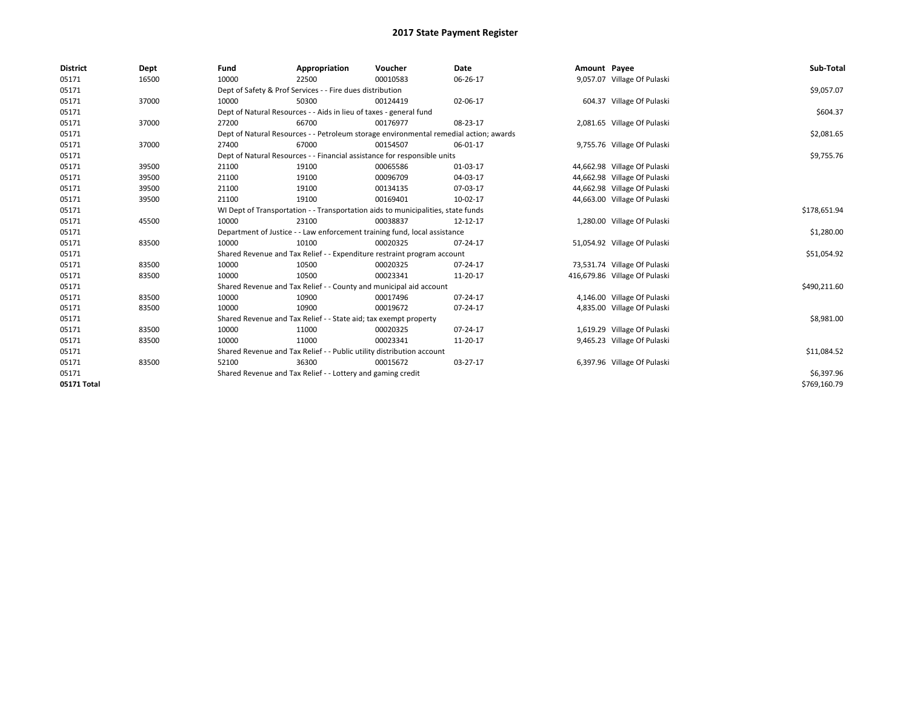| <b>District</b> | Dept  | Fund                                                                             | Appropriation                                                         | Voucher                                                                               | Date     | Amount Payee |                               | Sub-Total    |
|-----------------|-------|----------------------------------------------------------------------------------|-----------------------------------------------------------------------|---------------------------------------------------------------------------------------|----------|--------------|-------------------------------|--------------|
| 05171           | 16500 | 10000                                                                            | 22500                                                                 | 00010583                                                                              | 06-26-17 |              | 9,057.07 Village Of Pulaski   |              |
| 05171           |       |                                                                                  | Dept of Safety & Prof Services - - Fire dues distribution             |                                                                                       |          |              |                               | \$9,057.07   |
| 05171           | 37000 | 10000                                                                            | 50300                                                                 | 00124419                                                                              | 02-06-17 |              | 604.37 Village Of Pulaski     |              |
| 05171           |       |                                                                                  | Dept of Natural Resources - - Aids in lieu of taxes - general fund    |                                                                                       |          |              |                               | \$604.37     |
| 05171           | 37000 | 27200                                                                            | 66700                                                                 | 00176977                                                                              | 08-23-17 |              | 2,081.65 Village Of Pulaski   |              |
| 05171           |       |                                                                                  |                                                                       | Dept of Natural Resources - - Petroleum storage environmental remedial action; awards |          |              |                               | \$2,081.65   |
| 05171           | 37000 | 27400                                                                            | 67000                                                                 | 00154507                                                                              | 06-01-17 |              | 9,755.76 Village Of Pulaski   |              |
| 05171           |       |                                                                                  |                                                                       | Dept of Natural Resources - - Financial assistance for responsible units              |          |              |                               | \$9,755.76   |
| 05171           | 39500 | 21100                                                                            | 19100                                                                 | 00065586                                                                              | 01-03-17 |              | 44,662.98 Village Of Pulaski  |              |
| 05171           | 39500 | 21100                                                                            | 19100                                                                 | 00096709                                                                              | 04-03-17 |              | 44,662.98 Village Of Pulaski  |              |
| 05171           | 39500 | 21100                                                                            | 19100                                                                 | 00134135                                                                              | 07-03-17 |              | 44,662.98 Village Of Pulaski  |              |
| 05171           | 39500 | 21100                                                                            | 19100                                                                 | 00169401                                                                              | 10-02-17 |              | 44,663.00 Village Of Pulaski  |              |
| 05171           |       | WI Dept of Transportation - - Transportation aids to municipalities, state funds |                                                                       | \$178,651.94                                                                          |          |              |                               |              |
| 05171           | 45500 | 10000                                                                            | 23100                                                                 | 00038837                                                                              | 12-12-17 |              | 1,280.00 Village Of Pulaski   |              |
| 05171           |       | Department of Justice - - Law enforcement training fund, local assistance        |                                                                       | \$1,280.00                                                                            |          |              |                               |              |
| 05171           | 83500 | 10000                                                                            | 10100                                                                 | 00020325                                                                              | 07-24-17 |              | 51,054.92 Village Of Pulaski  |              |
| 05171           |       |                                                                                  |                                                                       | Shared Revenue and Tax Relief - - Expenditure restraint program account               |          |              |                               | \$51,054.92  |
| 05171           | 83500 | 10000                                                                            | 10500                                                                 | 00020325                                                                              | 07-24-17 |              | 73,531.74 Village Of Pulaski  |              |
| 05171           | 83500 | 10000                                                                            | 10500                                                                 | 00023341                                                                              | 11-20-17 |              | 416,679.86 Village Of Pulaski |              |
| 05171           |       |                                                                                  |                                                                       | Shared Revenue and Tax Relief - - County and municipal aid account                    |          |              |                               | \$490,211.60 |
| 05171           | 83500 | 10000                                                                            | 10900                                                                 | 00017496                                                                              | 07-24-17 |              | 4,146.00 Village Of Pulaski   |              |
| 05171           | 83500 | 10000                                                                            | 10900                                                                 | 00019672                                                                              | 07-24-17 |              | 4,835.00 Village Of Pulaski   |              |
| 05171           |       |                                                                                  | Shared Revenue and Tax Relief - - State aid; tax exempt property      |                                                                                       |          |              |                               | \$8,981.00   |
| 05171           | 83500 | 10000                                                                            | 11000                                                                 | 00020325                                                                              | 07-24-17 |              | 1,619.29 Village Of Pulaski   |              |
| 05171           | 83500 | 10000                                                                            | 11000                                                                 | 00023341                                                                              | 11-20-17 |              | 9,465.23 Village Of Pulaski   |              |
| 05171           |       |                                                                                  | Shared Revenue and Tax Relief - - Public utility distribution account |                                                                                       |          |              |                               | \$11,084.52  |
| 05171           | 83500 | 52100                                                                            | 36300                                                                 | 00015672                                                                              | 03-27-17 |              | 6,397.96 Village Of Pulaski   |              |
| 05171           |       |                                                                                  | Shared Revenue and Tax Relief - - Lottery and gaming credit           |                                                                                       |          |              |                               | \$6,397.96   |
| 05171 Total     |       |                                                                                  |                                                                       |                                                                                       |          |              |                               | \$769,160.79 |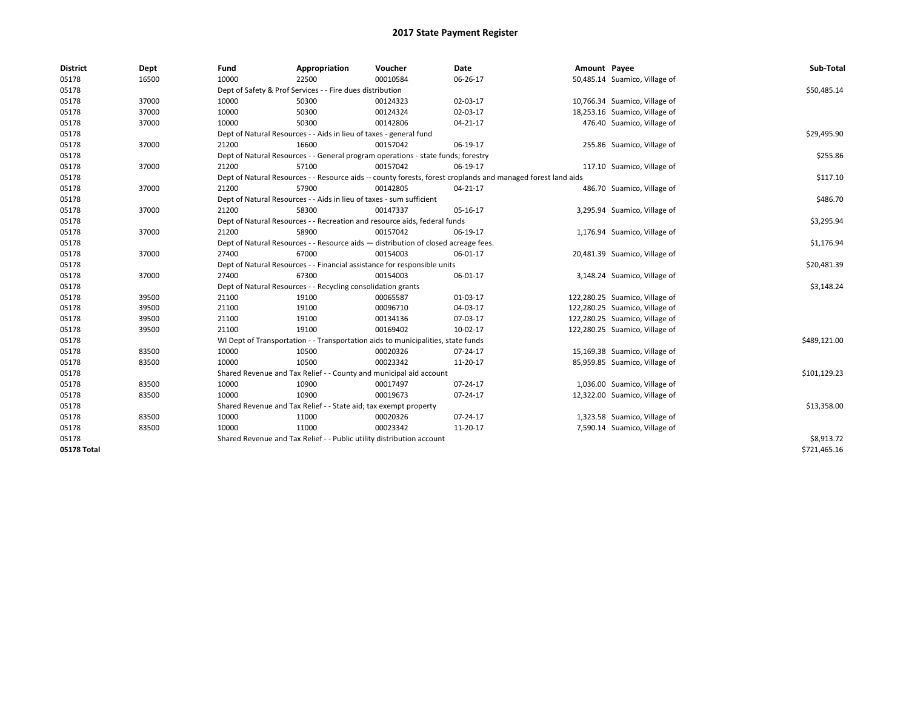| <b>District</b> | Dept  | Fund  | Appropriation                                                         | Voucher                                                                            | <b>Date</b>                                                                                                  | Amount Payee |                                | Sub-Total    |
|-----------------|-------|-------|-----------------------------------------------------------------------|------------------------------------------------------------------------------------|--------------------------------------------------------------------------------------------------------------|--------------|--------------------------------|--------------|
| 05178           | 16500 | 10000 | 22500                                                                 | 00010584                                                                           | 06-26-17                                                                                                     |              | 50,485.14 Suamico, Village of  |              |
| 05178           |       |       | Dept of Safety & Prof Services - - Fire dues distribution             |                                                                                    |                                                                                                              |              |                                | \$50,485.14  |
| 05178           | 37000 | 10000 | 50300                                                                 | 00124323                                                                           | 02-03-17                                                                                                     |              | 10,766.34 Suamico, Village of  |              |
| 05178           | 37000 | 10000 | 50300                                                                 | 00124324                                                                           | 02-03-17                                                                                                     |              | 18,253.16 Suamico, Village of  |              |
| 05178           | 37000 | 10000 | 50300                                                                 | 00142806                                                                           | 04-21-17                                                                                                     |              | 476.40 Suamico, Village of     |              |
| 05178           |       |       | Dept of Natural Resources - - Aids in lieu of taxes - general fund    |                                                                                    |                                                                                                              |              |                                | \$29,495.90  |
| 05178           | 37000 | 21200 | 16600                                                                 | 00157042                                                                           | 06-19-17                                                                                                     |              | 255.86 Suamico, Village of     |              |
| 05178           |       |       |                                                                       | Dept of Natural Resources - - General program operations - state funds; forestry   |                                                                                                              |              |                                | \$255.86     |
| 05178           | 37000 | 21200 | 57100                                                                 | 00157042                                                                           | 06-19-17                                                                                                     |              | 117.10 Suamico, Village of     |              |
| 05178           |       |       |                                                                       |                                                                                    | Dept of Natural Resources - - Resource aids -- county forests, forest croplands and managed forest land aids |              |                                | \$117.10     |
| 05178           | 37000 | 21200 | 57900                                                                 | 00142805                                                                           | 04-21-17                                                                                                     |              | 486.70 Suamico, Village of     |              |
| 05178           |       |       | Dept of Natural Resources - - Aids in lieu of taxes - sum sufficient  |                                                                                    |                                                                                                              |              |                                | \$486.70     |
| 05178           | 37000 | 21200 | 58300                                                                 | 00147337                                                                           | 05-16-17                                                                                                     |              | 3,295.94 Suamico, Village of   |              |
| 05178           |       |       |                                                                       | Dept of Natural Resources - - Recreation and resource aids, federal funds          |                                                                                                              |              |                                | \$3,295.94   |
| 05178           | 37000 | 21200 | 58900                                                                 | 00157042                                                                           | 06-19-17                                                                                                     |              | 1,176.94 Suamico, Village of   |              |
| 05178           |       |       |                                                                       | Dept of Natural Resources - - Resource aids - distribution of closed acreage fees. |                                                                                                              |              |                                | \$1,176.94   |
| 05178           | 37000 | 27400 | 67000                                                                 | 00154003                                                                           | 06-01-17                                                                                                     |              | 20,481.39 Suamico, Village of  |              |
| 05178           |       |       |                                                                       | Dept of Natural Resources - - Financial assistance for responsible units           |                                                                                                              |              |                                | \$20,481.39  |
| 05178           | 37000 | 27400 | 67300                                                                 | 00154003                                                                           | 06-01-17                                                                                                     |              | 3,148.24 Suamico, Village of   |              |
| 05178           |       |       | Dept of Natural Resources - - Recycling consolidation grants          |                                                                                    |                                                                                                              |              |                                | \$3,148.24   |
| 05178           | 39500 | 21100 | 19100                                                                 | 00065587                                                                           | 01-03-17                                                                                                     |              | 122,280.25 Suamico, Village of |              |
| 05178           | 39500 | 21100 | 19100                                                                 | 00096710                                                                           | 04-03-17                                                                                                     |              | 122,280.25 Suamico, Village of |              |
| 05178           | 39500 | 21100 | 19100                                                                 | 00134136                                                                           | 07-03-17                                                                                                     |              | 122,280.25 Suamico, Village of |              |
| 05178           | 39500 | 21100 | 19100                                                                 | 00169402                                                                           | 10-02-17                                                                                                     |              | 122,280.25 Suamico, Village of |              |
| 05178           |       |       |                                                                       | WI Dept of Transportation - - Transportation aids to municipalities, state funds   |                                                                                                              |              |                                | \$489,121.00 |
| 05178           | 83500 | 10000 | 10500                                                                 | 00020326                                                                           | 07-24-17                                                                                                     |              | 15,169.38 Suamico, Village of  |              |
| 05178           | 83500 | 10000 | 10500                                                                 | 00023342                                                                           | 11-20-17                                                                                                     |              | 85,959.85 Suamico, Village of  |              |
| 05178           |       |       |                                                                       | Shared Revenue and Tax Relief - - County and municipal aid account                 |                                                                                                              |              |                                | \$101,129.23 |
| 05178           | 83500 | 10000 | 10900                                                                 | 00017497                                                                           | 07-24-17                                                                                                     |              | 1,036.00 Suamico, Village of   |              |
| 05178           | 83500 | 10000 | 10900                                                                 | 00019673                                                                           | 07-24-17                                                                                                     |              | 12,322.00 Suamico, Village of  |              |
| 05178           |       |       | Shared Revenue and Tax Relief - - State aid; tax exempt property      |                                                                                    |                                                                                                              |              |                                | \$13,358.00  |
| 05178           | 83500 | 10000 | 11000                                                                 | 00020326                                                                           | 07-24-17                                                                                                     |              | 1,323.58 Suamico, Village of   |              |
| 05178           | 83500 | 10000 | 11000                                                                 | 00023342                                                                           | 11-20-17                                                                                                     |              | 7,590.14 Suamico, Village of   |              |
| 05178           |       |       | Shared Revenue and Tax Relief - - Public utility distribution account |                                                                                    |                                                                                                              |              |                                | \$8,913.72   |
| 05178 Total     |       |       |                                                                       |                                                                                    |                                                                                                              |              |                                | \$721,465.16 |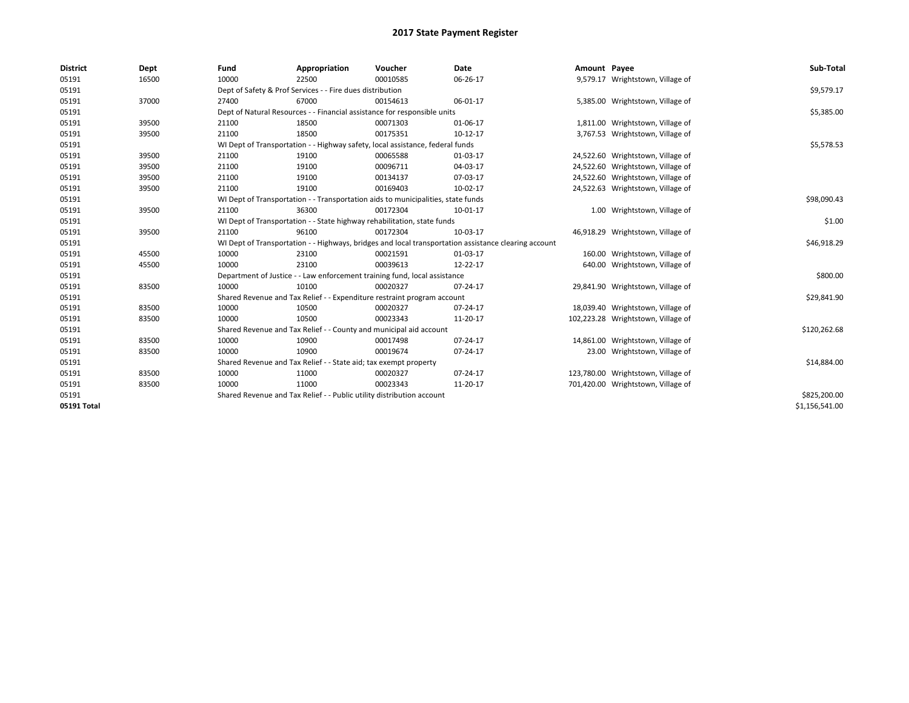| <b>District</b> | Dept  | Fund  | Appropriation                                                                                        | Voucher  | Date     | Amount Payee |                                    | Sub-Total      |  |  |  |
|-----------------|-------|-------|------------------------------------------------------------------------------------------------------|----------|----------|--------------|------------------------------------|----------------|--|--|--|
| 05191           | 16500 | 10000 | 22500                                                                                                | 00010585 | 06-26-17 |              | 9,579.17 Wrightstown, Village of   |                |  |  |  |
| 05191           |       |       | Dept of Safety & Prof Services - - Fire dues distribution                                            |          |          |              |                                    | \$9,579.17     |  |  |  |
| 05191           | 37000 | 27400 | 67000                                                                                                | 00154613 | 06-01-17 |              | 5,385.00 Wrightstown, Village of   |                |  |  |  |
| 05191           |       |       | Dept of Natural Resources - - Financial assistance for responsible units                             |          |          |              |                                    | \$5,385.00     |  |  |  |
| 05191           | 39500 | 21100 | 18500                                                                                                | 00071303 | 01-06-17 |              | 1,811.00 Wrightstown, Village of   |                |  |  |  |
| 05191           | 39500 | 21100 | 18500                                                                                                | 00175351 | 10-12-17 |              | 3,767.53 Wrightstown, Village of   |                |  |  |  |
| 05191           |       |       | WI Dept of Transportation - - Highway safety, local assistance, federal funds                        |          |          |              |                                    | \$5,578.53     |  |  |  |
| 05191           | 39500 | 21100 | 19100                                                                                                | 00065588 | 01-03-17 |              | 24,522.60 Wrightstown, Village of  |                |  |  |  |
| 05191           | 39500 | 21100 | 19100                                                                                                | 00096711 | 04-03-17 |              | 24,522.60 Wrightstown, Village of  |                |  |  |  |
| 05191           | 39500 | 21100 | 19100                                                                                                | 00134137 | 07-03-17 |              | 24,522.60 Wrightstown, Village of  |                |  |  |  |
| 05191           | 39500 | 21100 | 19100                                                                                                | 00169403 | 10-02-17 |              | 24,522.63 Wrightstown, Village of  |                |  |  |  |
| 05191           |       |       | WI Dept of Transportation - - Transportation aids to municipalities, state funds                     |          |          |              |                                    |                |  |  |  |
| 05191           | 39500 | 21100 | 36300                                                                                                | 00172304 | 10-01-17 |              | 1.00 Wrightstown, Village of       |                |  |  |  |
| 05191           |       |       | WI Dept of Transportation - - State highway rehabilitation, state funds                              |          |          |              |                                    |                |  |  |  |
| 05191           | 39500 | 21100 | 96100                                                                                                | 00172304 | 10-03-17 |              | 46,918.29 Wrightstown, Village of  |                |  |  |  |
| 05191           |       |       | WI Dept of Transportation - - Highways, bridges and local transportation assistance clearing account |          |          |              |                                    |                |  |  |  |
| 05191           | 45500 | 10000 | 23100                                                                                                | 00021591 | 01-03-17 |              | 160.00 Wrightstown, Village of     |                |  |  |  |
| 05191           | 45500 | 10000 | 23100                                                                                                | 00039613 | 12-22-17 |              | 640.00 Wrightstown, Village of     |                |  |  |  |
| 05191           |       |       | Department of Justice - - Law enforcement training fund, local assistance                            |          |          |              |                                    | \$800.00       |  |  |  |
| 05191           | 83500 | 10000 | 10100                                                                                                | 00020327 | 07-24-17 |              | 29,841.90 Wrightstown, Village of  |                |  |  |  |
| 05191           |       |       | Shared Revenue and Tax Relief - - Expenditure restraint program account                              |          |          |              |                                    | \$29,841.90    |  |  |  |
| 05191           | 83500 | 10000 | 10500                                                                                                | 00020327 | 07-24-17 |              | 18,039.40 Wrightstown, Village of  |                |  |  |  |
| 05191           | 83500 | 10000 | 10500                                                                                                | 00023343 | 11-20-17 |              | 102,223.28 Wrightstown, Village of |                |  |  |  |
| 05191           |       |       | Shared Revenue and Tax Relief - - County and municipal aid account                                   |          |          |              |                                    | \$120,262.68   |  |  |  |
| 05191           | 83500 | 10000 | 10900                                                                                                | 00017498 | 07-24-17 |              | 14,861.00 Wrightstown, Village of  |                |  |  |  |
| 05191           | 83500 | 10000 | 10900                                                                                                | 00019674 | 07-24-17 |              | 23.00 Wrightstown, Village of      |                |  |  |  |
| 05191           |       |       | Shared Revenue and Tax Relief - - State aid; tax exempt property                                     |          |          |              |                                    | \$14,884.00    |  |  |  |
| 05191           | 83500 | 10000 | 11000                                                                                                | 00020327 | 07-24-17 |              | 123,780.00 Wrightstown, Village of |                |  |  |  |
| 05191           | 83500 | 10000 | 11000                                                                                                | 00023343 | 11-20-17 |              | 701,420.00 Wrightstown, Village of |                |  |  |  |
| 05191           |       |       | Shared Revenue and Tax Relief - - Public utility distribution account                                |          |          |              |                                    | \$825,200.00   |  |  |  |
| 05191 Total     |       |       |                                                                                                      |          |          |              |                                    | \$1,156,541.00 |  |  |  |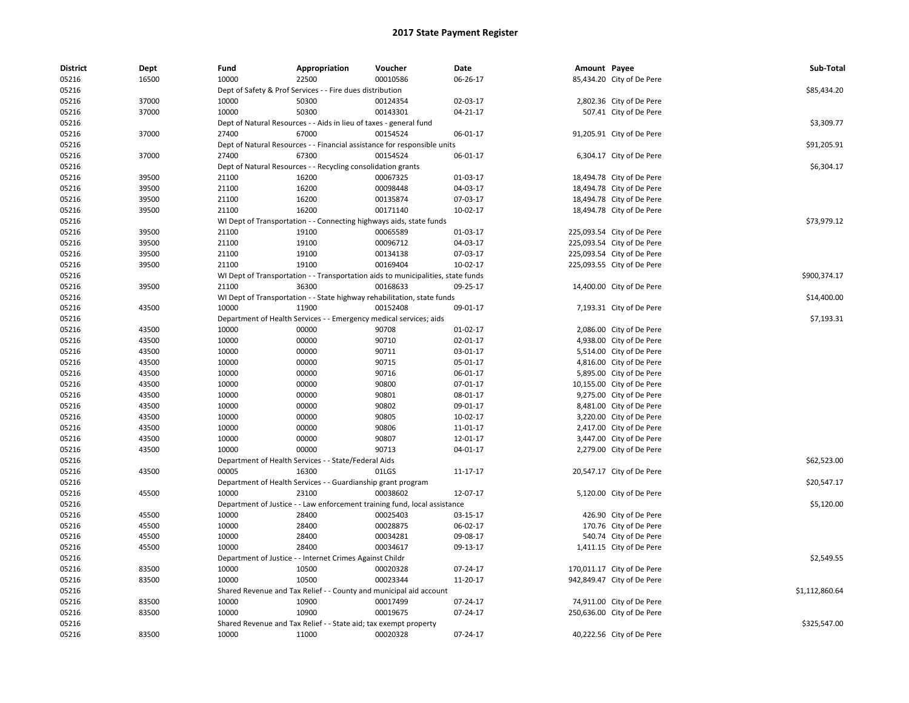| <b>District</b> | Dept  | Fund  | Appropriation                                                                    | Voucher  | Date       | Amount Payee |                                                      | Sub-Total      |
|-----------------|-------|-------|----------------------------------------------------------------------------------|----------|------------|--------------|------------------------------------------------------|----------------|
| 05216           | 16500 | 10000 | 22500                                                                            | 00010586 | 06-26-17   |              | 85,434.20 City of De Pere                            |                |
| 05216           |       |       | Dept of Safety & Prof Services - - Fire dues distribution                        |          |            |              |                                                      | \$85,434.20    |
| 05216           | 37000 | 10000 | 50300                                                                            | 00124354 | 02-03-17   |              | 2,802.36 City of De Pere                             |                |
| 05216           | 37000 | 10000 | 50300                                                                            | 00143301 | 04-21-17   |              | 507.41 City of De Pere                               |                |
| 05216           |       |       | Dept of Natural Resources - - Aids in lieu of taxes - general fund               |          |            |              |                                                      | \$3,309.77     |
| 05216           | 37000 | 27400 | 67000                                                                            | 00154524 | 06-01-17   |              | 91,205.91 City of De Pere                            |                |
| 05216           |       |       | Dept of Natural Resources - - Financial assistance for responsible units         |          |            |              |                                                      | \$91,205.91    |
| 05216           | 37000 | 27400 | 67300                                                                            | 00154524 | 06-01-17   |              | 6,304.17 City of De Pere                             |                |
| 05216           |       |       | Dept of Natural Resources - - Recycling consolidation grants                     |          |            |              |                                                      | \$6,304.17     |
| 05216           | 39500 | 21100 | 16200                                                                            | 00067325 | 01-03-17   |              | 18,494.78 City of De Pere                            |                |
| 05216           | 39500 | 21100 | 16200                                                                            | 00098448 | 04-03-17   |              | 18,494.78 City of De Pere                            |                |
| 05216           | 39500 | 21100 | 16200                                                                            | 00135874 | 07-03-17   |              | 18,494.78 City of De Pere                            |                |
| 05216           | 39500 | 21100 | 16200                                                                            | 00171140 | $10-02-17$ |              | 18,494.78 City of De Pere                            |                |
| 05216           |       |       | WI Dept of Transportation - - Connecting highways aids, state funds              |          |            |              |                                                      | \$73,979.12    |
| 05216           | 39500 | 21100 | 19100                                                                            | 00065589 | 01-03-17   |              | 225,093.54 City of De Pere                           |                |
| 05216           | 39500 | 21100 | 19100                                                                            | 00096712 | 04-03-17   |              | 225,093.54 City of De Pere                           |                |
| 05216           | 39500 | 21100 | 19100                                                                            | 00134138 | 07-03-17   |              | 225,093.54 City of De Pere                           |                |
| 05216           | 39500 | 21100 | 19100                                                                            | 00169404 | $10-02-17$ |              | 225,093.55 City of De Pere                           |                |
| 05216           |       |       | WI Dept of Transportation - - Transportation aids to municipalities, state funds |          |            |              |                                                      | \$900,374.17   |
| 05216           | 39500 | 21100 | 36300                                                                            | 00168633 | 09-25-17   |              | 14,400.00 City of De Pere                            |                |
| 05216           |       |       | WI Dept of Transportation - - State highway rehabilitation, state funds          |          |            |              |                                                      | \$14,400.00    |
| 05216           | 43500 | 10000 | 11900                                                                            | 00152408 | 09-01-17   |              | 7,193.31 City of De Pere                             |                |
| 05216           |       |       | Department of Health Services - - Emergency medical services; aids               |          |            |              |                                                      | \$7,193.31     |
| 05216           | 43500 | 10000 | 00000                                                                            | 90708    | $01-02-17$ |              | 2,086.00 City of De Pere                             |                |
| 05216           | 43500 | 10000 | 00000                                                                            | 90710    | 02-01-17   |              | 4,938.00 City of De Pere                             |                |
| 05216           | 43500 | 10000 | 00000                                                                            | 90711    | 03-01-17   |              | 5,514.00 City of De Pere                             |                |
| 05216           | 43500 | 10000 | 00000                                                                            | 90715    | 05-01-17   |              | 4,816.00 City of De Pere                             |                |
| 05216           | 43500 | 10000 | 00000                                                                            | 90716    | 06-01-17   |              | 5,895.00 City of De Pere                             |                |
| 05216           | 43500 | 10000 | 00000                                                                            | 90800    | 07-01-17   |              | 10,155.00 City of De Pere                            |                |
| 05216           | 43500 | 10000 | 00000                                                                            | 90801    | 08-01-17   |              | 9,275.00 City of De Pere                             |                |
| 05216           | 43500 | 10000 | 00000                                                                            | 90802    | 09-01-17   |              |                                                      |                |
| 05216           | 43500 | 10000 | 00000                                                                            | 90805    | 10-02-17   |              | 8,481.00 City of De Pere<br>3,220.00 City of De Pere |                |
| 05216           |       | 10000 | 00000                                                                            | 90806    |            |              |                                                      |                |
|                 | 43500 |       |                                                                                  |          | 11-01-17   |              | 2,417.00 City of De Pere                             |                |
| 05216           | 43500 | 10000 | 00000                                                                            | 90807    | 12-01-17   |              | 3,447.00 City of De Pere                             |                |
| 05216           | 43500 | 10000 | 00000                                                                            | 90713    | 04-01-17   |              | 2,279.00 City of De Pere                             |                |
| 05216           |       |       | Department of Health Services - - State/Federal Aids                             |          |            |              |                                                      | \$62,523.00    |
| 05216           | 43500 | 00005 | 16300                                                                            | 01LGS    | 11-17-17   |              | 20,547.17 City of De Pere                            |                |
| 05216           |       |       | Department of Health Services - - Guardianship grant program                     |          |            |              |                                                      | \$20,547.17    |
| 05216           | 45500 | 10000 | 23100                                                                            | 00038602 | 12-07-17   |              | 5,120.00 City of De Pere                             |                |
| 05216           |       |       | Department of Justice - - Law enforcement training fund, local assistance        |          |            |              |                                                      | \$5,120.00     |
| 05216           | 45500 | 10000 | 28400                                                                            | 00025403 | 03-15-17   |              | 426.90 City of De Pere                               |                |
| 05216           | 45500 | 10000 | 28400                                                                            | 00028875 | 06-02-17   |              | 170.76 City of De Pere                               |                |
| 05216           | 45500 | 10000 | 28400                                                                            | 00034281 | 09-08-17   |              | 540.74 City of De Pere                               |                |
| 05216           | 45500 | 10000 | 28400                                                                            | 00034617 | 09-13-17   |              | 1,411.15 City of De Pere                             |                |
| 05216           |       |       | Department of Justice - - Internet Crimes Against Childr                         |          |            |              |                                                      | \$2,549.55     |
| 05216           | 83500 | 10000 | 10500                                                                            | 00020328 | 07-24-17   |              | 170,011.17 City of De Pere                           |                |
| 05216           | 83500 | 10000 | 10500                                                                            | 00023344 | 11-20-17   |              | 942,849.47 City of De Pere                           |                |
| 05216           |       |       | Shared Revenue and Tax Relief - - County and municipal aid account               |          |            |              |                                                      | \$1,112,860.64 |
| 05216           | 83500 | 10000 | 10900                                                                            | 00017499 | 07-24-17   |              | 74,911.00 City of De Pere                            |                |
| 05216           | 83500 | 10000 | 10900                                                                            | 00019675 | 07-24-17   |              | 250,636.00 City of De Pere                           |                |
| 05216           |       |       | Shared Revenue and Tax Relief - - State aid; tax exempt property                 |          |            |              |                                                      | \$325,547.00   |
| 05216           | 83500 | 10000 | 11000                                                                            | 00020328 | 07-24-17   |              | 40,222.56 City of De Pere                            |                |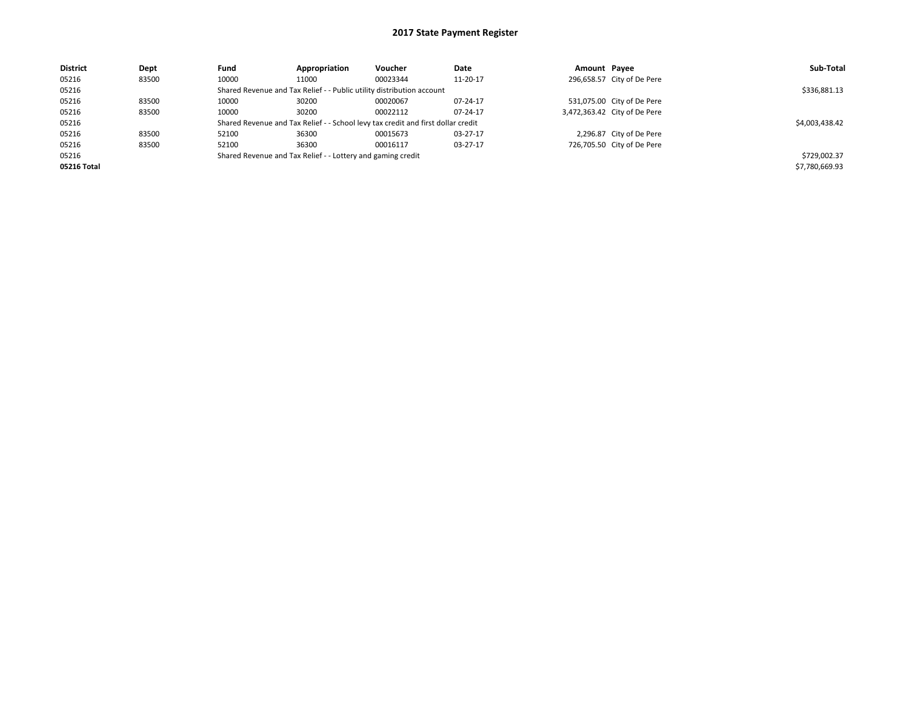| <b>District</b> | Dept  | Fund                                                                             | Appropriation                                                         | Voucher        | Date     | Amount Payee |                              | Sub-Total      |
|-----------------|-------|----------------------------------------------------------------------------------|-----------------------------------------------------------------------|----------------|----------|--------------|------------------------------|----------------|
| 05216           | 83500 | 10000                                                                            | 11000                                                                 | 00023344       | 11-20-17 |              | 296,658.57 City of De Pere   |                |
| 05216           |       |                                                                                  | Shared Revenue and Tax Relief - - Public utility distribution account |                |          |              |                              | \$336,881.13   |
| 05216           | 83500 | 10000                                                                            | 30200                                                                 | 00020067       | 07-24-17 |              | 531,075.00 City of De Pere   |                |
| 05216           | 83500 | 10000                                                                            | 30200                                                                 | 00022112       | 07-24-17 |              | 3,472,363.42 City of De Pere |                |
| 05216           |       | Shared Revenue and Tax Relief - - School levy tax credit and first dollar credit |                                                                       | \$4,003,438.42 |          |              |                              |                |
| 05216           | 83500 | 52100                                                                            | 36300                                                                 | 00015673       | 03-27-17 |              | 2,296.87 City of De Pere     |                |
| 05216           | 83500 | 52100                                                                            | 36300                                                                 | 00016117       | 03-27-17 |              | 726,705.50 City of De Pere   |                |
| 05216           |       |                                                                                  | Shared Revenue and Tax Relief - - Lottery and gaming credit           |                |          |              |                              | \$729,002.37   |
| 05216 Total     |       |                                                                                  |                                                                       |                |          |              |                              | \$7,780,669.93 |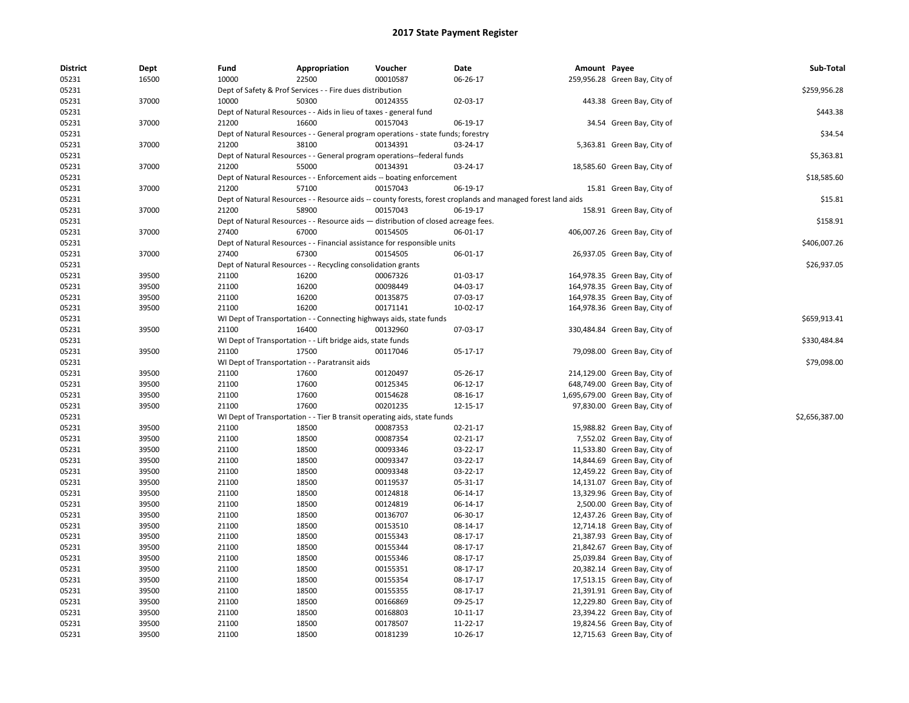| <b>District</b> | Dept  | Fund  | Appropriation                                                                      | Voucher  | Date                                                                                                         | Amount Payee |                                 | Sub-Total      |
|-----------------|-------|-------|------------------------------------------------------------------------------------|----------|--------------------------------------------------------------------------------------------------------------|--------------|---------------------------------|----------------|
| 05231           | 16500 | 10000 | 22500                                                                              | 00010587 | 06-26-17                                                                                                     |              | 259,956.28 Green Bay, City of   |                |
| 05231           |       |       | Dept of Safety & Prof Services - - Fire dues distribution                          |          |                                                                                                              |              |                                 | \$259,956.28   |
| 05231           | 37000 | 10000 | 50300                                                                              | 00124355 | 02-03-17                                                                                                     |              | 443.38 Green Bay, City of       |                |
| 05231           |       |       | Dept of Natural Resources - - Aids in lieu of taxes - general fund                 |          |                                                                                                              |              |                                 | \$443.38       |
| 05231           | 37000 | 21200 | 16600                                                                              | 00157043 | 06-19-17                                                                                                     |              | 34.54 Green Bay, City of        |                |
| 05231           |       |       | Dept of Natural Resources - - General program operations - state funds; forestry   |          |                                                                                                              |              |                                 | \$34.54        |
| 05231           | 37000 | 21200 | 38100                                                                              | 00134391 | 03-24-17                                                                                                     |              | 5,363.81 Green Bay, City of     |                |
| 05231           |       |       | Dept of Natural Resources - - General program operations--federal funds            |          |                                                                                                              |              |                                 | \$5,363.81     |
| 05231           | 37000 | 21200 | 55000                                                                              | 00134391 | 03-24-17                                                                                                     |              | 18,585.60 Green Bay, City of    |                |
| 05231           |       |       | Dept of Natural Resources - - Enforcement aids -- boating enforcement              |          |                                                                                                              |              |                                 | \$18,585.60    |
| 05231           | 37000 | 21200 | 57100                                                                              | 00157043 | 06-19-17                                                                                                     |              | 15.81 Green Bay, City of        |                |
| 05231           |       |       |                                                                                    |          | Dept of Natural Resources - - Resource aids -- county forests, forest croplands and managed forest land aids |              |                                 | \$15.81        |
| 05231           | 37000 | 21200 | 58900                                                                              | 00157043 | 06-19-17                                                                                                     |              | 158.91 Green Bay, City of       |                |
| 05231           |       |       | Dept of Natural Resources - - Resource aids - distribution of closed acreage fees. |          |                                                                                                              |              |                                 | \$158.91       |
| 05231           | 37000 | 27400 | 67000                                                                              | 00154505 | 06-01-17                                                                                                     |              | 406,007.26 Green Bay, City of   |                |
| 05231           |       |       | Dept of Natural Resources - - Financial assistance for responsible units           |          |                                                                                                              |              |                                 | \$406,007.26   |
| 05231           | 37000 | 27400 | 67300                                                                              | 00154505 | 06-01-17                                                                                                     |              | 26,937.05 Green Bay, City of    |                |
| 05231           |       |       | Dept of Natural Resources - - Recycling consolidation grants                       |          |                                                                                                              |              |                                 | \$26,937.05    |
| 05231           | 39500 | 21100 | 16200                                                                              | 00067326 | 01-03-17                                                                                                     |              | 164,978.35 Green Bay, City of   |                |
| 05231           | 39500 | 21100 | 16200                                                                              | 00098449 | 04-03-17                                                                                                     |              | 164,978.35 Green Bay, City of   |                |
| 05231           | 39500 | 21100 | 16200                                                                              | 00135875 | 07-03-17                                                                                                     |              | 164,978.35 Green Bay, City of   |                |
| 05231           | 39500 | 21100 | 16200                                                                              | 00171141 | 10-02-17                                                                                                     |              | 164,978.36 Green Bay, City of   |                |
| 05231           |       |       | WI Dept of Transportation - - Connecting highways aids, state funds                |          |                                                                                                              |              |                                 | \$659,913.41   |
| 05231           | 39500 | 21100 | 16400                                                                              | 00132960 | 07-03-17                                                                                                     |              | 330,484.84 Green Bay, City of   |                |
| 05231           |       |       | WI Dept of Transportation - - Lift bridge aids, state funds                        |          |                                                                                                              |              |                                 | \$330,484.84   |
| 05231           | 39500 | 21100 | 17500                                                                              | 00117046 | 05-17-17                                                                                                     |              | 79,098.00 Green Bay, City of    |                |
| 05231           |       |       | WI Dept of Transportation - - Paratransit aids                                     |          |                                                                                                              |              |                                 | \$79,098.00    |
| 05231           | 39500 | 21100 | 17600                                                                              | 00120497 | 05-26-17                                                                                                     |              | 214,129.00 Green Bay, City of   |                |
| 05231           | 39500 | 21100 | 17600                                                                              | 00125345 | 06-12-17                                                                                                     |              | 648,749.00 Green Bay, City of   |                |
| 05231           | 39500 | 21100 | 17600                                                                              | 00154628 | 08-16-17                                                                                                     |              |                                 |                |
|                 |       | 21100 | 17600                                                                              | 00201235 |                                                                                                              |              | 1,695,679.00 Green Bay, City of |                |
| 05231           | 39500 |       |                                                                                    |          | 12-15-17                                                                                                     |              | 97,830.00 Green Bay, City of    | \$2,656,387.00 |
| 05231           |       |       | WI Dept of Transportation - - Tier B transit operating aids, state funds           |          |                                                                                                              |              |                                 |                |
| 05231           | 39500 | 21100 | 18500                                                                              | 00087353 | 02-21-17                                                                                                     |              | 15,988.82 Green Bay, City of    |                |
| 05231           | 39500 | 21100 | 18500                                                                              | 00087354 | 02-21-17                                                                                                     |              | 7,552.02 Green Bay, City of     |                |
| 05231           | 39500 | 21100 | 18500                                                                              | 00093346 | 03-22-17                                                                                                     |              | 11,533.80 Green Bay, City of    |                |
| 05231           | 39500 | 21100 | 18500                                                                              | 00093347 | 03-22-17                                                                                                     |              | 14,844.69 Green Bay, City of    |                |
| 05231           | 39500 | 21100 | 18500                                                                              | 00093348 | 03-22-17                                                                                                     |              | 12,459.22 Green Bay, City of    |                |
| 05231           | 39500 | 21100 | 18500                                                                              | 00119537 | 05-31-17                                                                                                     |              | 14,131.07 Green Bay, City of    |                |
| 05231           | 39500 | 21100 | 18500                                                                              | 00124818 | 06-14-17                                                                                                     |              | 13,329.96 Green Bay, City of    |                |
| 05231           | 39500 | 21100 | 18500                                                                              | 00124819 | 06-14-17                                                                                                     |              | 2,500.00 Green Bay, City of     |                |
| 05231           | 39500 | 21100 | 18500                                                                              | 00136707 | 06-30-17                                                                                                     |              | 12,437.26 Green Bay, City of    |                |
| 05231           | 39500 | 21100 | 18500                                                                              | 00153510 | 08-14-17                                                                                                     |              | 12,714.18 Green Bay, City of    |                |
| 05231           | 39500 | 21100 | 18500                                                                              | 00155343 | 08-17-17                                                                                                     |              | 21,387.93 Green Bay, City of    |                |
| 05231           | 39500 | 21100 | 18500                                                                              | 00155344 | 08-17-17                                                                                                     |              | 21,842.67 Green Bay, City of    |                |
| 05231           | 39500 | 21100 | 18500                                                                              | 00155346 | 08-17-17                                                                                                     |              | 25,039.84 Green Bay, City of    |                |
| 05231           | 39500 | 21100 | 18500                                                                              | 00155351 | 08-17-17                                                                                                     |              | 20,382.14 Green Bay, City of    |                |
| 05231           | 39500 | 21100 | 18500                                                                              | 00155354 | 08-17-17                                                                                                     |              | 17,513.15 Green Bay, City of    |                |
| 05231           | 39500 | 21100 | 18500                                                                              | 00155355 | 08-17-17                                                                                                     |              | 21,391.91 Green Bay, City of    |                |
| 05231           | 39500 | 21100 | 18500                                                                              | 00166869 | 09-25-17                                                                                                     |              | 12,229.80 Green Bay, City of    |                |
| 05231           | 39500 | 21100 | 18500                                                                              | 00168803 | 10-11-17                                                                                                     |              | 23,394.22 Green Bay, City of    |                |
| 05231           | 39500 | 21100 | 18500                                                                              | 00178507 | 11-22-17                                                                                                     |              | 19,824.56 Green Bay, City of    |                |
| 05231           | 39500 | 21100 | 18500                                                                              | 00181239 | 10-26-17                                                                                                     |              | 12,715.63 Green Bay, City of    |                |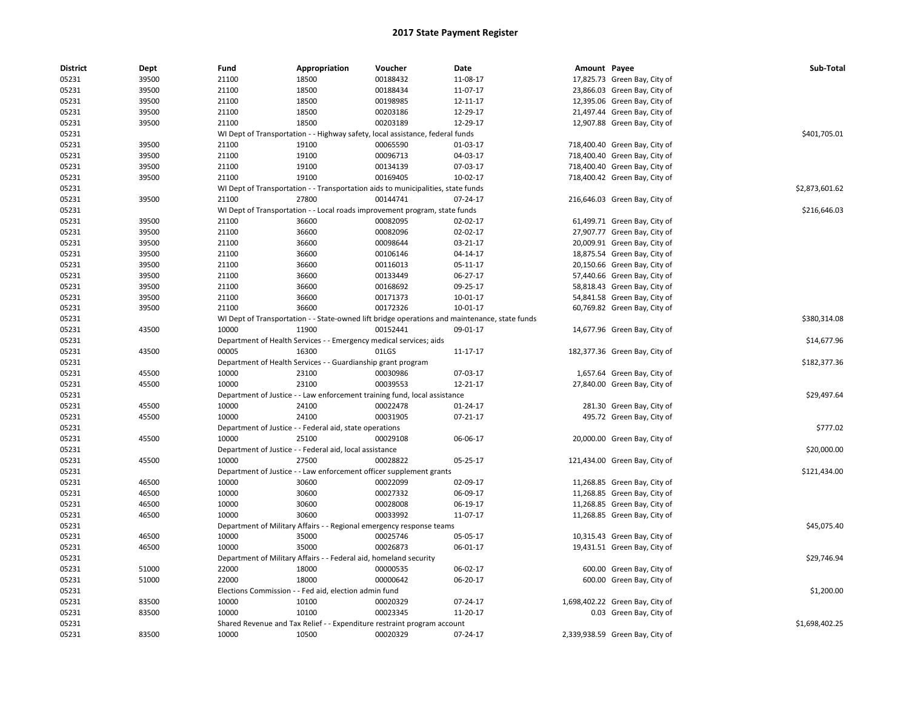| <b>District</b> | Dept  | Fund  | Appropriation                                                      | Voucher                                                                          | Date                                                                                          | Amount Payee |                                 | Sub-Total      |
|-----------------|-------|-------|--------------------------------------------------------------------|----------------------------------------------------------------------------------|-----------------------------------------------------------------------------------------------|--------------|---------------------------------|----------------|
| 05231           | 39500 | 21100 | 18500                                                              | 00188432                                                                         | 11-08-17                                                                                      |              | 17,825.73 Green Bay, City of    |                |
| 05231           | 39500 | 21100 | 18500                                                              | 00188434                                                                         | 11-07-17                                                                                      |              | 23,866.03 Green Bay, City of    |                |
| 05231           | 39500 | 21100 | 18500                                                              | 00198985                                                                         | 12-11-17                                                                                      |              | 12,395.06 Green Bay, City of    |                |
| 05231           | 39500 | 21100 | 18500                                                              | 00203186                                                                         | 12-29-17                                                                                      |              | 21,497.44 Green Bay, City of    |                |
| 05231           | 39500 | 21100 | 18500                                                              | 00203189                                                                         | 12-29-17                                                                                      |              | 12,907.88 Green Bay, City of    |                |
| 05231           |       |       |                                                                    | WI Dept of Transportation - - Highway safety, local assistance, federal funds    |                                                                                               |              |                                 | \$401,705.01   |
| 05231           | 39500 | 21100 | 19100                                                              | 00065590                                                                         | 01-03-17                                                                                      |              | 718,400.40 Green Bay, City of   |                |
| 05231           | 39500 | 21100 | 19100                                                              | 00096713                                                                         | 04-03-17                                                                                      |              | 718,400.40 Green Bay, City of   |                |
| 05231           | 39500 | 21100 | 19100                                                              | 00134139                                                                         | 07-03-17                                                                                      |              | 718,400.40 Green Bay, City of   |                |
| 05231           | 39500 | 21100 | 19100                                                              | 00169405                                                                         | 10-02-17                                                                                      |              | 718,400.42 Green Bay, City of   |                |
| 05231           |       |       |                                                                    | WI Dept of Transportation - - Transportation aids to municipalities, state funds |                                                                                               |              |                                 | \$2,873,601.62 |
| 05231           | 39500 | 21100 | 27800                                                              | 00144741                                                                         | 07-24-17                                                                                      |              | 216,646.03 Green Bay, City of   |                |
| 05231           |       |       |                                                                    | WI Dept of Transportation - - Local roads improvement program, state funds       |                                                                                               |              |                                 | \$216,646.03   |
| 05231           | 39500 | 21100 | 36600                                                              | 00082095                                                                         | 02-02-17                                                                                      |              | 61,499.71 Green Bay, City of    |                |
| 05231           | 39500 | 21100 | 36600                                                              | 00082096                                                                         | 02-02-17                                                                                      |              | 27,907.77 Green Bay, City of    |                |
| 05231           | 39500 | 21100 | 36600                                                              | 00098644                                                                         | 03-21-17                                                                                      |              | 20,009.91 Green Bay, City of    |                |
| 05231           | 39500 | 21100 | 36600                                                              | 00106146                                                                         | 04-14-17                                                                                      |              | 18,875.54 Green Bay, City of    |                |
| 05231           | 39500 | 21100 | 36600                                                              | 00116013                                                                         | 05-11-17                                                                                      |              | 20,150.66 Green Bay, City of    |                |
| 05231           | 39500 | 21100 | 36600                                                              | 00133449                                                                         | 06-27-17                                                                                      |              | 57,440.66 Green Bay, City of    |                |
| 05231           | 39500 | 21100 | 36600                                                              | 00168692                                                                         | 09-25-17                                                                                      |              | 58,818.43 Green Bay, City of    |                |
| 05231           | 39500 | 21100 | 36600                                                              | 00171373                                                                         | 10-01-17                                                                                      |              | 54,841.58 Green Bay, City of    |                |
| 05231           | 39500 | 21100 | 36600                                                              | 00172326                                                                         | 10-01-17                                                                                      |              | 60,769.82 Green Bay, City of    |                |
| 05231           |       |       |                                                                    |                                                                                  | WI Dept of Transportation - - State-owned lift bridge operations and maintenance, state funds |              |                                 | \$380,314.08   |
| 05231           | 43500 | 10000 | 11900                                                              | 00152441                                                                         | 09-01-17                                                                                      |              | 14,677.96 Green Bay, City of    |                |
| 05231           |       |       | Department of Health Services - - Emergency medical services; aids |                                                                                  |                                                                                               |              |                                 | \$14,677.96    |
| 05231           | 43500 | 00005 | 16300                                                              | 01LGS                                                                            | 11-17-17                                                                                      |              | 182,377.36 Green Bay, City of   |                |
| 05231           |       |       | Department of Health Services - - Guardianship grant program       |                                                                                  |                                                                                               |              |                                 | \$182,377.36   |
| 05231           | 45500 | 10000 | 23100                                                              | 00030986                                                                         | 07-03-17                                                                                      |              | 1,657.64 Green Bay, City of     |                |
| 05231           | 45500 | 10000 | 23100                                                              | 00039553                                                                         | 12-21-17                                                                                      |              | 27,840.00 Green Bay, City of    |                |
| 05231           |       |       |                                                                    | Department of Justice - - Law enforcement training fund, local assistance        |                                                                                               |              |                                 | \$29,497.64    |
| 05231           | 45500 | 10000 | 24100                                                              | 00022478                                                                         | 01-24-17                                                                                      |              | 281.30 Green Bay, City of       |                |
| 05231           | 45500 | 10000 | 24100                                                              | 00031905                                                                         | $07-21-17$                                                                                    |              | 495.72 Green Bay, City of       |                |
| 05231           |       |       | Department of Justice - - Federal aid, state operations            |                                                                                  |                                                                                               |              |                                 | \$777.02       |
| 05231           | 45500 | 10000 | 25100                                                              | 00029108                                                                         | 06-06-17                                                                                      |              | 20,000.00 Green Bay, City of    |                |
| 05231           |       |       | Department of Justice - - Federal aid, local assistance            |                                                                                  |                                                                                               |              |                                 | \$20,000.00    |
| 05231           | 45500 | 10000 | 27500                                                              | 00028822                                                                         | 05-25-17                                                                                      |              | 121,434.00 Green Bay, City of   |                |
| 05231           |       |       |                                                                    | Department of Justice - - Law enforcement officer supplement grants              |                                                                                               |              |                                 | \$121,434.00   |
| 05231           | 46500 | 10000 | 30600                                                              | 00022099                                                                         | 02-09-17                                                                                      |              | 11,268.85 Green Bay, City of    |                |
| 05231           | 46500 | 10000 | 30600                                                              | 00027332                                                                         | 06-09-17                                                                                      |              | 11,268.85 Green Bay, City of    |                |
| 05231           | 46500 | 10000 | 30600                                                              | 00028008                                                                         | 06-19-17                                                                                      |              | 11,268.85 Green Bay, City of    |                |
| 05231           | 46500 | 10000 | 30600                                                              | 00033992                                                                         | 11-07-17                                                                                      |              | 11,268.85 Green Bay, City of    |                |
| 05231           |       |       |                                                                    | Department of Military Affairs - - Regional emergency response teams             |                                                                                               |              |                                 | \$45,075.40    |
| 05231           | 46500 | 10000 | 35000                                                              | 00025746                                                                         | 05-05-17                                                                                      |              | 10,315.43 Green Bay, City of    |                |
| 05231           | 46500 | 10000 | 35000                                                              | 00026873                                                                         | 06-01-17                                                                                      |              | 19,431.51 Green Bay, City of    |                |
| 05231           |       |       | Department of Military Affairs - - Federal aid, homeland security  |                                                                                  |                                                                                               |              |                                 | \$29,746.94    |
| 05231           | 51000 | 22000 | 18000                                                              | 00000535                                                                         | 06-02-17                                                                                      |              | 600.00 Green Bay, City of       |                |
| 05231           | 51000 | 22000 | 18000                                                              | 00000642                                                                         | 06-20-17                                                                                      |              | 600.00 Green Bay, City of       |                |
| 05231           |       |       | Elections Commission - - Fed aid, election admin fund              |                                                                                  |                                                                                               |              |                                 | \$1,200.00     |
| 05231           | 83500 | 10000 | 10100                                                              | 00020329                                                                         | 07-24-17                                                                                      |              | 1,698,402.22 Green Bay, City of |                |
| 05231           | 83500 | 10000 | 10100                                                              | 00023345                                                                         | 11-20-17                                                                                      |              | 0.03 Green Bay, City of         |                |
| 05231           |       |       |                                                                    | Shared Revenue and Tax Relief - - Expenditure restraint program account          |                                                                                               |              |                                 | \$1,698,402.25 |
| 05231           | 83500 | 10000 | 10500                                                              | 00020329                                                                         | 07-24-17                                                                                      |              | 2,339,938.59 Green Bay, City of |                |
|                 |       |       |                                                                    |                                                                                  |                                                                                               |              |                                 |                |